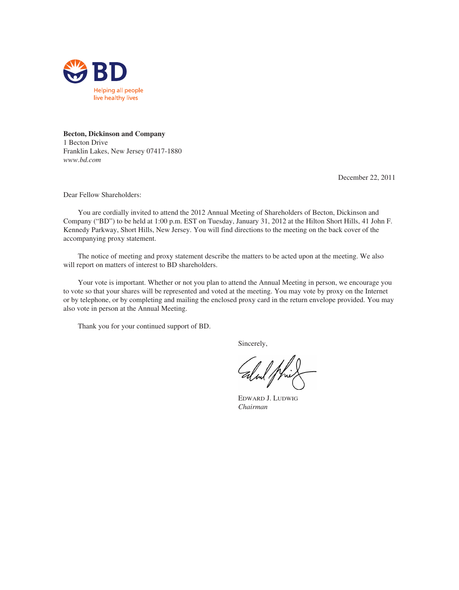

**Becton, Dickinson and Company** 1 Becton Drive Franklin Lakes, New Jersey 07417-1880 *www.bd.com*

December 22, 2011

Dear Fellow Shareholders:

You are cordially invited to attend the 2012 Annual Meeting of Shareholders of Becton, Dickinson and Company ("BD") to be held at 1:00 p.m. EST on Tuesday, January 31, 2012 at the Hilton Short Hills, 41 John F. Kennedy Parkway, Short Hills, New Jersey. You will find directions to the meeting on the back cover of the accompanying proxy statement.

The notice of meeting and proxy statement describe the matters to be acted upon at the meeting. We also will report on matters of interest to BD shareholders.

Your vote is important. Whether or not you plan to attend the Annual Meeting in person, we encourage you to vote so that your shares will be represented and voted at the meeting. You may vote by proxy on the Internet or by telephone, or by completing and mailing the enclosed proxy card in the return envelope provided. You may also vote in person at the Annual Meeting.

Thank you for your continued support of BD.

Sincerely,

EDWARD J. LUDWIG *Chairman*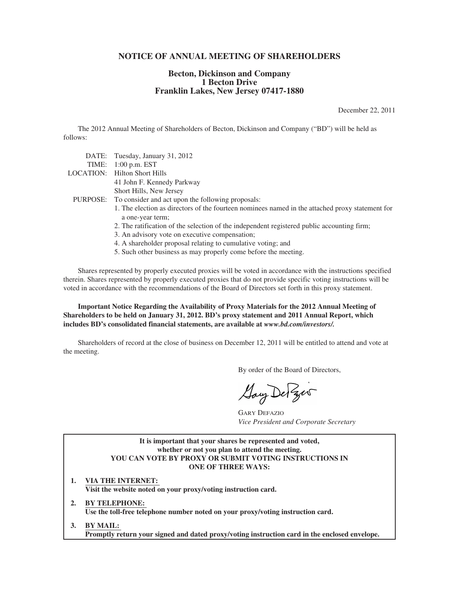# **NOTICE OF ANNUAL MEETING OF SHAREHOLDERS**

# **Becton, Dickinson and Company 1 Becton Drive Franklin Lakes, New Jersey 07417-1880**

December 22, 2011

The 2012 Annual Meeting of Shareholders of Becton, Dickinson and Company ("BD") will be held as follows:

| DATE: Tuesday, January 31, 2012                                                                                     |
|---------------------------------------------------------------------------------------------------------------------|
| TIME: $1:00$ p.m. EST                                                                                               |
| <b>LOCATION:</b> Hilton Short Hills                                                                                 |
| 41 John F. Kennedy Parkway                                                                                          |
| Short Hills, New Jersey                                                                                             |
| PURPOSE: To consider and act upon the following proposals:                                                          |
| 1. The election as directors of the fourteen nominees named in the attached proxy statement for<br>a one-year term; |
| 2. The ratification of the selection of the independent registered public accounting firm;                          |
| 3. An advisory vote on executive compensation;                                                                      |
| 4. A shareholder proposal relating to cumulative voting; and                                                        |
| 5. Such other business as may properly come before the meeting.                                                     |

Shares represented by properly executed proxies will be voted in accordance with the instructions specified therein. Shares represented by properly executed proxies that do not provide specific voting instructions will be voted in accordance with the recommendations of the Board of Directors set forth in this proxy statement.

**Important Notice Regarding the Availability of Proxy Materials for the 2012 Annual Meeting of Shareholders to be held on January 31, 2012. BD's proxy statement and 2011 Annual Report, which includes BD's consolidated financial statements, are available at** *www.bd.com/investors/.*

Shareholders of record at the close of business on December 12, 2011 will be entitled to attend and vote at the meeting.

By order of the Board of Directors,

Gay De Zer

GARY DEFAZIO *Vice President and Corporate Secretary*

**It is important that your shares be represented and voted, whether or not you plan to attend the meeting. YOU CAN VOTE BY PROXY OR SUBMIT VOTING INSTRUCTIONS IN ONE OF THREE WAYS:**

- **1. VIA THE INTERNET: Visit the website noted on your proxy/voting instruction card.**
- **2. BY TELEPHONE: Use the toll-free telephone number noted on your proxy/voting instruction card.**
- **3. BY MAIL: Promptly return your signed and dated proxy/voting instruction card in the enclosed envelope.**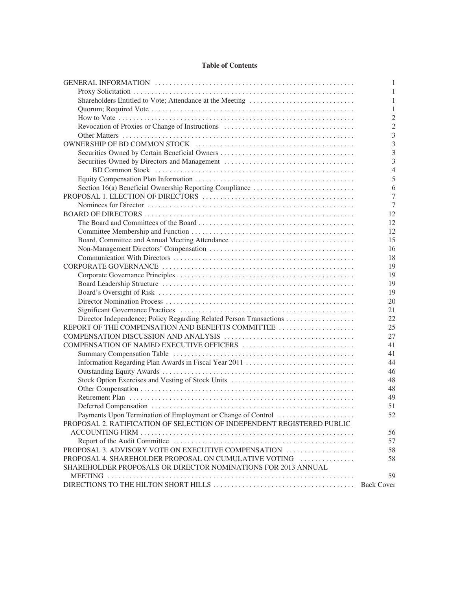# **Table of Contents**

|                                                                        | 1                 |
|------------------------------------------------------------------------|-------------------|
|                                                                        | 1                 |
|                                                                        | 1                 |
|                                                                        | 1                 |
|                                                                        | $\overline{2}$    |
|                                                                        | $\overline{2}$    |
|                                                                        | 3                 |
|                                                                        | 3                 |
|                                                                        | 3                 |
|                                                                        | 3                 |
|                                                                        | $\overline{4}$    |
|                                                                        | 5                 |
|                                                                        | 6                 |
|                                                                        | $\overline{7}$    |
|                                                                        | 7                 |
|                                                                        | 12                |
|                                                                        | 12                |
|                                                                        | 12                |
| Board, Committee and Annual Meeting Attendance                         | 15                |
|                                                                        | 16                |
|                                                                        | 18                |
|                                                                        | 19                |
|                                                                        | 19                |
|                                                                        | 19                |
|                                                                        | 19                |
|                                                                        | 20                |
|                                                                        | 21                |
|                                                                        | 22                |
| REPORT OF THE COMPENSATION AND BENEFITS COMMITTEE                      | 25                |
|                                                                        | 27                |
|                                                                        | 41                |
|                                                                        | 41                |
|                                                                        | 44                |
|                                                                        | 46                |
|                                                                        | 48                |
|                                                                        | 48                |
|                                                                        | 49                |
|                                                                        | 51                |
| Payments Upon Termination of Employment or Change of Control           | 52                |
| PROPOSAL 2. RATIFICATION OF SELECTION OF INDEPENDENT REGISTERED PUBLIC |                   |
|                                                                        | 56                |
|                                                                        | 57                |
| PROPOSAL 3. ADVISORY VOTE ON EXECUTIVE COMPENSATION                    | 58                |
| PROPOSAL 4. SHAREHOLDER PROPOSAL ON CUMULATIVE VOTING                  | 58                |
| SHAREHOLDER PROPOSALS OR DIRECTOR NOMINATIONS FOR 2013 ANNUAL          |                   |
|                                                                        | 59                |
|                                                                        | <b>Back Cover</b> |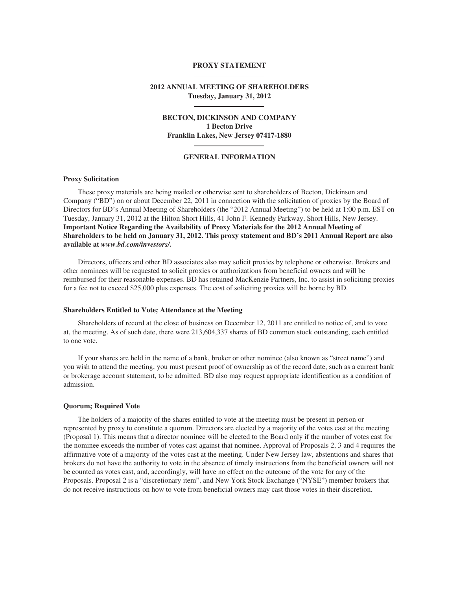#### **PROXY STATEMENT**

# **2012 ANNUAL MEETING OF SHAREHOLDERS Tuesday, January 31, 2012**

# **BECTON, DICKINSON AND COMPANY 1 Becton Drive Franklin Lakes, New Jersey 07417-1880**

### **GENERAL INFORMATION**

### **Proxy Solicitation**

These proxy materials are being mailed or otherwise sent to shareholders of Becton, Dickinson and Company ("BD") on or about December 22, 2011 in connection with the solicitation of proxies by the Board of Directors for BD's Annual Meeting of Shareholders (the "2012 Annual Meeting") to be held at 1:00 p.m. EST on Tuesday, January 31, 2012 at the Hilton Short Hills, 41 John F. Kennedy Parkway, Short Hills, New Jersey. **Important Notice Regarding the Availability of Proxy Materials for the 2012 Annual Meeting of Shareholders to be held on January 31, 2012. This proxy statement and BD's 2011 Annual Report are also available at** *www.bd.com/investors/.*

Directors, officers and other BD associates also may solicit proxies by telephone or otherwise. Brokers and other nominees will be requested to solicit proxies or authorizations from beneficial owners and will be reimbursed for their reasonable expenses. BD has retained MacKenzie Partners, Inc. to assist in soliciting proxies for a fee not to exceed \$25,000 plus expenses. The cost of soliciting proxies will be borne by BD.

### **Shareholders Entitled to Vote; Attendance at the Meeting**

Shareholders of record at the close of business on December 12, 2011 are entitled to notice of, and to vote at, the meeting. As of such date, there were 213,604,337 shares of BD common stock outstanding, each entitled to one vote.

If your shares are held in the name of a bank, broker or other nominee (also known as "street name") and you wish to attend the meeting, you must present proof of ownership as of the record date, such as a current bank or brokerage account statement, to be admitted. BD also may request appropriate identification as a condition of admission.

# **Quorum; Required Vote**

The holders of a majority of the shares entitled to vote at the meeting must be present in person or represented by proxy to constitute a quorum. Directors are elected by a majority of the votes cast at the meeting (Proposal 1). This means that a director nominee will be elected to the Board only if the number of votes cast for the nominee exceeds the number of votes cast against that nominee. Approval of Proposals 2, 3 and 4 requires the affirmative vote of a majority of the votes cast at the meeting. Under New Jersey law, abstentions and shares that brokers do not have the authority to vote in the absence of timely instructions from the beneficial owners will not be counted as votes cast, and, accordingly, will have no effect on the outcome of the vote for any of the Proposals. Proposal 2 is a "discretionary item", and New York Stock Exchange ("NYSE") member brokers that do not receive instructions on how to vote from beneficial owners may cast those votes in their discretion.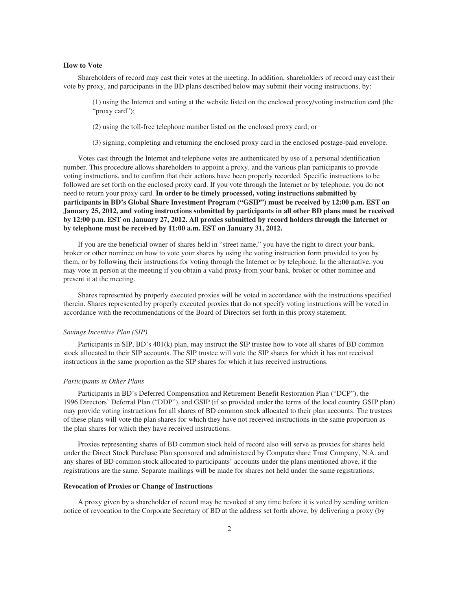### **How to Vote**

Shareholders of record may cast their votes at the meeting. In addition, shareholders of record may cast their vote by proxy, and participants in the BD plans described below may submit their voting instructions, by:

(1) using the Internet and voting at the website listed on the enclosed proxy/voting instruction card (the "proxy card");

(2) using the toll-free telephone number listed on the enclosed proxy card; or

(3) signing, completing and returning the enclosed proxy card in the enclosed postage-paid envelope.

Votes cast through the Internet and telephone votes are authenticated by use of a personal identification number. This procedure allows shareholders to appoint a proxy, and the various plan participants to provide voting instructions, and to confirm that their actions have been properly recorded. Specific instructions to be followed are set forth on the enclosed proxy card. If you vote through the Internet or by telephone, you do not need to return your proxy card. **In order to be timely processed, voting instructions submitted by participants in BD's Global Share Investment Program ("GSIP") must be received by 12:00 p.m. EST on January 25, 2012, and voting instructions submitted by participants in all other BD plans must be received by 12:00 p.m. EST on January 27, 2012. All proxies submitted by record holders through the Internet or by telephone must be received by 11:00 a.m. EST on January 31, 2012.**

If you are the beneficial owner of shares held in "street name," you have the right to direct your bank, broker or other nominee on how to vote your shares by using the voting instruction form provided to you by them, or by following their instructions for voting through the Internet or by telephone. In the alternative, you may vote in person at the meeting if you obtain a valid proxy from your bank, broker or other nominee and present it at the meeting.

Shares represented by properly executed proxies will be voted in accordance with the instructions specified therein. Shares represented by properly executed proxies that do not specify voting instructions will be voted in accordance with the recommendations of the Board of Directors set forth in this proxy statement.

### *Savings Incentive Plan (SIP)*

Participants in SIP, BD's 401(k) plan, may instruct the SIP trustee how to vote all shares of BD common stock allocated to their SIP accounts. The SIP trustee will vote the SIP shares for which it has not received instructions in the same proportion as the SIP shares for which it has received instructions.

#### *Participants in Other Plans*

Participants in BD's Deferred Compensation and Retirement Benefit Restoration Plan ("DCP"), the 1996 Directors' Deferral Plan ("DDP"), and GSIP (if so provided under the terms of the local country GSIP plan) may provide voting instructions for all shares of BD common stock allocated to their plan accounts. The trustees of these plans will vote the plan shares for which they have not received instructions in the same proportion as the plan shares for which they have received instructions.

Proxies representing shares of BD common stock held of record also will serve as proxies for shares held under the Direct Stock Purchase Plan sponsored and administered by Computershare Trust Company, N.A. and any shares of BD common stock allocated to participants' accounts under the plans mentioned above, if the registrations are the same. Separate mailings will be made for shares not held under the same registrations.

# **Revocation of Proxies or Change of Instructions**

A proxy given by a shareholder of record may be revoked at any time before it is voted by sending written notice of revocation to the Corporate Secretary of BD at the address set forth above, by delivering a proxy (by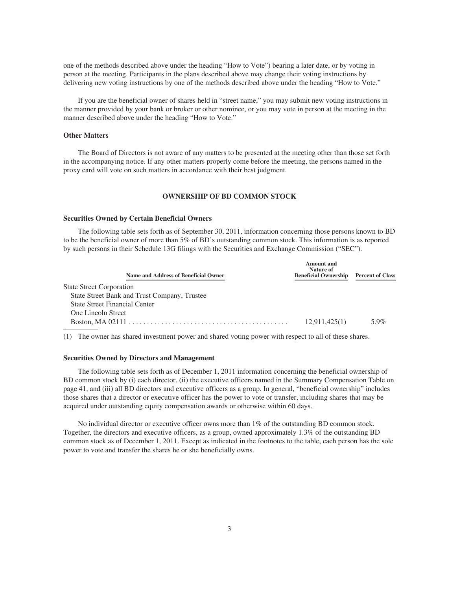one of the methods described above under the heading "How to Vote") bearing a later date, or by voting in person at the meeting. Participants in the plans described above may change their voting instructions by delivering new voting instructions by one of the methods described above under the heading "How to Vote."

If you are the beneficial owner of shares held in "street name," you may submit new voting instructions in the manner provided by your bank or broker or other nominee, or you may vote in person at the meeting in the manner described above under the heading "How to Vote."

#### **Other Matters**

The Board of Directors is not aware of any matters to be presented at the meeting other than those set forth in the accompanying notice. If any other matters properly come before the meeting, the persons named in the proxy card will vote on such matters in accordance with their best judgment.

# **OWNERSHIP OF BD COMMON STOCK**

### **Securities Owned by Certain Beneficial Owners**

The following table sets forth as of September 30, 2011, information concerning those persons known to BD to be the beneficial owner of more than 5% of BD's outstanding common stock. This information is as reported by such persons in their Schedule 13G filings with the Securities and Exchange Commission ("SEC").

| Name and Address of Beneficial Owner         | Amount and<br>Nature of<br><b>Beneficial Ownership</b> | <b>Percent of Class</b> |
|----------------------------------------------|--------------------------------------------------------|-------------------------|
| <b>State Street Corporation</b>              |                                                        |                         |
| State Street Bank and Trust Company, Trustee |                                                        |                         |
| <b>State Street Financial Center</b>         |                                                        |                         |
| One Lincoln Street                           |                                                        |                         |
|                                              | 12,911,425(1)                                          | 5.9%                    |

(1) The owner has shared investment power and shared voting power with respect to all of these shares.

#### **Securities Owned by Directors and Management**

The following table sets forth as of December 1, 2011 information concerning the beneficial ownership of BD common stock by (i) each director, (ii) the executive officers named in the Summary Compensation Table on page 41, and (iii) all BD directors and executive officers as a group. In general, "beneficial ownership" includes those shares that a director or executive officer has the power to vote or transfer, including shares that may be acquired under outstanding equity compensation awards or otherwise within 60 days.

No individual director or executive officer owns more than 1% of the outstanding BD common stock. Together, the directors and executive officers, as a group, owned approximately 1.3% of the outstanding BD common stock as of December 1, 2011. Except as indicated in the footnotes to the table, each person has the sole power to vote and transfer the shares he or she beneficially owns.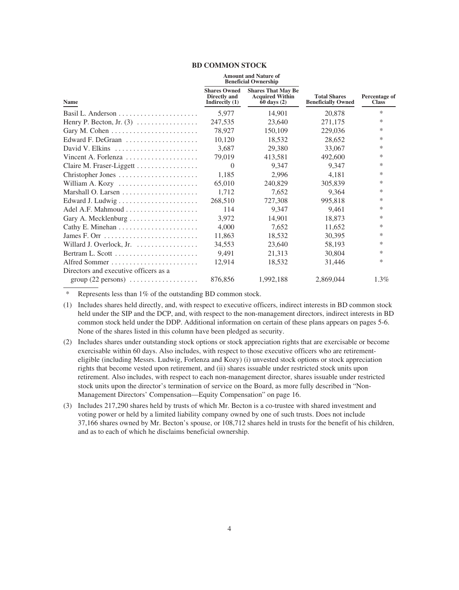### **BD COMMON STOCK**

|                                                    |                                                                | <b>Amount and Nature of</b><br><b>Beneficial Ownership</b>             |                                                  |                               |
|----------------------------------------------------|----------------------------------------------------------------|------------------------------------------------------------------------|--------------------------------------------------|-------------------------------|
| Name                                               | <b>Shares Owned</b><br><b>Directly</b> and<br>Indirectly $(1)$ | <b>Shares That May Be</b><br><b>Acquired Within</b><br>$60$ days $(2)$ | <b>Total Shares</b><br><b>Beneficially Owned</b> | Percentage of<br><b>Class</b> |
|                                                    | 5,977                                                          | 14,901                                                                 | 20,878                                           | $\ast$                        |
| Henry P. Becton, Jr. $(3)$                         | 247,535                                                        | 23,640                                                                 | 271,175                                          | $\ast$                        |
|                                                    | 78,927                                                         | 150,109                                                                | 229,036                                          | $\ast$                        |
| Edward F. DeGraan                                  | 10,120                                                         | 18,532                                                                 | 28,652                                           | $\ast$                        |
| David V. Elkins                                    | 3,687                                                          | 29,380                                                                 | 33,067                                           | $\ast$                        |
| Vincent A. Forlenza                                | 79,019                                                         | 413,581                                                                | 492,600                                          | $\ast$                        |
| Claire M. Fraser-Liggett                           | $\Omega$                                                       | 9,347                                                                  | 9.347                                            | $\ast$                        |
| Christopher Jones                                  | 1,185                                                          | 2.996                                                                  | 4,181                                            | $\ast$                        |
| William A. Kozy                                    | 65,010                                                         | 240,829                                                                | 305,839                                          | $\ast$                        |
|                                                    | 1,712                                                          | 7,652                                                                  | 9,364                                            | $\ast$                        |
|                                                    | 268,510                                                        | 727,308                                                                | 995,818                                          | *                             |
| Adel A.F. Mahmoud $\ldots$ , , , ,                 | 114                                                            | 9,347                                                                  | 9,461                                            | $\ast$                        |
| Gary A. Mecklenburg                                | 3,972                                                          | 14,901                                                                 | 18,873                                           | $\ast$                        |
|                                                    | 4,000                                                          | 7,652                                                                  | 11,652                                           | $\ast$                        |
|                                                    | 11,863                                                         | 18,532                                                                 | 30,395                                           | *                             |
|                                                    | 34,553                                                         | 23,640                                                                 | 58,193                                           | $\ast$                        |
|                                                    | 9,491                                                          | 21,313                                                                 | 30,804                                           | $\ast$                        |
|                                                    | 12,914                                                         | 18,532                                                                 | 31,446                                           | $\ast$                        |
| Directors and executive officers as a              |                                                                |                                                                        |                                                  |                               |
| $group (22 persons) \dots \dots \dots \dots \dots$ | 876,856                                                        | 1,992,188                                                              | 2,869,044                                        | $1.3\%$                       |
|                                                    |                                                                |                                                                        |                                                  |                               |

\* Represents less than 1% of the outstanding BD common stock.

- (1) Includes shares held directly, and, with respect to executive officers, indirect interests in BD common stock held under the SIP and the DCP, and, with respect to the non-management directors, indirect interests in BD common stock held under the DDP. Additional information on certain of these plans appears on pages 5-6. None of the shares listed in this column have been pledged as security.
- (2) Includes shares under outstanding stock options or stock appreciation rights that are exercisable or become exercisable within 60 days. Also includes, with respect to those executive officers who are retirementeligible (including Messrs. Ludwig, Forlenza and Kozy) (i) unvested stock options or stock appreciation rights that become vested upon retirement, and (ii) shares issuable under restricted stock units upon retirement. Also includes, with respect to each non-management director, shares issuable under restricted stock units upon the director's termination of service on the Board, as more fully described in "Non-Management Directors' Compensation—Equity Compensation" on page 16.
- (3) Includes 217,290 shares held by trusts of which Mr. Becton is a co-trustee with shared investment and voting power or held by a limited liability company owned by one of such trusts. Does not include 37,166 shares owned by Mr. Becton's spouse, or 108,712 shares held in trusts for the benefit of his children, and as to each of which he disclaims beneficial ownership.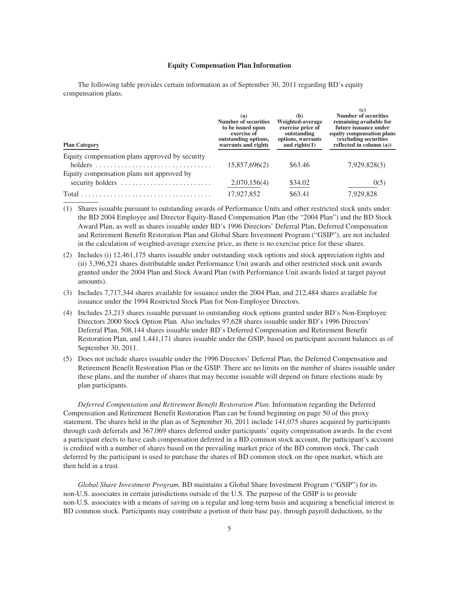#### **Equity Compensation Plan Information**

 $(a)$ 

The following table provides certain information as of September 30, 2011 regarding BD's equity compensation plans.

| <b>Plan Category</b>                                          | (a)<br>Number of securities<br>to be issued upon<br>exercise of<br>outstanding options,<br>warrants and rights | (b)<br>Weighted-average<br>exercise price of<br>outstanding<br>options, warrants<br>and rights $(1)$ | <b>Number of securities</b><br>remaining available for<br>future issuance under<br>equity compensation plans<br>(excluding securities)<br>reflected in column $(a)$ ) |
|---------------------------------------------------------------|----------------------------------------------------------------------------------------------------------------|------------------------------------------------------------------------------------------------------|-----------------------------------------------------------------------------------------------------------------------------------------------------------------------|
| Equity compensation plans approved by security<br>holders     | 15,857,696(2)                                                                                                  | \$63.46                                                                                              | 7,929,828(3)                                                                                                                                                          |
| Equity compensation plans not approved by<br>security holders | 2,070,156(4)                                                                                                   | \$34.02                                                                                              | 0(5)                                                                                                                                                                  |
|                                                               | 17,927,852                                                                                                     | \$63.41                                                                                              | 7,929,828                                                                                                                                                             |

(1) Shares issuable pursuant to outstanding awards of Performance Units and other restricted stock units under the BD 2004 Employee and Director Equity-Based Compensation Plan (the "2004 Plan") and the BD Stock Award Plan, as well as shares issuable under BD's 1996 Directors' Deferral Plan, Deferred Compensation and Retirement Benefit Restoration Plan and Global Share Investment Program ("GSIP"), are not included in the calculation of weighted-average exercise price, as there is no exercise price for these shares.

(2) Includes (i) 12,461,175 shares issuable under outstanding stock options and stock appreciation rights and (ii) 3,396,521 shares distributable under Performance Unit awards and other restricted stock unit awards granted under the 2004 Plan and Stock Award Plan (with Performance Unit awards listed at target payout amounts).

- (3) Includes 7,717,344 shares available for issuance under the 2004 Plan, and 212,484 shares available for issuance under the 1994 Restricted Stock Plan for Non-Employee Directors.
- (4) Includes 23,213 shares issuable pursuant to outstanding stock options granted under BD's Non-Employee Directors 2000 Stock Option Plan. Also includes 97,628 shares issuable under BD's 1996 Directors' Deferral Plan, 508,144 shares issuable under BD's Deferred Compensation and Retirement Benefit Restoration Plan, and 1,441,171 shares issuable under the GSIP, based on participant account balances as of September 30, 2011.
- (5) Does not include shares issuable under the 1996 Directors' Deferral Plan, the Deferred Compensation and Retirement Benefit Restoration Plan or the GSIP. There are no limits on the number of shares issuable under these plans, and the number of shares that may become issuable will depend on future elections made by plan participants.

*Deferred Compensation and Retirement Benefit Restoration Plan.* Information regarding the Deferred Compensation and Retirement Benefit Restoration Plan can be found beginning on page 50 of this proxy statement. The shares held in the plan as of September 30, 2011 include 141,075 shares acquired by participants through cash deferrals and 367,069 shares deferred under participants' equity compensation awards. In the event a participant elects to have cash compensation deferred in a BD common stock account, the participant's account is credited with a number of shares based on the prevailing market price of the BD common stock. The cash deferred by the participant is used to purchase the shares of BD common stock on the open market, which are then held in a trust.

*Global Share Investment Program.* BD maintains a Global Share Investment Program ("GSIP") for its non-U.S. associates in certain jurisdictions outside of the U.S. The purpose of the GSIP is to provide non-U.S. associates with a means of saving on a regular and long-term basis and acquiring a beneficial interest in BD common stock. Participants may contribute a portion of their base pay, through payroll deductions, to the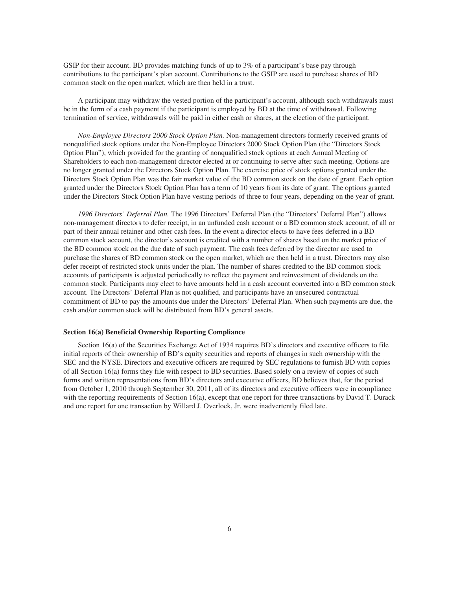GSIP for their account. BD provides matching funds of up to 3% of a participant's base pay through contributions to the participant's plan account. Contributions to the GSIP are used to purchase shares of BD common stock on the open market, which are then held in a trust.

A participant may withdraw the vested portion of the participant's account, although such withdrawals must be in the form of a cash payment if the participant is employed by BD at the time of withdrawal. Following termination of service, withdrawals will be paid in either cash or shares, at the election of the participant.

*Non-Employee Directors 2000 Stock Option Plan.* Non-management directors formerly received grants of nonqualified stock options under the Non-Employee Directors 2000 Stock Option Plan (the "Directors Stock Option Plan"), which provided for the granting of nonqualified stock options at each Annual Meeting of Shareholders to each non-management director elected at or continuing to serve after such meeting. Options are no longer granted under the Directors Stock Option Plan. The exercise price of stock options granted under the Directors Stock Option Plan was the fair market value of the BD common stock on the date of grant. Each option granted under the Directors Stock Option Plan has a term of 10 years from its date of grant. The options granted under the Directors Stock Option Plan have vesting periods of three to four years, depending on the year of grant.

*1996 Directors' Deferral Plan.* The 1996 Directors' Deferral Plan (the "Directors' Deferral Plan") allows non-management directors to defer receipt, in an unfunded cash account or a BD common stock account, of all or part of their annual retainer and other cash fees. In the event a director elects to have fees deferred in a BD common stock account, the director's account is credited with a number of shares based on the market price of the BD common stock on the due date of such payment. The cash fees deferred by the director are used to purchase the shares of BD common stock on the open market, which are then held in a trust. Directors may also defer receipt of restricted stock units under the plan. The number of shares credited to the BD common stock accounts of participants is adjusted periodically to reflect the payment and reinvestment of dividends on the common stock. Participants may elect to have amounts held in a cash account converted into a BD common stock account. The Directors' Deferral Plan is not qualified, and participants have an unsecured contractual commitment of BD to pay the amounts due under the Directors' Deferral Plan. When such payments are due, the cash and/or common stock will be distributed from BD's general assets.

### **Section 16(a) Beneficial Ownership Reporting Compliance**

Section 16(a) of the Securities Exchange Act of 1934 requires BD's directors and executive officers to file initial reports of their ownership of BD's equity securities and reports of changes in such ownership with the SEC and the NYSE. Directors and executive officers are required by SEC regulations to furnish BD with copies of all Section 16(a) forms they file with respect to BD securities. Based solely on a review of copies of such forms and written representations from BD's directors and executive officers, BD believes that, for the period from October 1, 2010 through September 30, 2011, all of its directors and executive officers were in compliance with the reporting requirements of Section 16(a), except that one report for three transactions by David T. Durack and one report for one transaction by Willard J. Overlock, Jr. were inadvertently filed late.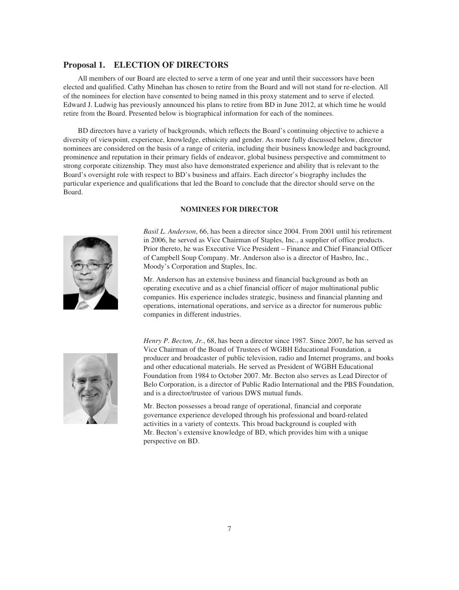# **Proposal 1. ELECTION OF DIRECTORS**

All members of our Board are elected to serve a term of one year and until their successors have been elected and qualified. Cathy Minehan has chosen to retire from the Board and will not stand for re-election. All of the nominees for election have consented to being named in this proxy statement and to serve if elected. Edward J. Ludwig has previously announced his plans to retire from BD in June 2012, at which time he would retire from the Board. Presented below is biographical information for each of the nominees.

BD directors have a variety of backgrounds, which reflects the Board's continuing objective to achieve a diversity of viewpoint, experience, knowledge, ethnicity and gender. As more fully discussed below, director nominees are considered on the basis of a range of criteria, including their business knowledge and background, prominence and reputation in their primary fields of endeavor, global business perspective and commitment to strong corporate citizenship. They must also have demonstrated experience and ability that is relevant to the Board's oversight role with respect to BD's business and affairs. Each director's biography includes the particular experience and qualifications that led the Board to conclude that the director should serve on the Board.

# **NOMINEES FOR DIRECTOR**



*Basil L. Anderson*, 66, has been a director since 2004. From 2001 until his retirement in 2006, he served as Vice Chairman of Staples, Inc., a supplier of office products. Prior thereto, he was Executive Vice President – Finance and Chief Financial Officer of Campbell Soup Company. Mr. Anderson also is a director of Hasbro, Inc., Moody's Corporation and Staples, Inc.

Mr. Anderson has an extensive business and financial background as both an operating executive and as a chief financial officer of major multinational public companies. His experience includes strategic, business and financial planning and operations, international operations, and service as a director for numerous public companies in different industries.



*Henry P. Becton, Jr.*, 68, has been a director since 1987. Since 2007, he has served as Vice Chairman of the Board of Trustees of WGBH Educational Foundation, a producer and broadcaster of public television, radio and Internet programs, and books and other educational materials. He served as President of WGBH Educational Foundation from 1984 to October 2007. Mr. Becton also serves as Lead Director of Belo Corporation, is a director of Public Radio International and the PBS Foundation, and is a director/trustee of various DWS mutual funds.

Mr. Becton possesses a broad range of operational, financial and corporate governance experience developed through his professional and board-related activities in a variety of contexts. This broad background is coupled with Mr. Becton's extensive knowledge of BD, which provides him with a unique perspective on BD.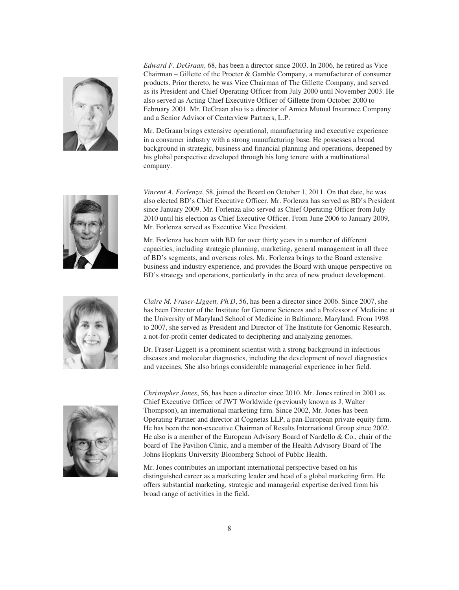

*Edward F. DeGraan*, 68, has been a director since 2003. In 2006, he retired as Vice Chairman – Gillette of the Procter & Gamble Company, a manufacturer of consumer products. Prior thereto, he was Vice Chairman of The Gillette Company, and served as its President and Chief Operating Officer from July 2000 until November 2003. He also served as Acting Chief Executive Officer of Gillette from October 2000 to February 2001. Mr. DeGraan also is a director of Amica Mutual Insurance Company and a Senior Advisor of Centerview Partners, L.P.

Mr. DeGraan brings extensive operational, manufacturing and executive experience in a consumer industry with a strong manufacturing base. He possesses a broad background in strategic, business and financial planning and operations, deepened by his global perspective developed through his long tenure with a multinational company.



*Vincent A. Forlenza*, 58, joined the Board on October 1, 2011. On that date, he was also elected BD's Chief Executive Officer. Mr. Forlenza has served as BD's President since January 2009. Mr. Forlenza also served as Chief Operating Officer from July 2010 until his election as Chief Executive Officer. From June 2006 to January 2009, Mr. Forlenza served as Executive Vice President.

Mr. Forlenza has been with BD for over thirty years in a number of different capacities, including strategic planning, marketing, general management in all three of BD's segments, and overseas roles. Mr. Forlenza brings to the Board extensive business and industry experience, and provides the Board with unique perspective on BD's strategy and operations, particularly in the area of new product development.



*Claire M. Fraser-Liggett, Ph.D*, 56, has been a director since 2006. Since 2007, she has been Director of the Institute for Genome Sciences and a Professor of Medicine at the University of Maryland School of Medicine in Baltimore, Maryland. From 1998 to 2007, she served as President and Director of The Institute for Genomic Research, a not-for-profit center dedicated to deciphering and analyzing genomes.

Dr. Fraser-Liggett is a prominent scientist with a strong background in infectious diseases and molecular diagnostics, including the development of novel diagnostics and vaccines. She also brings considerable managerial experience in her field.



*Christopher Jones*, 56, has been a director since 2010. Mr. Jones retired in 2001 as Chief Executive Officer of JWT Worldwide (previously known as J. Walter Thompson), an international marketing firm. Since 2002, Mr. Jones has been Operating Partner and director at Cognetas LLP, a pan-European private equity firm. He has been the non-executive Chairman of Results International Group since 2002. He also is a member of the European Advisory Board of Nardello & Co., chair of the board of The Pavilion Clinic, and a member of the Health Advisory Board of The Johns Hopkins University Bloomberg School of Public Health.

Mr. Jones contributes an important international perspective based on his distinguished career as a marketing leader and head of a global marketing firm. He offers substantial marketing, strategic and managerial expertise derived from his broad range of activities in the field.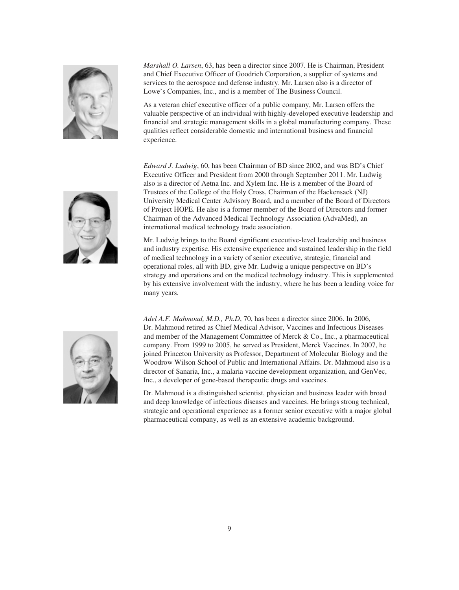

*Marshall O. Larsen*, 63, has been a director since 2007. He is Chairman, President and Chief Executive Officer of Goodrich Corporation, a supplier of systems and services to the aerospace and defense industry. Mr. Larsen also is a director of Lowe's Companies, Inc., and is a member of The Business Council.

As a veteran chief executive officer of a public company, Mr. Larsen offers the valuable perspective of an individual with highly-developed executive leadership and financial and strategic management skills in a global manufacturing company. These qualities reflect considerable domestic and international business and financial experience.

*Edward J. Ludwig*, 60, has been Chairman of BD since 2002, and was BD's Chief Executive Officer and President from 2000 through September 2011. Mr. Ludwig also is a director of Aetna Inc. and Xylem Inc. He is a member of the Board of Trustees of the College of the Holy Cross, Chairman of the Hackensack (NJ) University Medical Center Advisory Board, and a member of the Board of Directors of Project HOPE. He also is a former member of the Board of Directors and former Chairman of the Advanced Medical Technology Association (AdvaMed), an international medical technology trade association.

Mr. Ludwig brings to the Board significant executive-level leadership and business and industry expertise. His extensive experience and sustained leadership in the field of medical technology in a variety of senior executive, strategic, financial and operational roles, all with BD, give Mr. Ludwig a unique perspective on BD's strategy and operations and on the medical technology industry. This is supplemented by his extensive involvement with the industry, where he has been a leading voice for many years.



*Adel A.F. Mahmoud, M.D., Ph.D*, 70, has been a director since 2006. In 2006, Dr. Mahmoud retired as Chief Medical Advisor, Vaccines and Infectious Diseases and member of the Management Committee of Merck & Co., Inc., a pharmaceutical company. From 1999 to 2005, he served as President, Merck Vaccines. In 2007, he joined Princeton University as Professor, Department of Molecular Biology and the Woodrow Wilson School of Public and International Affairs. Dr. Mahmoud also is a director of Sanaria, Inc., a malaria vaccine development organization, and GenVec, Inc., a developer of gene-based therapeutic drugs and vaccines.

Dr. Mahmoud is a distinguished scientist, physician and business leader with broad and deep knowledge of infectious diseases and vaccines. He brings strong technical, strategic and operational experience as a former senior executive with a major global pharmaceutical company, as well as an extensive academic background.

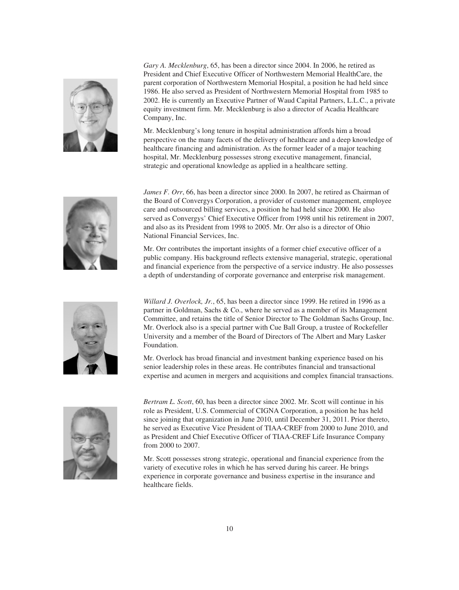

*Gary A. Mecklenburg*, 65, has been a director since 2004. In 2006, he retired as President and Chief Executive Officer of Northwestern Memorial HealthCare, the parent corporation of Northwestern Memorial Hospital, a position he had held since 1986. He also served as President of Northwestern Memorial Hospital from 1985 to 2002. He is currently an Executive Partner of Waud Capital Partners, L.L.C., a private equity investment firm. Mr. Mecklenburg is also a director of Acadia Healthcare Company, Inc.

Mr. Mecklenburg's long tenure in hospital administration affords him a broad perspective on the many facets of the delivery of healthcare and a deep knowledge of healthcare financing and administration. As the former leader of a major teaching hospital, Mr. Mecklenburg possesses strong executive management, financial, strategic and operational knowledge as applied in a healthcare setting.



*James F. Orr*, 66, has been a director since 2000. In 2007, he retired as Chairman of the Board of Convergys Corporation, a provider of customer management, employee care and outsourced billing services, a position he had held since 2000. He also served as Convergys' Chief Executive Officer from 1998 until his retirement in 2007, and also as its President from 1998 to 2005. Mr. Orr also is a director of Ohio National Financial Services, Inc.

Mr. Orr contributes the important insights of a former chief executive officer of a public company. His background reflects extensive managerial, strategic, operational and financial experience from the perspective of a service industry. He also possesses a depth of understanding of corporate governance and enterprise risk management.



*Willard J. Overlock, Jr.*, 65, has been a director since 1999. He retired in 1996 as a partner in Goldman, Sachs & Co., where he served as a member of its Management Committee, and retains the title of Senior Director to The Goldman Sachs Group, Inc. Mr. Overlock also is a special partner with Cue Ball Group, a trustee of Rockefeller University and a member of the Board of Directors of The Albert and Mary Lasker Foundation.

Mr. Overlock has broad financial and investment banking experience based on his senior leadership roles in these areas. He contributes financial and transactional expertise and acumen in mergers and acquisitions and complex financial transactions.



*Bertram L. Scott*, 60, has been a director since 2002. Mr. Scott will continue in his role as President, U.S. Commercial of CIGNA Corporation, a position he has held since joining that organization in June 2010, until December 31, 2011. Prior thereto, he served as Executive Vice President of TIAA-CREF from 2000 to June 2010, and as President and Chief Executive Officer of TIAA-CREF Life Insurance Company from 2000 to 2007.

Mr. Scott possesses strong strategic, operational and financial experience from the variety of executive roles in which he has served during his career. He brings experience in corporate governance and business expertise in the insurance and healthcare fields.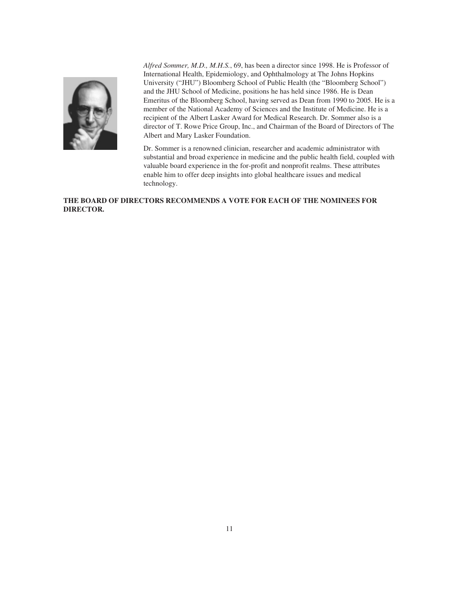

*Alfred Sommer, M.D., M.H.S.*, 69, has been a director since 1998. He is Professor of International Health, Epidemiology, and Ophthalmology at The Johns Hopkins University ("JHU") Bloomberg School of Public Health (the "Bloomberg School") and the JHU School of Medicine, positions he has held since 1986. He is Dean Emeritus of the Bloomberg School, having served as Dean from 1990 to 2005. He is a member of the National Academy of Sciences and the Institute of Medicine. He is a recipient of the Albert Lasker Award for Medical Research. Dr. Sommer also is a director of T. Rowe Price Group, Inc., and Chairman of the Board of Directors of The Albert and Mary Lasker Foundation.

Dr. Sommer is a renowned clinician, researcher and academic administrator with substantial and broad experience in medicine and the public health field, coupled with valuable board experience in the for-profit and nonprofit realms. These attributes enable him to offer deep insights into global healthcare issues and medical technology.

# **THE BOARD OF DIRECTORS RECOMMENDS A VOTE FOR EACH OF THE NOMINEES FOR DIRECTOR.**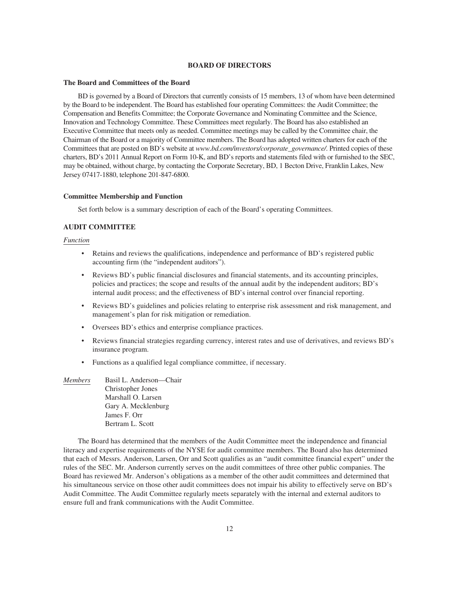### **BOARD OF DIRECTORS**

#### **The Board and Committees of the Board**

BD is governed by a Board of Directors that currently consists of 15 members, 13 of whom have been determined by the Board to be independent. The Board has established four operating Committees: the Audit Committee; the Compensation and Benefits Committee; the Corporate Governance and Nominating Committee and the Science, Innovation and Technology Committee. These Committees meet regularly. The Board has also established an Executive Committee that meets only as needed. Committee meetings may be called by the Committee chair, the Chairman of the Board or a majority of Committee members. The Board has adopted written charters for each of the Committees that are posted on BD's website at *www.bd.com/investors/corporate\_governance/*. Printed copies of these charters, BD's 2011 Annual Report on Form 10-K, and BD's reports and statements filed with or furnished to the SEC, may be obtained, without charge, by contacting the Corporate Secretary, BD, 1 Becton Drive, Franklin Lakes, New Jersey 07417-1880, telephone 201-847-6800.

### **Committee Membership and Function**

Set forth below is a summary description of each of the Board's operating Committees.

### **AUDIT COMMITTEE**

### *Function*

- Retains and reviews the qualifications, independence and performance of BD's registered public accounting firm (the "independent auditors").
- Reviews BD's public financial disclosures and financial statements, and its accounting principles, policies and practices; the scope and results of the annual audit by the independent auditors; BD's internal audit process; and the effectiveness of BD's internal control over financial reporting.
- Reviews BD's guidelines and policies relating to enterprise risk assessment and risk management, and management's plan for risk mitigation or remediation.
- Oversees BD's ethics and enterprise compliance practices.
- Reviews financial strategies regarding currency, interest rates and use of derivatives, and reviews BD's insurance program.
- Functions as a qualified legal compliance committee, if necessary.

| <i>Members</i> | Basil L. Anderson-Chair  |
|----------------|--------------------------|
|                | <b>Christopher Jones</b> |
|                | Marshall O. Larsen       |
|                | Gary A. Mecklenburg      |
|                | James F. Orr             |
|                | Bertram L. Scott         |

The Board has determined that the members of the Audit Committee meet the independence and financial literacy and expertise requirements of the NYSE for audit committee members. The Board also has determined that each of Messrs. Anderson, Larsen, Orr and Scott qualifies as an "audit committee financial expert" under the rules of the SEC. Mr. Anderson currently serves on the audit committees of three other public companies. The Board has reviewed Mr. Anderson's obligations as a member of the other audit committees and determined that his simultaneous service on those other audit committees does not impair his ability to effectively serve on BD's Audit Committee. The Audit Committee regularly meets separately with the internal and external auditors to ensure full and frank communications with the Audit Committee.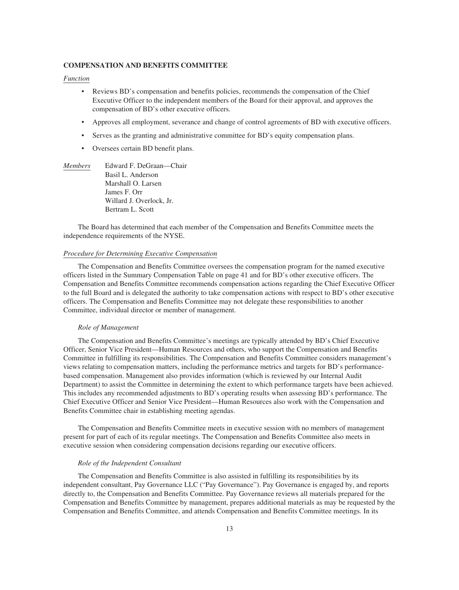### **COMPENSATION AND BENEFITS COMMITTEE**

### *Function*

- Reviews BD's compensation and benefits policies, recommends the compensation of the Chief Executive Officer to the independent members of the Board for their approval, and approves the compensation of BD's other executive officers.
- Approves all employment, severance and change of control agreements of BD with executive officers.
- Serves as the granting and administrative committee for BD's equity compensation plans.
- Oversees certain BD benefit plans.
- *Members* Edward F. DeGraan—Chair Basil L. Anderson Marshall O. Larsen James F. Orr Willard J. Overlock, Jr. Bertram L. Scott

The Board has determined that each member of the Compensation and Benefits Committee meets the independence requirements of the NYSE.

#### *Procedure for Determining Executive Compensation*

The Compensation and Benefits Committee oversees the compensation program for the named executive officers listed in the Summary Compensation Table on page 41 and for BD's other executive officers. The Compensation and Benefits Committee recommends compensation actions regarding the Chief Executive Officer to the full Board and is delegated the authority to take compensation actions with respect to BD's other executive officers. The Compensation and Benefits Committee may not delegate these responsibilities to another Committee, individual director or member of management.

#### *Role of Management*

The Compensation and Benefits Committee's meetings are typically attended by BD's Chief Executive Officer, Senior Vice President—Human Resources and others, who support the Compensation and Benefits Committee in fulfilling its responsibilities. The Compensation and Benefits Committee considers management's views relating to compensation matters, including the performance metrics and targets for BD's performancebased compensation. Management also provides information (which is reviewed by our Internal Audit Department) to assist the Committee in determining the extent to which performance targets have been achieved. This includes any recommended adjustments to BD's operating results when assessing BD's performance. The Chief Executive Officer and Senior Vice President—Human Resources also work with the Compensation and Benefits Committee chair in establishing meeting agendas.

The Compensation and Benefits Committee meets in executive session with no members of management present for part of each of its regular meetings. The Compensation and Benefits Committee also meets in executive session when considering compensation decisions regarding our executive officers.

## *Role of the Independent Consultant*

The Compensation and Benefits Committee is also assisted in fulfilling its responsibilities by its independent consultant, Pay Governance LLC ("Pay Governance"). Pay Governance is engaged by, and reports directly to, the Compensation and Benefits Committee. Pay Governance reviews all materials prepared for the Compensation and Benefits Committee by management, prepares additional materials as may be requested by the Compensation and Benefits Committee, and attends Compensation and Benefits Committee meetings. In its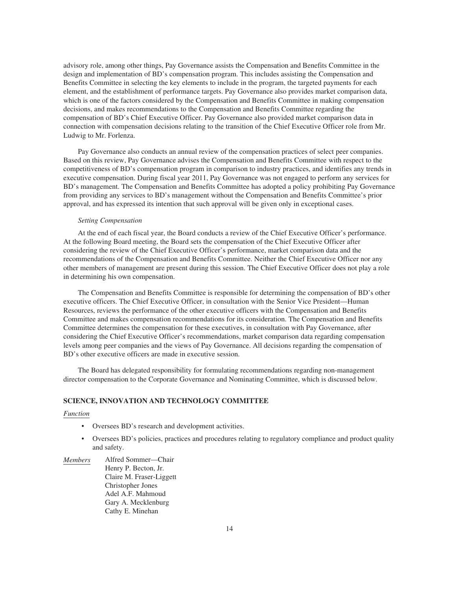advisory role, among other things, Pay Governance assists the Compensation and Benefits Committee in the design and implementation of BD's compensation program. This includes assisting the Compensation and Benefits Committee in selecting the key elements to include in the program, the targeted payments for each element, and the establishment of performance targets. Pay Governance also provides market comparison data, which is one of the factors considered by the Compensation and Benefits Committee in making compensation decisions, and makes recommendations to the Compensation and Benefits Committee regarding the compensation of BD's Chief Executive Officer. Pay Governance also provided market comparison data in connection with compensation decisions relating to the transition of the Chief Executive Officer role from Mr. Ludwig to Mr. Forlenza.

Pay Governance also conducts an annual review of the compensation practices of select peer companies. Based on this review, Pay Governance advises the Compensation and Benefits Committee with respect to the competitiveness of BD's compensation program in comparison to industry practices, and identifies any trends in executive compensation. During fiscal year 2011, Pay Governance was not engaged to perform any services for BD's management. The Compensation and Benefits Committee has adopted a policy prohibiting Pay Governance from providing any services to BD's management without the Compensation and Benefits Committee's prior approval, and has expressed its intention that such approval will be given only in exceptional cases.

### *Setting Compensation*

At the end of each fiscal year, the Board conducts a review of the Chief Executive Officer's performance. At the following Board meeting, the Board sets the compensation of the Chief Executive Officer after considering the review of the Chief Executive Officer's performance, market comparison data and the recommendations of the Compensation and Benefits Committee. Neither the Chief Executive Officer nor any other members of management are present during this session. The Chief Executive Officer does not play a role in determining his own compensation.

The Compensation and Benefits Committee is responsible for determining the compensation of BD's other executive officers. The Chief Executive Officer, in consultation with the Senior Vice President—Human Resources, reviews the performance of the other executive officers with the Compensation and Benefits Committee and makes compensation recommendations for its consideration. The Compensation and Benefits Committee determines the compensation for these executives, in consultation with Pay Governance, after considering the Chief Executive Officer's recommendations, market comparison data regarding compensation levels among peer companies and the views of Pay Governance. All decisions regarding the compensation of BD's other executive officers are made in executive session.

The Board has delegated responsibility for formulating recommendations regarding non-management director compensation to the Corporate Governance and Nominating Committee, which is discussed below.

## **SCIENCE, INNOVATION AND TECHNOLOGY COMMITTEE**

### *Function*

- Oversees BD's research and development activities.
- Oversees BD's policies, practices and procedures relating to regulatory compliance and product quality and safety.
- *Members* Alfred Sommer—Chair Henry P. Becton, Jr. Claire M. Fraser-Liggett Christopher Jones Adel A.F. Mahmoud Gary A. Mecklenburg Cathy E. Minehan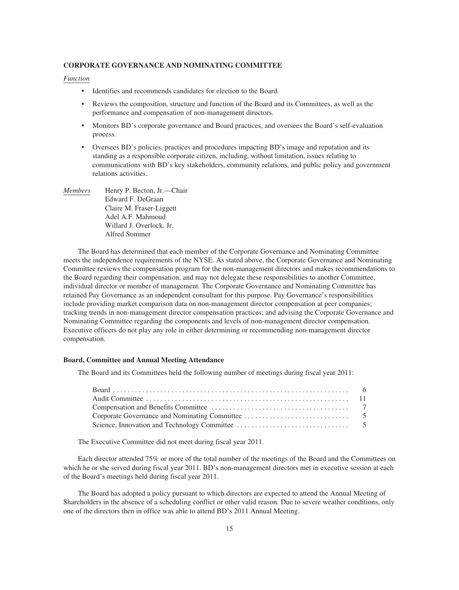### **CORPORATE GOVERNANCE AND NOMINATING COMMITTEE**

### *Function*

- Identifies and recommends candidates for election to the Board.
- Reviews the composition, structure and function of the Board and its Committees, as well as the performance and compensation of non-management directors.
- Monitors BD's corporate governance and Board practices, and oversees the Board's self-evaluation process.
- Oversees BD's policies, practices and procedures impacting BD's image and reputation and its standing as a responsible corporate citizen, including, without limitation, issues relating to communications with BD's key stakeholders, community relations, and public policy and government relations activities.
- *Members* Henry P. Becton, Jr.—Chair Edward F. DeGraan Claire M. Fraser-Liggett Adel A.F. Mahmoud Willard J. Overlock, Jr. Alfred Sommer

The Board has determined that each member of the Corporate Governance and Nominating Committee meets the independence requirements of the NYSE. As stated above, the Corporate Governance and Nominating Committee reviews the compensation program for the non-management directors and makes recommendations to the Board regarding their compensation, and may not delegate these responsibilities to another Committee, individual director or member of management. The Corporate Governance and Nominating Committee has retained Pay Governance as an independent consultant for this purpose. Pay Governance's responsibilities include providing market comparison data on non-management director compensation at peer companies; tracking trends in non-management director compensation practices; and advising the Corporate Governance and Nominating Committee regarding the components and levels of non-management director compensation. Executive officers do not play any role in either determining or recommending non-management director compensation.

## **Board, Committee and Annual Meeting Attendance**

The Board and its Committees held the following number of meetings during fiscal year 2011:

The Executive Committee did not meet during fiscal year 2011.

Each director attended 75% or more of the total number of the meetings of the Board and the Committees on which he or she served during fiscal year 2011. BD's non-management directors met in executive session at each of the Board's meetings held during fiscal year 2011.

The Board has adopted a policy pursuant to which directors are expected to attend the Annual Meeting of Shareholders in the absence of a scheduling conflict or other valid reason. Due to severe weather conditions, only one of the directors then in office was able to attend BD's 2011 Annual Meeting.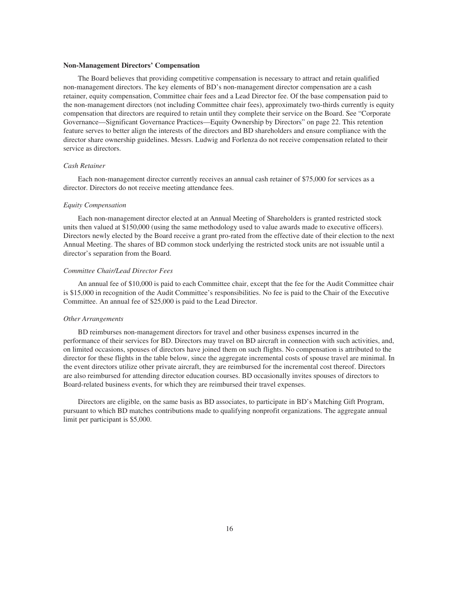#### **Non-Management Directors' Compensation**

The Board believes that providing competitive compensation is necessary to attract and retain qualified non-management directors. The key elements of BD's non-management director compensation are a cash retainer, equity compensation, Committee chair fees and a Lead Director fee. Of the base compensation paid to the non-management directors (not including Committee chair fees), approximately two-thirds currently is equity compensation that directors are required to retain until they complete their service on the Board. See "Corporate Governance—Significant Governance Practices—Equity Ownership by Directors" on page 22. This retention feature serves to better align the interests of the directors and BD shareholders and ensure compliance with the director share ownership guidelines. Messrs. Ludwig and Forlenza do not receive compensation related to their service as directors.

### *Cash Retainer*

Each non-management director currently receives an annual cash retainer of \$75,000 for services as a director. Directors do not receive meeting attendance fees.

### *Equity Compensation*

Each non-management director elected at an Annual Meeting of Shareholders is granted restricted stock units then valued at \$150,000 (using the same methodology used to value awards made to executive officers). Directors newly elected by the Board receive a grant pro-rated from the effective date of their election to the next Annual Meeting. The shares of BD common stock underlying the restricted stock units are not issuable until a director's separation from the Board.

### *Committee Chair/Lead Director Fees*

An annual fee of \$10,000 is paid to each Committee chair, except that the fee for the Audit Committee chair is \$15,000 in recognition of the Audit Committee's responsibilities. No fee is paid to the Chair of the Executive Committee. An annual fee of \$25,000 is paid to the Lead Director.

### *Other Arrangements*

BD reimburses non-management directors for travel and other business expenses incurred in the performance of their services for BD. Directors may travel on BD aircraft in connection with such activities, and, on limited occasions, spouses of directors have joined them on such flights. No compensation is attributed to the director for these flights in the table below, since the aggregate incremental costs of spouse travel are minimal. In the event directors utilize other private aircraft, they are reimbursed for the incremental cost thereof. Directors are also reimbursed for attending director education courses. BD occasionally invites spouses of directors to Board-related business events, for which they are reimbursed their travel expenses.

Directors are eligible, on the same basis as BD associates, to participate in BD's Matching Gift Program, pursuant to which BD matches contributions made to qualifying nonprofit organizations. The aggregate annual limit per participant is \$5,000.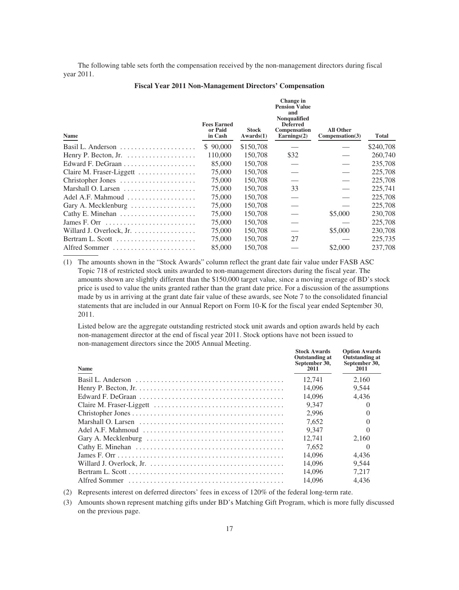The following table sets forth the compensation received by the non-management directors during fiscal year 2011.

| Name                                                              | <b>Fees Earned</b><br>or Paid<br>in Cash | <b>Stock</b><br>Awards(1) | <b>Pension Value</b><br>and<br><b>Nonqualified</b><br><b>Deferred</b><br>Compensation<br>Earnings $(2)$ | <b>All Other</b><br>Compensation(3) | Total     |
|-------------------------------------------------------------------|------------------------------------------|---------------------------|---------------------------------------------------------------------------------------------------------|-------------------------------------|-----------|
| Basil L. Anderson $\dots \dots \dots \dots \dots \dots$           | \$90,000                                 | \$150,708                 |                                                                                                         |                                     | \$240,708 |
|                                                                   | 110,000                                  | 150,708                   | \$32                                                                                                    |                                     | 260,740   |
|                                                                   | 85,000                                   | 150,708                   |                                                                                                         |                                     | 235,708   |
| Claire M. Fraser-Liggett                                          | 75,000                                   | 150,708                   |                                                                                                         |                                     | 225,708   |
| Christopher Jones                                                 | 75,000                                   | 150,708                   |                                                                                                         |                                     | 225,708   |
|                                                                   | 75,000                                   | 150,708                   | 33                                                                                                      |                                     | 225,741   |
| Adel A.F. Mahmoud                                                 | 75,000                                   | 150,708                   |                                                                                                         |                                     | 225,708   |
| Gary A. Mecklenburg                                               | 75,000                                   | 150,708                   |                                                                                                         |                                     | 225,708   |
|                                                                   | 75,000                                   | 150,708                   |                                                                                                         | \$5,000                             | 230,708   |
| James F. Orr $\dots\dots\dots\dots\dots\dots\dots\dots\dots\dots$ | 75,000                                   | 150,708                   |                                                                                                         |                                     | 225,708   |
| Willard J. Overlock, Jr.                                          | 75,000                                   | 150,708                   |                                                                                                         | \$5,000                             | 230,708   |
|                                                                   | 75,000                                   | 150,708                   | 27                                                                                                      |                                     | 225,735   |
| Alfred Sommer                                                     | 85,000                                   | 150,708                   |                                                                                                         | \$2,000                             | 237,708   |
|                                                                   |                                          |                           |                                                                                                         |                                     |           |

#### **Fiscal Year 2011 Non-Management Directors' Compensation**

**Change in**

(1) The amounts shown in the "Stock Awards" column reflect the grant date fair value under FASB ASC Topic 718 of restricted stock units awarded to non-management directors during the fiscal year. The amounts shown are slightly different than the \$150,000 target value, since a moving average of BD's stock price is used to value the units granted rather than the grant date price. For a discussion of the assumptions made by us in arriving at the grant date fair value of these awards, see Note 7 to the consolidated financial statements that are included in our Annual Report on Form 10-K for the fiscal year ended September 30, 2011.

Listed below are the aggregate outstanding restricted stock unit awards and option awards held by each non-management director at the end of fiscal year 2011. Stock options have not been issued to non-management directors since the 2005 Annual Meeting.

| <b>Name</b>                                                                                             | <b>Stock Awards</b><br>Outstanding at<br>September 30,<br>2011 | <b>Option Awards</b><br><b>Outstanding at</b><br>September 30,<br>2011 |
|---------------------------------------------------------------------------------------------------------|----------------------------------------------------------------|------------------------------------------------------------------------|
|                                                                                                         | 12.741                                                         | 2.160                                                                  |
|                                                                                                         | 14,096                                                         | 9,544                                                                  |
|                                                                                                         | 14,096                                                         | 4,436                                                                  |
|                                                                                                         | 9.347                                                          |                                                                        |
|                                                                                                         | 2.996                                                          |                                                                        |
|                                                                                                         | 7.652                                                          |                                                                        |
| Adel A.F. Mahmoud $\ldots \ldots \ldots \ldots \ldots \ldots \ldots \ldots \ldots \ldots \ldots \ldots$ | 9.347                                                          |                                                                        |
| Gary A. Mecklenburg $\dots \dots \dots \dots \dots \dots \dots \dots \dots \dots \dots \dots$           | 12.741                                                         | 2.160                                                                  |
|                                                                                                         | 7.652                                                          | $\theta$                                                               |
|                                                                                                         | 14,096                                                         | 4.436                                                                  |
|                                                                                                         | 14.096                                                         | 9.544                                                                  |
|                                                                                                         | 14.096                                                         | 7.217                                                                  |
|                                                                                                         | 14,096                                                         | 4.436                                                                  |

(2) Represents interest on deferred directors' fees in excess of 120% of the federal long-term rate.

(3) Amounts shown represent matching gifts under BD's Matching Gift Program, which is more fully discussed on the previous page.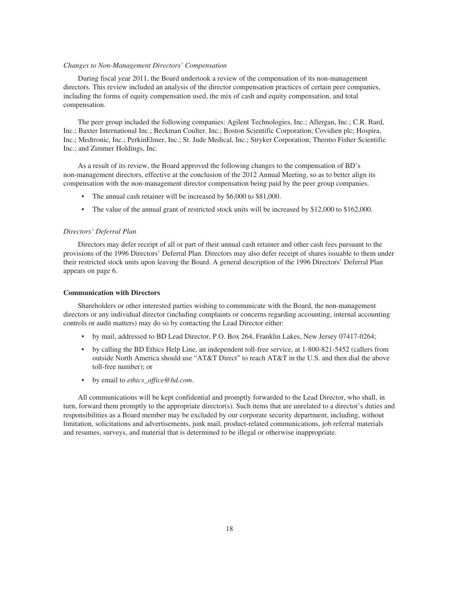#### *Changes to Non-Management Directors' Compensation*

During fiscal year 2011, the Board undertook a review of the compensation of its non-management directors. This review included an analysis of the director compensation practices of certain peer companies, including the forms of equity compensation used, the mix of cash and equity compensation, and total compensation.

The peer group included the following companies: Agilent Technologies, Inc.; Allergan, Inc.; C.R. Bard, Inc.; Baxter International Inc.; Beckman Coulter, Inc.; Boston Scientific Corporation; Covidien plc; Hospira, Inc.; Medtronic, Inc.; PerkinElmer, Inc.; St. Jude Medical, Inc.; Stryker Corporation; Thermo Fisher Scientific Inc.; and Zimmer Holdings, Inc.

As a result of its review, the Board approved the following changes to the compensation of BD's non-management directors, effective at the conclusion of the 2012 Annual Meeting, so as to better align its compensation with the non-management director compensation being paid by the peer group companies.

- The annual cash retainer will be increased by \$6,000 to \$81,000.
- The value of the annual grant of restricted stock units will be increased by \$12,000 to \$162,000.

# *Directors' Deferral Plan*

Directors may defer receipt of all or part of their annual cash retainer and other cash fees pursuant to the provisions of the 1996 Directors' Deferral Plan. Directors may also defer receipt of shares issuable to them under their restricted stock units upon leaving the Board. A general description of the 1996 Directors' Deferral Plan appears on page 6.

### **Communication with Directors**

Shareholders or other interested parties wishing to communicate with the Board, the non-management directors or any individual director (including complaints or concerns regarding accounting, internal accounting controls or audit matters) may do so by contacting the Lead Director either:

- by mail, addressed to BD Lead Director, P.O. Box 264, Franklin Lakes, New Jersey 07417-0264;
- by calling the BD Ethics Help Line, an independent toll-free service, at 1-800-821-5452 (callers from outside North America should use "AT&T Direct" to reach AT&T in the U.S. and then dial the above toll-free number); or
- by email to *ethics\_office@bd.com*.

All communications will be kept confidential and promptly forwarded to the Lead Director, who shall, in turn, forward them promptly to the appropriate director(s). Such items that are unrelated to a director's duties and responsibilities as a Board member may be excluded by our corporate security department, including, without limitation, solicitations and advertisements, junk mail, product-related communications, job referral materials and resumes, surveys, and material that is determined to be illegal or otherwise inappropriate.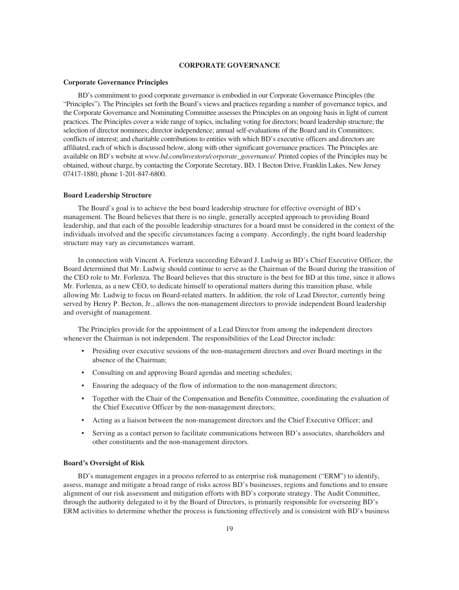## **CORPORATE GOVERNANCE**

### **Corporate Governance Principles**

BD's commitment to good corporate governance is embodied in our Corporate Governance Principles (the "Principles"). The Principles set forth the Board's views and practices regarding a number of governance topics, and the Corporate Governance and Nominating Committee assesses the Principles on an ongoing basis in light of current practices. The Principles cover a wide range of topics, including voting for directors; board leadership structure; the selection of director nominees; director independence; annual self-evaluations of the Board and its Committees; conflicts of interest; and charitable contributions to entities with which BD's executive officers and directors are affiliated, each of which is discussed below, along with other significant governance practices. The Principles are available on BD's website at *www.bd.com/investors/corporate\_governance/.* Printed copies of the Principles may be obtained, without charge, by contacting the Corporate Secretary, BD, 1 Becton Drive, Franklin Lakes, New Jersey 07417-1880, phone 1-201-847-6800.

### **Board Leadership Structure**

The Board's goal is to achieve the best board leadership structure for effective oversight of BD's management. The Board believes that there is no single, generally accepted approach to providing Board leadership, and that each of the possible leadership structures for a board must be considered in the context of the individuals involved and the specific circumstances facing a company. Accordingly, the right board leadership structure may vary as circumstances warrant.

In connection with Vincent A. Forlenza succeeding Edward J. Ludwig as BD's Chief Executive Officer, the Board determined that Mr. Ludwig should continue to serve as the Chairman of the Board during the transition of the CEO role to Mr. Forlenza. The Board believes that this structure is the best for BD at this time, since it allows Mr. Forlenza, as a new CEO, to dedicate himself to operational matters during this transition phase, while allowing Mr. Ludwig to focus on Board-related matters. In addition, the role of Lead Director, currently being served by Henry P. Becton, Jr., allows the non-management directors to provide independent Board leadership and oversight of management.

The Principles provide for the appointment of a Lead Director from among the independent directors whenever the Chairman is not independent. The responsibilities of the Lead Director include:

- Presiding over executive sessions of the non-management directors and over Board meetings in the absence of the Chairman;
- Consulting on and approving Board agendas and meeting schedules;
- Ensuring the adequacy of the flow of information to the non-management directors;
- Together with the Chair of the Compensation and Benefits Committee, coordinating the evaluation of the Chief Executive Officer by the non-management directors;
- Acting as a liaison between the non-management directors and the Chief Executive Officer; and
- Serving as a contact person to facilitate communications between BD's associates, shareholders and other constituents and the non-management directors.

# **Board's Oversight of Risk**

BD's management engages in a process referred to as enterprise risk management ("ERM") to identify, assess, manage and mitigate a broad range of risks across BD's businesses, regions and functions and to ensure alignment of our risk assessment and mitigation efforts with BD's corporate strategy. The Audit Committee, through the authority delegated to it by the Board of Directors, is primarily responsible for overseeing BD's ERM activities to determine whether the process is functioning effectively and is consistent with BD's business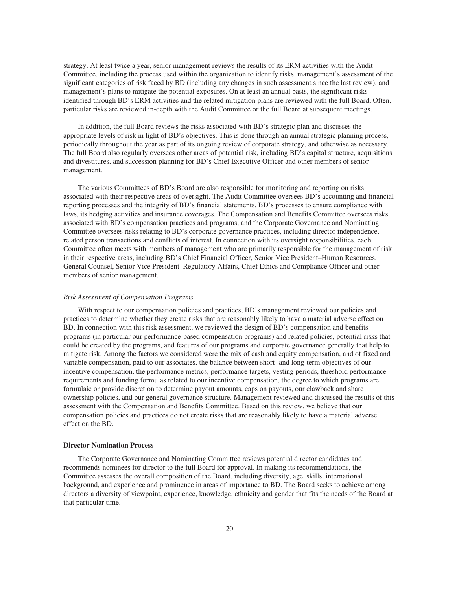strategy. At least twice a year, senior management reviews the results of its ERM activities with the Audit Committee, including the process used within the organization to identify risks, management's assessment of the significant categories of risk faced by BD (including any changes in such assessment since the last review), and management's plans to mitigate the potential exposures. On at least an annual basis, the significant risks identified through BD's ERM activities and the related mitigation plans are reviewed with the full Board. Often, particular risks are reviewed in-depth with the Audit Committee or the full Board at subsequent meetings.

In addition, the full Board reviews the risks associated with BD's strategic plan and discusses the appropriate levels of risk in light of BD's objectives. This is done through an annual strategic planning process, periodically throughout the year as part of its ongoing review of corporate strategy, and otherwise as necessary. The full Board also regularly oversees other areas of potential risk, including BD's capital structure, acquisitions and divestitures, and succession planning for BD's Chief Executive Officer and other members of senior management.

The various Committees of BD's Board are also responsible for monitoring and reporting on risks associated with their respective areas of oversight. The Audit Committee oversees BD's accounting and financial reporting processes and the integrity of BD's financial statements, BD's processes to ensure compliance with laws, its hedging activities and insurance coverages. The Compensation and Benefits Committee oversees risks associated with BD's compensation practices and programs, and the Corporate Governance and Nominating Committee oversees risks relating to BD's corporate governance practices, including director independence, related person transactions and conflicts of interest. In connection with its oversight responsibilities, each Committee often meets with members of management who are primarily responsible for the management of risk in their respective areas, including BD's Chief Financial Officer, Senior Vice President–Human Resources, General Counsel, Senior Vice President–Regulatory Affairs, Chief Ethics and Compliance Officer and other members of senior management.

### *Risk Assessment of Compensation Programs*

With respect to our compensation policies and practices, BD's management reviewed our policies and practices to determine whether they create risks that are reasonably likely to have a material adverse effect on BD. In connection with this risk assessment, we reviewed the design of BD's compensation and benefits programs (in particular our performance-based compensation programs) and related policies, potential risks that could be created by the programs, and features of our programs and corporate governance generally that help to mitigate risk. Among the factors we considered were the mix of cash and equity compensation, and of fixed and variable compensation, paid to our associates, the balance between short- and long-term objectives of our incentive compensation, the performance metrics, performance targets, vesting periods, threshold performance requirements and funding formulas related to our incentive compensation, the degree to which programs are formulaic or provide discretion to determine payout amounts, caps on payouts, our clawback and share ownership policies, and our general governance structure. Management reviewed and discussed the results of this assessment with the Compensation and Benefits Committee. Based on this review, we believe that our compensation policies and practices do not create risks that are reasonably likely to have a material adverse effect on the BD.

### **Director Nomination Process**

The Corporate Governance and Nominating Committee reviews potential director candidates and recommends nominees for director to the full Board for approval. In making its recommendations, the Committee assesses the overall composition of the Board, including diversity, age, skills, international background, and experience and prominence in areas of importance to BD. The Board seeks to achieve among directors a diversity of viewpoint, experience, knowledge, ethnicity and gender that fits the needs of the Board at that particular time.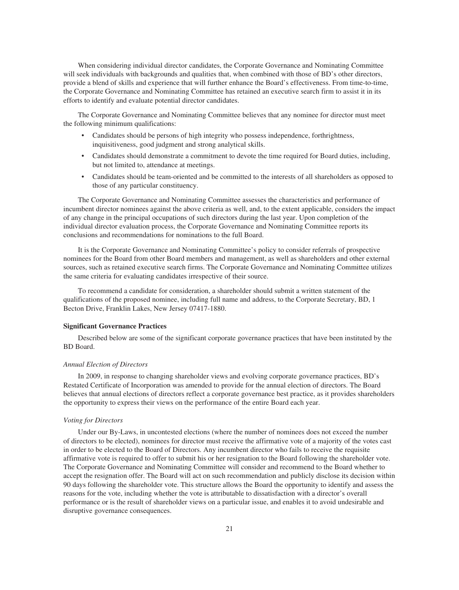When considering individual director candidates, the Corporate Governance and Nominating Committee will seek individuals with backgrounds and qualities that, when combined with those of BD's other directors, provide a blend of skills and experience that will further enhance the Board's effectiveness. From time-to-time, the Corporate Governance and Nominating Committee has retained an executive search firm to assist it in its efforts to identify and evaluate potential director candidates.

The Corporate Governance and Nominating Committee believes that any nominee for director must meet the following minimum qualifications:

- Candidates should be persons of high integrity who possess independence, forthrightness, inquisitiveness, good judgment and strong analytical skills.
- Candidates should demonstrate a commitment to devote the time required for Board duties, including, but not limited to, attendance at meetings.
- Candidates should be team-oriented and be committed to the interests of all shareholders as opposed to those of any particular constituency.

The Corporate Governance and Nominating Committee assesses the characteristics and performance of incumbent director nominees against the above criteria as well, and, to the extent applicable, considers the impact of any change in the principal occupations of such directors during the last year. Upon completion of the individual director evaluation process, the Corporate Governance and Nominating Committee reports its conclusions and recommendations for nominations to the full Board.

It is the Corporate Governance and Nominating Committee's policy to consider referrals of prospective nominees for the Board from other Board members and management, as well as shareholders and other external sources, such as retained executive search firms. The Corporate Governance and Nominating Committee utilizes the same criteria for evaluating candidates irrespective of their source.

To recommend a candidate for consideration, a shareholder should submit a written statement of the qualifications of the proposed nominee, including full name and address, to the Corporate Secretary, BD, 1 Becton Drive, Franklin Lakes, New Jersey 07417-1880.

### **Significant Governance Practices**

Described below are some of the significant corporate governance practices that have been instituted by the BD Board.

### *Annual Election of Directors*

In 2009, in response to changing shareholder views and evolving corporate governance practices, BD's Restated Certificate of Incorporation was amended to provide for the annual election of directors. The Board believes that annual elections of directors reflect a corporate governance best practice, as it provides shareholders the opportunity to express their views on the performance of the entire Board each year.

#### *Voting for Directors*

Under our By-Laws, in uncontested elections (where the number of nominees does not exceed the number of directors to be elected), nominees for director must receive the affirmative vote of a majority of the votes cast in order to be elected to the Board of Directors. Any incumbent director who fails to receive the requisite affirmative vote is required to offer to submit his or her resignation to the Board following the shareholder vote. The Corporate Governance and Nominating Committee will consider and recommend to the Board whether to accept the resignation offer. The Board will act on such recommendation and publicly disclose its decision within 90 days following the shareholder vote. This structure allows the Board the opportunity to identify and assess the reasons for the vote, including whether the vote is attributable to dissatisfaction with a director's overall performance or is the result of shareholder views on a particular issue, and enables it to avoid undesirable and disruptive governance consequences.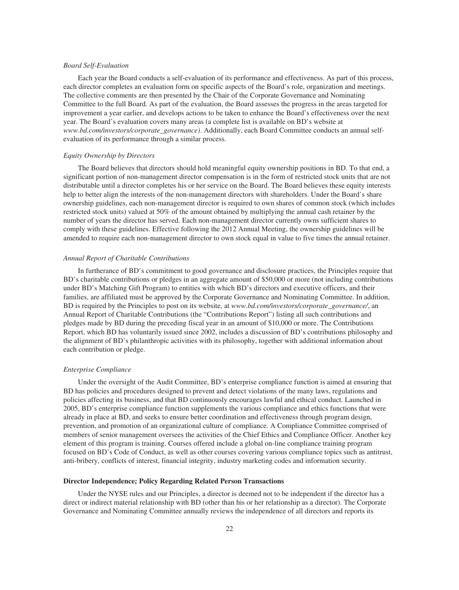#### *Board Self-Evaluation*

Each year the Board conducts a self-evaluation of its performance and effectiveness. As part of this process, each director completes an evaluation form on specific aspects of the Board's role, organization and meetings. The collective comments are then presented by the Chair of the Corporate Governance and Nominating Committee to the full Board. As part of the evaluation, the Board assesses the progress in the areas targeted for improvement a year earlier, and develops actions to be taken to enhance the Board's effectiveness over the next year. The Board's evaluation covers many areas (a complete list is available on BD's website at *www.bd.com/investors/corporate\_governance)*. Additionally, each Board Committee conducts an annual selfevaluation of its performance through a similar process.

## *Equity Ownership by Directors*

The Board believes that directors should hold meaningful equity ownership positions in BD. To that end, a significant portion of non-management director compensation is in the form of restricted stock units that are not distributable until a director completes his or her service on the Board. The Board believes these equity interests help to better align the interests of the non-management directors with shareholders. Under the Board's share ownership guidelines, each non-management director is required to own shares of common stock (which includes restricted stock units) valued at 50% of the amount obtained by multiplying the annual cash retainer by the number of years the director has served. Each non-management director currently owns sufficient shares to comply with these guidelines. Effective following the 2012 Annual Meeting, the ownership guidelines will be amended to require each non-management director to own stock equal in value to five times the annual retainer.

## *Annual Report of Charitable Contributions*

In furtherance of BD's commitment to good governance and disclosure practices, the Principles require that BD's charitable contributions or pledges in an aggregate amount of \$50,000 or more (not including contributions under BD's Matching Gift Program) to entities with which BD's directors and executive officers, and their families, are affiliated must be approved by the Corporate Governance and Nominating Committee. In addition, BD is required by the Principles to post on its website, at *www.bd.com/investors/corporate\_governance/*, an Annual Report of Charitable Contributions (the "Contributions Report") listing all such contributions and pledges made by BD during the preceding fiscal year in an amount of \$10,000 or more. The Contributions Report, which BD has voluntarily issued since 2002, includes a discussion of BD's contributions philosophy and the alignment of BD's philanthropic activities with its philosophy, together with additional information about each contribution or pledge.

### *Enterprise Compliance*

Under the oversight of the Audit Committee, BD's enterprise compliance function is aimed at ensuring that BD has policies and procedures designed to prevent and detect violations of the many laws, regulations and policies affecting its business, and that BD continuously encourages lawful and ethical conduct. Launched in 2005, BD's enterprise compliance function supplements the various compliance and ethics functions that were already in place at BD, and seeks to ensure better coordination and effectiveness through program design, prevention, and promotion of an organizational culture of compliance. A Compliance Committee comprised of members of senior management oversees the activities of the Chief Ethics and Compliance Officer. Another key element of this program is training. Courses offered include a global on-line compliance training program focused on BD's Code of Conduct, as well as other courses covering various compliance topics such as antitrust, anti-bribery, conflicts of interest, financial integrity, industry marketing codes and information security.

### **Director Independence; Policy Regarding Related Person Transactions**

Under the NYSE rules and our Principles, a director is deemed not to be independent if the director has a direct or indirect material relationship with BD (other than his or her relationship as a director). The Corporate Governance and Nominating Committee annually reviews the independence of all directors and reports its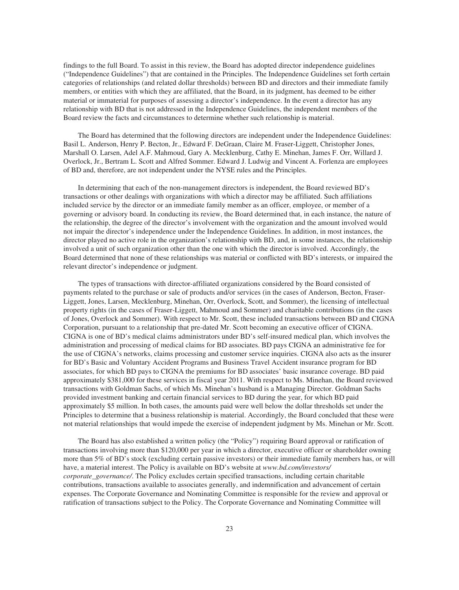findings to the full Board. To assist in this review, the Board has adopted director independence guidelines ("Independence Guidelines") that are contained in the Principles. The Independence Guidelines set forth certain categories of relationships (and related dollar thresholds) between BD and directors and their immediate family members, or entities with which they are affiliated, that the Board, in its judgment, has deemed to be either material or immaterial for purposes of assessing a director's independence. In the event a director has any relationship with BD that is not addressed in the Independence Guidelines, the independent members of the Board review the facts and circumstances to determine whether such relationship is material.

The Board has determined that the following directors are independent under the Independence Guidelines: Basil L. Anderson, Henry P. Becton, Jr., Edward F. DeGraan, Claire M. Fraser-Liggett, Christopher Jones, Marshall O. Larsen, Adel A.F. Mahmoud, Gary A. Mecklenburg, Cathy E. Minehan, James F. Orr, Willard J. Overlock, Jr., Bertram L. Scott and Alfred Sommer. Edward J. Ludwig and Vincent A. Forlenza are employees of BD and, therefore, are not independent under the NYSE rules and the Principles.

In determining that each of the non-management directors is independent, the Board reviewed BD's transactions or other dealings with organizations with which a director may be affiliated. Such affiliations included service by the director or an immediate family member as an officer, employee, or member of a governing or advisory board. In conducting its review, the Board determined that, in each instance, the nature of the relationship, the degree of the director's involvement with the organization and the amount involved would not impair the director's independence under the Independence Guidelines. In addition, in most instances, the director played no active role in the organization's relationship with BD, and, in some instances, the relationship involved a unit of such organization other than the one with which the director is involved. Accordingly, the Board determined that none of these relationships was material or conflicted with BD's interests, or impaired the relevant director's independence or judgment.

The types of transactions with director-affiliated organizations considered by the Board consisted of payments related to the purchase or sale of products and/or services (in the cases of Anderson, Becton, Fraser-Liggett, Jones, Larsen, Mecklenburg, Minehan, Orr, Overlock, Scott, and Sommer), the licensing of intellectual property rights (in the cases of Fraser-Liggett, Mahmoud and Sommer) and charitable contributions (in the cases of Jones, Overlock and Sommer). With respect to Mr. Scott, these included transactions between BD and CIGNA Corporation, pursuant to a relationship that pre-dated Mr. Scott becoming an executive officer of CIGNA. CIGNA is one of BD's medical claims administrators under BD's self-insured medical plan, which involves the administration and processing of medical claims for BD associates. BD pays CIGNA an administrative fee for the use of CIGNA's networks, claims processing and customer service inquiries. CIGNA also acts as the insurer for BD's Basic and Voluntary Accident Programs and Business Travel Accident insurance program for BD associates, for which BD pays to CIGNA the premiums for BD associates' basic insurance coverage. BD paid approximately \$381,000 for these services in fiscal year 2011. With respect to Ms. Minehan, the Board reviewed transactions with Goldman Sachs, of which Ms. Minehan's husband is a Managing Director. Goldman Sachs provided investment banking and certain financial services to BD during the year, for which BD paid approximately \$5 million. In both cases, the amounts paid were well below the dollar thresholds set under the Principles to determine that a business relationship is material. Accordingly, the Board concluded that these were not material relationships that would impede the exercise of independent judgment by Ms. Minehan or Mr. Scott.

The Board has also established a written policy (the "Policy") requiring Board approval or ratification of transactions involving more than \$120,000 per year in which a director, executive officer or shareholder owning more than 5% of BD's stock (excluding certain passive investors) or their immediate family members has, or will have, a material interest. The Policy is available on BD's website at *www.bd.com/investors/ corporate\_governance/*. The Policy excludes certain specified transactions, including certain charitable contributions, transactions available to associates generally, and indemnification and advancement of certain expenses. The Corporate Governance and Nominating Committee is responsible for the review and approval or ratification of transactions subject to the Policy. The Corporate Governance and Nominating Committee will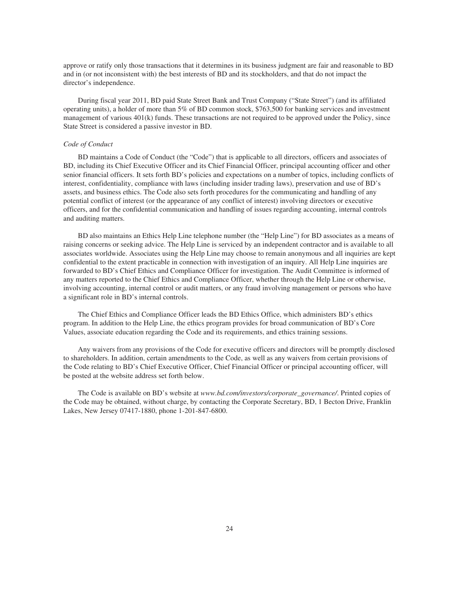approve or ratify only those transactions that it determines in its business judgment are fair and reasonable to BD and in (or not inconsistent with) the best interests of BD and its stockholders, and that do not impact the director's independence.

During fiscal year 2011, BD paid State Street Bank and Trust Company ("State Street") (and its affiliated operating units), a holder of more than 5% of BD common stock, \$763,500 for banking services and investment management of various 401(k) funds. These transactions are not required to be approved under the Policy, since State Street is considered a passive investor in BD.

### *Code of Conduct*

BD maintains a Code of Conduct (the "Code") that is applicable to all directors, officers and associates of BD, including its Chief Executive Officer and its Chief Financial Officer, principal accounting officer and other senior financial officers. It sets forth BD's policies and expectations on a number of topics, including conflicts of interest, confidentiality, compliance with laws (including insider trading laws), preservation and use of BD's assets, and business ethics. The Code also sets forth procedures for the communicating and handling of any potential conflict of interest (or the appearance of any conflict of interest) involving directors or executive officers, and for the confidential communication and handling of issues regarding accounting, internal controls and auditing matters.

BD also maintains an Ethics Help Line telephone number (the "Help Line") for BD associates as a means of raising concerns or seeking advice. The Help Line is serviced by an independent contractor and is available to all associates worldwide. Associates using the Help Line may choose to remain anonymous and all inquiries are kept confidential to the extent practicable in connection with investigation of an inquiry. All Help Line inquiries are forwarded to BD's Chief Ethics and Compliance Officer for investigation. The Audit Committee is informed of any matters reported to the Chief Ethics and Compliance Officer, whether through the Help Line or otherwise, involving accounting, internal control or audit matters, or any fraud involving management or persons who have a significant role in BD's internal controls.

The Chief Ethics and Compliance Officer leads the BD Ethics Office, which administers BD's ethics program. In addition to the Help Line, the ethics program provides for broad communication of BD's Core Values, associate education regarding the Code and its requirements, and ethics training sessions.

Any waivers from any provisions of the Code for executive officers and directors will be promptly disclosed to shareholders. In addition, certain amendments to the Code, as well as any waivers from certain provisions of the Code relating to BD's Chief Executive Officer, Chief Financial Officer or principal accounting officer, will be posted at the website address set forth below.

The Code is available on BD's website at *www.bd.com/investors/corporate\_governance/*. Printed copies of the Code may be obtained, without charge, by contacting the Corporate Secretary, BD, 1 Becton Drive, Franklin Lakes, New Jersey 07417-1880, phone 1-201-847-6800.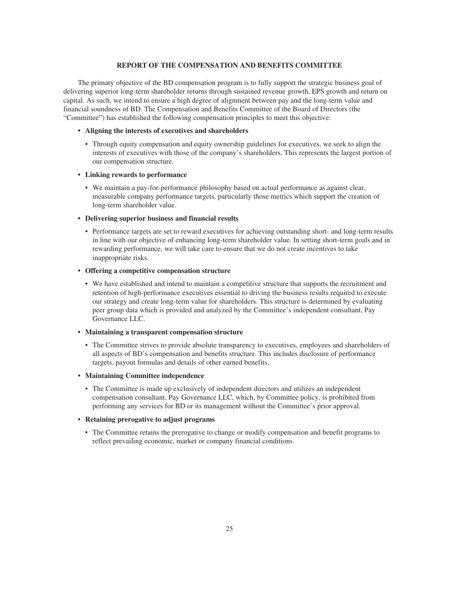## **REPORT OF THE COMPENSATION AND BENEFITS COMMITTEE**

The primary objective of the BD compensation program is to fully support the strategic business goal of delivering superior long-term shareholder returns through sustained revenue growth, EPS growth and return on capital. As such, we intend to ensure a high degree of alignment between pay and the long-term value and financial soundness of BD. The Compensation and Benefits Committee of the Board of Directors (the "Committee") has established the following compensation principles to meet this objective:

# **• Aligning the interests of executives and shareholders**

• Through equity compensation and equity ownership guidelines for executives, we seek to align the interests of executives with those of the company's shareholders. This represents the largest portion of our compensation structure.

### **• Linking rewards to performance**

• We maintain a pay-for-performance philosophy based on actual performance as against clear, measurable company performance targets, particularly those metrics which support the creation of long-term shareholder value.

# **• Delivering superior business and financial results**

• Performance targets are set to reward executives for achieving outstanding short- and long-term results in line with our objective of enhancing long-term shareholder value. In setting short-term goals and in rewarding performance, we will take care to ensure that we do not create incentives to take inappropriate risks.

### **• Offering a competitive compensation structure**

• We have established and intend to maintain a competitive structure that supports the recruitment and retention of high-performance executives essential to driving the business results required to execute our strategy and create long-term value for shareholders. This structure is determined by evaluating peer group data which is provided and analyzed by the Committee's independent consultant, Pay Governance LLC.

### **• Maintaining a transparent compensation structure**

• The Committee strives to provide absolute transparency to executives, employees and shareholders of all aspects of BD's compensation and benefits structure. This includes disclosure of performance targets, payout formulas and details of other earned benefits.

## **• Maintaining Committee independence**

• The Committee is made up exclusively of independent directors and utilizes an independent compensation consultant, Pay Governance LLC, which, by Committee policy, is prohibited from performing any services for BD or its management without the Committee's prior approval.

# **• Retaining prerogative to adjust programs**

• The Committee retains the prerogative to change or modify compensation and benefit programs to reflect prevailing economic, market or company financial conditions.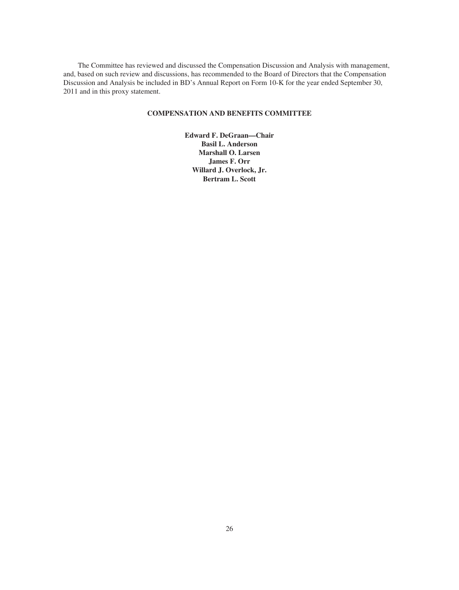The Committee has reviewed and discussed the Compensation Discussion and Analysis with management, and, based on such review and discussions, has recommended to the Board of Directors that the Compensation Discussion and Analysis be included in BD's Annual Report on Form 10-K for the year ended September 30, 2011 and in this proxy statement.

# **COMPENSATION AND BENEFITS COMMITTEE**

**Edward F. DeGraan—Chair Basil L. Anderson Marshall O. Larsen James F. Orr Willard J. Overlock, Jr. Bertram L. Scott**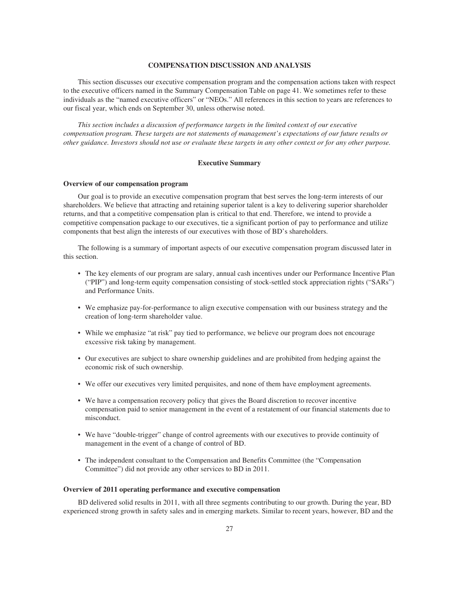### **COMPENSATION DISCUSSION AND ANALYSIS**

This section discusses our executive compensation program and the compensation actions taken with respect to the executive officers named in the Summary Compensation Table on page 41. We sometimes refer to these individuals as the "named executive officers" or "NEOs." All references in this section to years are references to our fiscal year, which ends on September 30, unless otherwise noted.

*This section includes a discussion of performance targets in the limited context of our executive compensation program. These targets are not statements of management's expectations of our future results or other guidance. Investors should not use or evaluate these targets in any other context or for any other purpose.*

### **Executive Summary**

### **Overview of our compensation program**

Our goal is to provide an executive compensation program that best serves the long-term interests of our shareholders. We believe that attracting and retaining superior talent is a key to delivering superior shareholder returns, and that a competitive compensation plan is critical to that end. Therefore, we intend to provide a competitive compensation package to our executives, tie a significant portion of pay to performance and utilize components that best align the interests of our executives with those of BD's shareholders.

The following is a summary of important aspects of our executive compensation program discussed later in this section.

- The key elements of our program are salary, annual cash incentives under our Performance Incentive Plan ("PIP") and long-term equity compensation consisting of stock-settled stock appreciation rights ("SARs") and Performance Units.
- We emphasize pay-for-performance to align executive compensation with our business strategy and the creation of long-term shareholder value.
- While we emphasize "at risk" pay tied to performance, we believe our program does not encourage excessive risk taking by management.
- Our executives are subject to share ownership guidelines and are prohibited from hedging against the economic risk of such ownership.
- We offer our executives very limited perquisites, and none of them have employment agreements.
- We have a compensation recovery policy that gives the Board discretion to recover incentive compensation paid to senior management in the event of a restatement of our financial statements due to misconduct.
- We have "double-trigger" change of control agreements with our executives to provide continuity of management in the event of a change of control of BD.
- The independent consultant to the Compensation and Benefits Committee (the "Compensation Committee") did not provide any other services to BD in 2011.

### **Overview of 2011 operating performance and executive compensation**

BD delivered solid results in 2011, with all three segments contributing to our growth. During the year, BD experienced strong growth in safety sales and in emerging markets. Similar to recent years, however, BD and the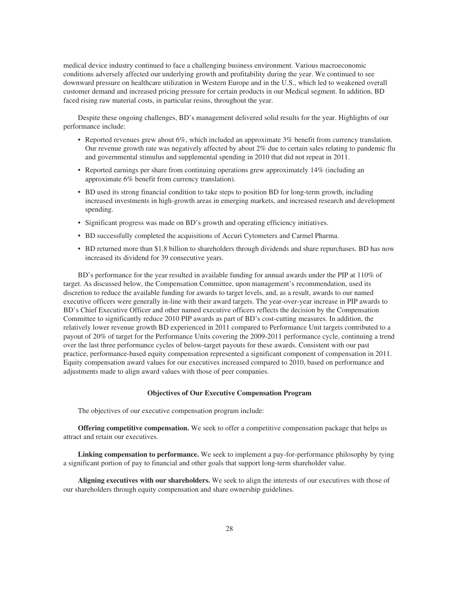medical device industry continued to face a challenging business environment. Various macroeconomic conditions adversely affected our underlying growth and profitability during the year. We continued to see downward pressure on healthcare utilization in Western Europe and in the U.S., which led to weakened overall customer demand and increased pricing pressure for certain products in our Medical segment. In addition, BD faced rising raw material costs, in particular resins, throughout the year.

Despite these ongoing challenges, BD's management delivered solid results for the year. Highlights of our performance include:

- Reported revenues grew about 6%, which included an approximate 3% benefit from currency translation. Our revenue growth rate was negatively affected by about 2% due to certain sales relating to pandemic flu and governmental stimulus and supplemental spending in 2010 that did not repeat in 2011.
- Reported earnings per share from continuing operations grew approximately 14% (including an approximate 6% benefit from currency translation).
- BD used its strong financial condition to take steps to position BD for long-term growth, including increased investments in high-growth areas in emerging markets, and increased research and development spending.
- Significant progress was made on BD's growth and operating efficiency initiatives.
- BD successfully completed the acquisitions of Accuri Cytometers and Carmel Pharma.
- BD returned more than \$1.8 billion to shareholders through dividends and share repurchases. BD has now increased its dividend for 39 consecutive years.

BD's performance for the year resulted in available funding for annual awards under the PIP at 110% of target. As discussed below, the Compensation Committee, upon management's recommendation, used its discretion to reduce the available funding for awards to target levels, and, as a result, awards to our named executive officers were generally in-line with their award targets. The year-over-year increase in PIP awards to BD's Chief Executive Officer and other named executive officers reflects the decision by the Compensation Committee to significantly reduce 2010 PIP awards as part of BD's cost-cutting measures. In addition, the relatively lower revenue growth BD experienced in 2011 compared to Performance Unit targets contributed to a payout of 20% of target for the Performance Units covering the 2009-2011 performance cycle, continuing a trend over the last three performance cycles of below-target payouts for these awards. Consistent with our past practice, performance-based equity compensation represented a significant component of compensation in 2011. Equity compensation award values for our executives increased compared to 2010, based on performance and adjustments made to align award values with those of peer companies.

## **Objectives of Our Executive Compensation Program**

The objectives of our executive compensation program include:

**Offering competitive compensation.** We seek to offer a competitive compensation package that helps us attract and retain our executives.

**Linking compensation to performance.** We seek to implement a pay-for-performance philosophy by tying a significant portion of pay to financial and other goals that support long-term shareholder value.

**Aligning executives with our shareholders.** We seek to align the interests of our executives with those of our shareholders through equity compensation and share ownership guidelines.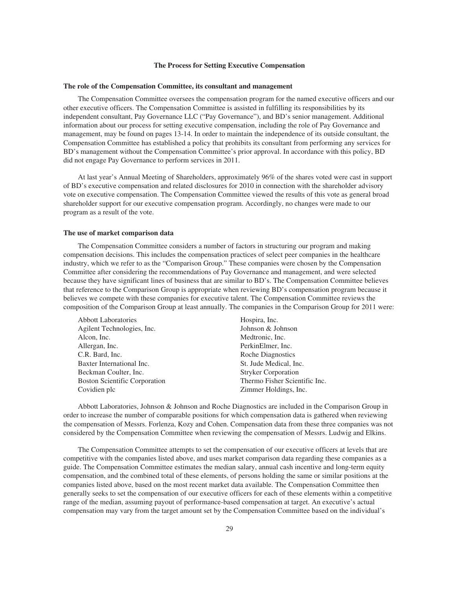#### **The Process for Setting Executive Compensation**

#### **The role of the Compensation Committee, its consultant and management**

The Compensation Committee oversees the compensation program for the named executive officers and our other executive officers. The Compensation Committee is assisted in fulfilling its responsibilities by its independent consultant, Pay Governance LLC ("Pay Governance"), and BD's senior management. Additional information about our process for setting executive compensation, including the role of Pay Governance and management, may be found on pages 13-14. In order to maintain the independence of its outside consultant, the Compensation Committee has established a policy that prohibits its consultant from performing any services for BD's management without the Compensation Committee's prior approval. In accordance with this policy, BD did not engage Pay Governance to perform services in 2011.

At last year's Annual Meeting of Shareholders, approximately 96% of the shares voted were cast in support of BD's executive compensation and related disclosures for 2010 in connection with the shareholder advisory vote on executive compensation. The Compensation Committee viewed the results of this vote as general broad shareholder support for our executive compensation program. Accordingly, no changes were made to our program as a result of the vote.

### **The use of market comparison data**

The Compensation Committee considers a number of factors in structuring our program and making compensation decisions. This includes the compensation practices of select peer companies in the healthcare industry, which we refer to as the "Comparison Group." These companies were chosen by the Compensation Committee after considering the recommendations of Pay Governance and management, and were selected because they have significant lines of business that are similar to BD's. The Compensation Committee believes that reference to the Comparison Group is appropriate when reviewing BD's compensation program because it believes we compete with these companies for executive talent. The Compensation Committee reviews the composition of the Comparison Group at least annually. The companies in the Comparison Group for 2011 were:

| <b>Abbott Laboratories</b>           | Hospira, Inc.                 |
|--------------------------------------|-------------------------------|
| Agilent Technologies, Inc.           | Johnson & Johnson             |
| Alcon, Inc.                          | Medtronic, Inc.               |
| Allergan, Inc.                       | PerkinElmer, Inc.             |
| C.R. Bard, Inc.                      | Roche Diagnostics             |
| Baxter International Inc.            | St. Jude Medical, Inc.        |
| Beckman Coulter, Inc.                | <b>Stryker Corporation</b>    |
| <b>Boston Scientific Corporation</b> | Thermo Fisher Scientific Inc. |
| Covidien plc                         | Zimmer Holdings, Inc.         |
|                                      |                               |

Abbott Laboratories, Johnson & Johnson and Roche Diagnostics are included in the Comparison Group in order to increase the number of comparable positions for which compensation data is gathered when reviewing the compensation of Messrs. Forlenza, Kozy and Cohen. Compensation data from these three companies was not considered by the Compensation Committee when reviewing the compensation of Messrs. Ludwig and Elkins.

The Compensation Committee attempts to set the compensation of our executive officers at levels that are competitive with the companies listed above, and uses market comparison data regarding these companies as a guide. The Compensation Committee estimates the median salary, annual cash incentive and long-term equity compensation, and the combined total of these elements, of persons holding the same or similar positions at the companies listed above, based on the most recent market data available. The Compensation Committee then generally seeks to set the compensation of our executive officers for each of these elements within a competitive range of the median, assuming payout of performance-based compensation at target. An executive's actual compensation may vary from the target amount set by the Compensation Committee based on the individual's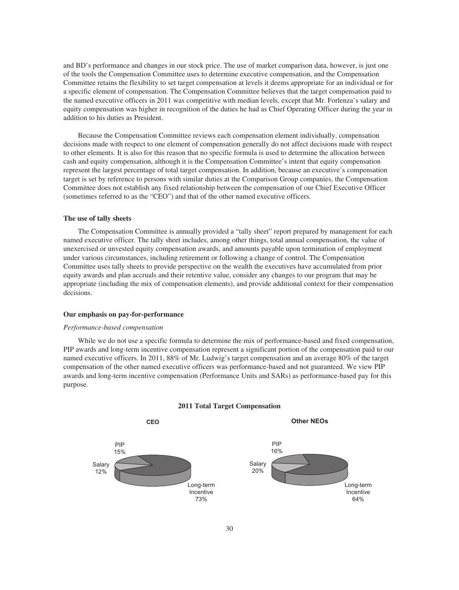and BD's performance and changes in our stock price. The use of market comparison data, however, is just one of the tools the Compensation Committee uses to determine executive compensation, and the Compensation Committee retains the flexibility to set target compensation at levels it deems appropriate for an individual or for a specific element of compensation. The Compensation Committee believes that the target compensation paid to the named executive officers in 2011 was competitive with median levels, except that Mr. Forlenza's salary and equity compensation was higher in recognition of the duties he had as Chief Operating Officer during the year in addition to his duties as President.

Because the Compensation Committee reviews each compensation element individually, compensation decisions made with respect to one element of compensation generally do not affect decisions made with respect to other elements. It is also for this reason that no specific formula is used to determine the allocation between cash and equity compensation, although it is the Compensation Committee's intent that equity compensation represent the largest percentage of total target compensation. In addition, because an executive's compensation target is set by reference to persons with similar duties at the Comparison Group companies, the Compensation Committee does not establish any fixed relationship between the compensation of our Chief Executive Officer (sometimes referred to as the "CEO") and that of the other named executive officers.

### **The use of tally sheets**

The Compensation Committee is annually provided a "tally sheet" report prepared by management for each named executive officer. The tally sheet includes, among other things, total annual compensation, the value of unexercised or unvested equity compensation awards, and amounts payable upon termination of employment under various circumstances, including retirement or following a change of control. The Compensation Committee uses tally sheets to provide perspective on the wealth the executives have accumulated from prior equity awards and plan accruals and their retentive value, consider any changes to our program that may be appropriate (including the mix of compensation elements), and provide additional context for their compensation decisions.

### **Our emphasis on pay-for-performance**

#### *Performance-based compensation*

While we do not use a specific formula to determine the mix of performance-based and fixed compensation, PIP awards and long-term incentive compensation represent a significant portion of the compensation paid to our named executive officers. In 2011, 88% of Mr. Ludwig's target compensation and an average 80% of the target compensation of the other named executive officers was performance-based and not guaranteed. We view PIP awards and long-term incentive compensation (Performance Units and SARs) as performance-based pay for this purpose.



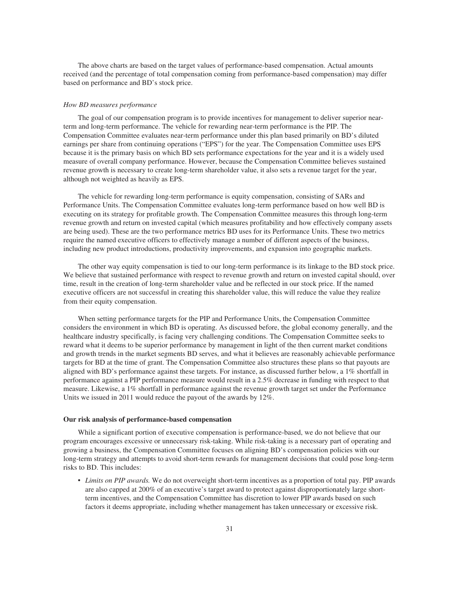The above charts are based on the target values of performance-based compensation. Actual amounts received (and the percentage of total compensation coming from performance-based compensation) may differ based on performance and BD's stock price.

#### *How BD measures performance*

The goal of our compensation program is to provide incentives for management to deliver superior nearterm and long-term performance. The vehicle for rewarding near-term performance is the PIP. The Compensation Committee evaluates near-term performance under this plan based primarily on BD's diluted earnings per share from continuing operations ("EPS") for the year. The Compensation Committee uses EPS because it is the primary basis on which BD sets performance expectations for the year and it is a widely used measure of overall company performance. However, because the Compensation Committee believes sustained revenue growth is necessary to create long-term shareholder value, it also sets a revenue target for the year, although not weighted as heavily as EPS.

The vehicle for rewarding long-term performance is equity compensation, consisting of SARs and Performance Units. The Compensation Committee evaluates long-term performance based on how well BD is executing on its strategy for profitable growth. The Compensation Committee measures this through long-term revenue growth and return on invested capital (which measures profitability and how effectively company assets are being used). These are the two performance metrics BD uses for its Performance Units. These two metrics require the named executive officers to effectively manage a number of different aspects of the business, including new product introductions, productivity improvements, and expansion into geographic markets.

The other way equity compensation is tied to our long-term performance is its linkage to the BD stock price. We believe that sustained performance with respect to revenue growth and return on invested capital should, over time, result in the creation of long-term shareholder value and be reflected in our stock price. If the named executive officers are not successful in creating this shareholder value, this will reduce the value they realize from their equity compensation.

When setting performance targets for the PIP and Performance Units, the Compensation Committee considers the environment in which BD is operating. As discussed before, the global economy generally, and the healthcare industry specifically, is facing very challenging conditions. The Compensation Committee seeks to reward what it deems to be superior performance by management in light of the then current market conditions and growth trends in the market segments BD serves, and what it believes are reasonably achievable performance targets for BD at the time of grant. The Compensation Committee also structures these plans so that payouts are aligned with BD's performance against these targets. For instance, as discussed further below, a 1% shortfall in performance against a PIP performance measure would result in a 2.5% decrease in funding with respect to that measure. Likewise, a 1% shortfall in performance against the revenue growth target set under the Performance Units we issued in 2011 would reduce the payout of the awards by 12%.

### **Our risk analysis of performance-based compensation**

While a significant portion of executive compensation is performance-based, we do not believe that our program encourages excessive or unnecessary risk-taking. While risk-taking is a necessary part of operating and growing a business, the Compensation Committee focuses on aligning BD's compensation policies with our long-term strategy and attempts to avoid short-term rewards for management decisions that could pose long-term risks to BD. This includes:

• *Limits on PIP awards.* We do not overweight short-term incentives as a proportion of total pay. PIP awards are also capped at 200% of an executive's target award to protect against disproportionately large shortterm incentives, and the Compensation Committee has discretion to lower PIP awards based on such factors it deems appropriate, including whether management has taken unnecessary or excessive risk.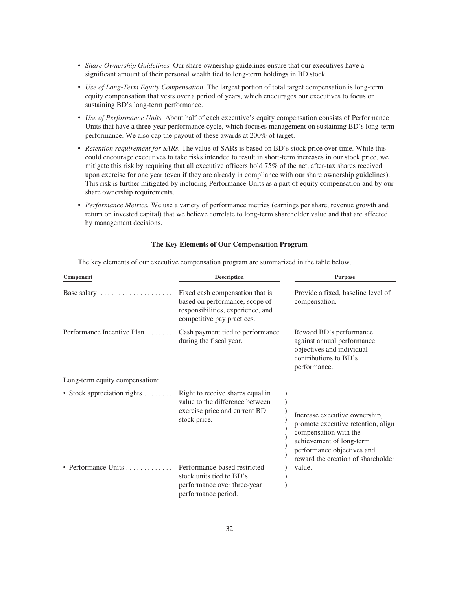- *Share Ownership Guidelines.* Our share ownership guidelines ensure that our executives have a significant amount of their personal wealth tied to long-term holdings in BD stock.
- *Use of Long-Term Equity Compensation.* The largest portion of total target compensation is long-term equity compensation that vests over a period of years, which encourages our executives to focus on sustaining BD's long-term performance.
- *Use of Performance Units.* About half of each executive's equity compensation consists of Performance Units that have a three-year performance cycle, which focuses management on sustaining BD's long-term performance. We also cap the payout of these awards at 200% of target.
- *Retention requirement for SARs.* The value of SARs is based on BD's stock price over time. While this could encourage executives to take risks intended to result in short-term increases in our stock price, we mitigate this risk by requiring that all executive officers hold 75% of the net, after-tax shares received upon exercise for one year (even if they are already in compliance with our share ownership guidelines). This risk is further mitigated by including Performance Units as a part of equity compensation and by our share ownership requirements.
- *Performance Metrics*. We use a variety of performance metrics (earnings per share, revenue growth and return on invested capital) that we believe correlate to long-term shareholder value and that are affected by management decisions.

# **The Key Elements of Our Compensation Program**

The key elements of our executive compensation program are summarized in the table below.

| Component                                 | <b>Description</b>                                                                                                                   | <b>Purpose</b>                                                                                                                                                                               |
|-------------------------------------------|--------------------------------------------------------------------------------------------------------------------------------------|----------------------------------------------------------------------------------------------------------------------------------------------------------------------------------------------|
| Base salary                               | Fixed cash compensation that is<br>based on performance, scope of<br>responsibilities, experience, and<br>competitive pay practices. | Provide a fixed, baseline level of<br>compensation.                                                                                                                                          |
| Performance Incentive Plan                | Cash payment tied to performance<br>during the fiscal year.                                                                          | Reward BD's performance<br>against annual performance<br>objectives and individual<br>contributions to BD's<br>performance.                                                                  |
| Long-term equity compensation:            |                                                                                                                                      |                                                                                                                                                                                              |
| • Stock appreciation rights $\dots \dots$ | Right to receive shares equal in<br>value to the difference between<br>exercise price and current BD<br>stock price.                 | Increase executive ownership,<br>promote executive retention, align<br>compensation with the<br>achievement of long-term<br>performance objectives and<br>reward the creation of shareholder |
| • Performance Units                       | Performance-based restricted<br>stock units tied to BD's<br>performance over three-year<br>performance period.                       | value.                                                                                                                                                                                       |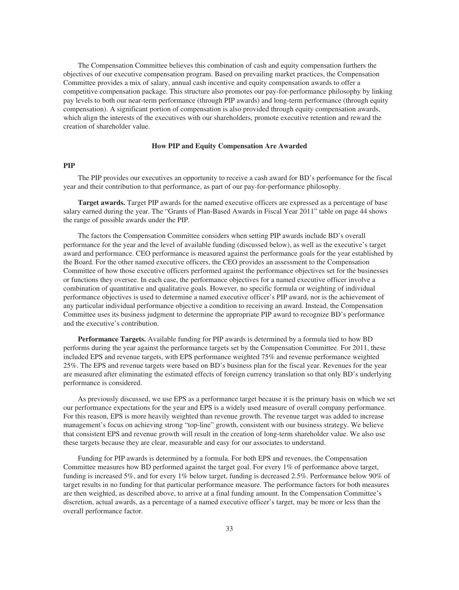The Compensation Committee believes this combination of cash and equity compensation furthers the objectives of our executive compensation program. Based on prevailing market practices, the Compensation Committee provides a mix of salary, annual cash incentive and equity compensation awards to offer a competitive compensation package. This structure also promotes our pay-for-performance philosophy by linking pay levels to both our near-term performance (through PIP awards) and long-term performance (through equity compensation). A significant portion of compensation is also provided through equity compensation awards, which align the interests of the executives with our shareholders, promote executive retention and reward the creation of shareholder value.

#### **How PIP and Equity Compensation Are Awarded**

## **PIP**

The PIP provides our executives an opportunity to receive a cash award for BD's performance for the fiscal year and their contribution to that performance, as part of our pay-for-performance philosophy.

**Target awards.** Target PIP awards for the named executive officers are expressed as a percentage of base salary earned during the year. The "Grants of Plan-Based Awards in Fiscal Year 2011" table on page 44 shows the range of possible awards under the PIP.

The factors the Compensation Committee considers when setting PIP awards include BD's overall performance for the year and the level of available funding (discussed below), as well as the executive's target award and performance. CEO performance is measured against the performance goals for the year established by the Board. For the other named executive officers, the CEO provides an assessment to the Compensation Committee of how those executive officers performed against the performance objectives set for the businesses or functions they oversee. In each case, the performance objectives for a named executive officer involve a combination of quantitative and qualitative goals. However, no specific formula or weighting of individual performance objectives is used to determine a named executive officer's PIP award, nor is the achievement of any particular individual performance objective a condition to receiving an award. Instead, the Compensation Committee uses its business judgment to determine the appropriate PIP award to recognize BD's performance and the executive's contribution.

**Performance Targets.** Available funding for PIP awards is determined by a formula tied to how BD performs during the year against the performance targets set by the Compensation Committee. For 2011, these included EPS and revenue targets, with EPS performance weighted 75% and revenue performance weighted 25%. The EPS and revenue targets were based on BD's business plan for the fiscal year. Revenues for the year are measured after eliminating the estimated effects of foreign currency translation so that only BD's underlying performance is considered.

As previously discussed, we use EPS as a performance target because it is the primary basis on which we set our performance expectations for the year and EPS is a widely used measure of overall company performance. For this reason, EPS is more heavily weighted than revenue growth. The revenue target was added to increase management's focus on achieving strong "top-line" growth, consistent with our business strategy. We believe that consistent EPS and revenue growth will result in the creation of long-term shareholder value. We also use these targets because they are clear, measurable and easy for our associates to understand.

Funding for PIP awards is determined by a formula. For both EPS and revenues, the Compensation Committee measures how BD performed against the target goal. For every 1% of performance above target, funding is increased 5%, and for every 1% below target, funding is decreased 2.5%. Performance below 90% of target results in no funding for that particular performance measure. The performance factors for both measures are then weighted, as described above, to arrive at a final funding amount. In the Compensation Committee's discretion, actual awards, as a percentage of a named executive officer's target, may be more or less than the overall performance factor.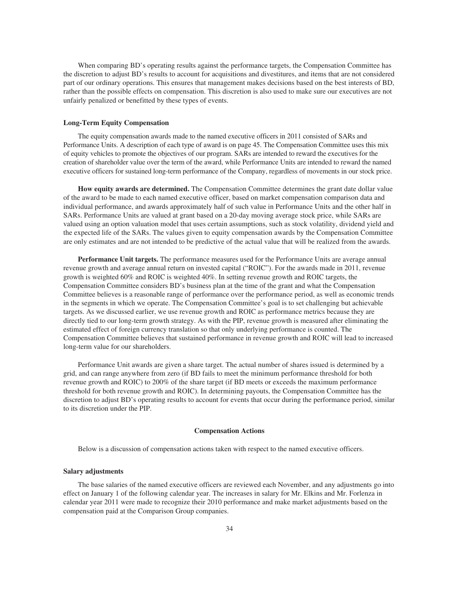When comparing BD's operating results against the performance targets, the Compensation Committee has the discretion to adjust BD's results to account for acquisitions and divestitures, and items that are not considered part of our ordinary operations. This ensures that management makes decisions based on the best interests of BD, rather than the possible effects on compensation. This discretion is also used to make sure our executives are not unfairly penalized or benefitted by these types of events.

### **Long-Term Equity Compensation**

The equity compensation awards made to the named executive officers in 2011 consisted of SARs and Performance Units. A description of each type of award is on page 45. The Compensation Committee uses this mix of equity vehicles to promote the objectives of our program. SARs are intended to reward the executives for the creation of shareholder value over the term of the award, while Performance Units are intended to reward the named executive officers for sustained long-term performance of the Company, regardless of movements in our stock price.

**How equity awards are determined.** The Compensation Committee determines the grant date dollar value of the award to be made to each named executive officer, based on market compensation comparison data and individual performance, and awards approximately half of such value in Performance Units and the other half in SARs. Performance Units are valued at grant based on a 20-day moving average stock price, while SARs are valued using an option valuation model that uses certain assumptions, such as stock volatility, dividend yield and the expected life of the SARs. The values given to equity compensation awards by the Compensation Committee are only estimates and are not intended to be predictive of the actual value that will be realized from the awards.

**Performance Unit targets.** The performance measures used for the Performance Units are average annual revenue growth and average annual return on invested capital ("ROIC"). For the awards made in 2011, revenue growth is weighted 60% and ROIC is weighted 40%. In setting revenue growth and ROIC targets, the Compensation Committee considers BD's business plan at the time of the grant and what the Compensation Committee believes is a reasonable range of performance over the performance period, as well as economic trends in the segments in which we operate. The Compensation Committee's goal is to set challenging but achievable targets. As we discussed earlier, we use revenue growth and ROIC as performance metrics because they are directly tied to our long-term growth strategy. As with the PIP, revenue growth is measured after eliminating the estimated effect of foreign currency translation so that only underlying performance is counted. The Compensation Committee believes that sustained performance in revenue growth and ROIC will lead to increased long-term value for our shareholders.

Performance Unit awards are given a share target. The actual number of shares issued is determined by a grid, and can range anywhere from zero (if BD fails to meet the minimum performance threshold for both revenue growth and ROIC) to 200% of the share target (if BD meets or exceeds the maximum performance threshold for both revenue growth and ROIC). In determining payouts, the Compensation Committee has the discretion to adjust BD's operating results to account for events that occur during the performance period, similar to its discretion under the PIP.

#### **Compensation Actions**

Below is a discussion of compensation actions taken with respect to the named executive officers.

#### **Salary adjustments**

The base salaries of the named executive officers are reviewed each November, and any adjustments go into effect on January 1 of the following calendar year. The increases in salary for Mr. Elkins and Mr. Forlenza in calendar year 2011 were made to recognize their 2010 performance and make market adjustments based on the compensation paid at the Comparison Group companies.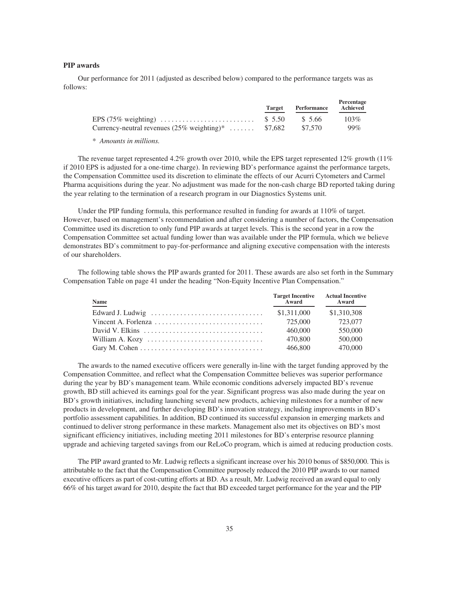### **PIP awards**

Our performance for 2011 (adjusted as described below) compared to the performance targets was as follows:

|                                                                | Target | Performance | Percentage<br>Achieved |
|----------------------------------------------------------------|--------|-------------|------------------------|
|                                                                |        |             | $103\%$                |
| Currency-neutral revenues $(25\% \text{ weighting})^*$ \$7,682 |        | \$7,570     | $99\%$                 |

*\* Amounts in millions.*

The revenue target represented 4.2% growth over 2010, while the EPS target represented 12% growth (11% if 2010 EPS is adjusted for a one-time charge). In reviewing BD's performance against the performance targets, the Compensation Committee used its discretion to eliminate the effects of our Acurri Cytometers and Carmel Pharma acquisitions during the year. No adjustment was made for the non-cash charge BD reported taking during the year relating to the termination of a research program in our Diagnostics Systems unit.

Under the PIP funding formula, this performance resulted in funding for awards at 110% of target. However, based on management's recommendation and after considering a number of factors, the Compensation Committee used its discretion to only fund PIP awards at target levels. This is the second year in a row the Compensation Committee set actual funding lower than was available under the PIP formula, which we believe demonstrates BD's commitment to pay-for-performance and aligning executive compensation with the interests of our shareholders.

The following table shows the PIP awards granted for 2011. These awards are also set forth in the Summary Compensation Table on page 41 under the heading "Non-Equity Incentive Plan Compensation."

| Name<br>$\sim$                                                                          | Target Incentive Actual Incentive<br>Award Award |             |
|-----------------------------------------------------------------------------------------|--------------------------------------------------|-------------|
|                                                                                         | \$1,311,000                                      | \$1,310,308 |
|                                                                                         | 725,000                                          | 723,077     |
| David V. Elkins $\ldots \ldots \ldots \ldots \ldots \ldots \ldots \ldots \ldots \ldots$ | 460,000                                          | 550,000     |
|                                                                                         | 470,800                                          | 500,000     |
|                                                                                         | 466,800                                          | 470,000     |

The awards to the named executive officers were generally in-line with the target funding approved by the Compensation Committee, and reflect what the Compensation Committee believes was superior performance during the year by BD's management team. While economic conditions adversely impacted BD's revenue growth, BD still achieved its earnings goal for the year. Significant progress was also made during the year on BD's growth initiatives, including launching several new products, achieving milestones for a number of new products in development, and further developing BD's innovation strategy, including improvements in BD's portfolio assessment capabilities. In addition, BD continued its successful expansion in emerging markets and continued to deliver strong performance in these markets. Management also met its objectives on BD's most significant efficiency initiatives, including meeting 2011 milestones for BD's enterprise resource planning upgrade and achieving targeted savings from our ReLoCo program, which is aimed at reducing production costs.

The PIP award granted to Mr. Ludwig reflects a significant increase over his 2010 bonus of \$850,000. This is attributable to the fact that the Compensation Committee purposely reduced the 2010 PIP awards to our named executive officers as part of cost-cutting efforts at BD. As a result, Mr. Ludwig received an award equal to only 66% of his target award for 2010, despite the fact that BD exceeded target performance for the year and the PIP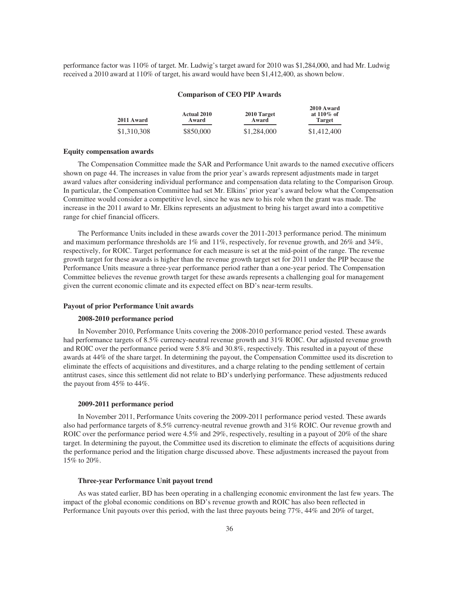performance factor was 110% of target. Mr. Ludwig's target award for 2010 was \$1,284,000, and had Mr. Ludwig received a 2010 award at 110% of target, his award would have been \$1,412,400, as shown below.

### **Comparison of CEO PIP Awards**

**2010 Award**

| 2011 Award  | <b>Actual 2010</b><br>Award | 2010 Target<br>Award | 2010 Award<br>at $110\%$ of<br><b>Target</b> |
|-------------|-----------------------------|----------------------|----------------------------------------------|
| \$1,310,308 | \$850,000                   | \$1,284,000          | \$1,412,400                                  |

#### **Equity compensation awards**

The Compensation Committee made the SAR and Performance Unit awards to the named executive officers shown on page 44. The increases in value from the prior year's awards represent adjustments made in target award values after considering individual performance and compensation data relating to the Comparison Group. In particular, the Compensation Committee had set Mr. Elkins' prior year's award below what the Compensation Committee would consider a competitive level, since he was new to his role when the grant was made. The increase in the 2011 award to Mr. Elkins represents an adjustment to bring his target award into a competitive range for chief financial officers.

The Performance Units included in these awards cover the 2011-2013 performance period. The minimum and maximum performance thresholds are 1% and 11%, respectively, for revenue growth, and 26% and 34%, respectively, for ROIC. Target performance for each measure is set at the mid-point of the range. The revenue growth target for these awards is higher than the revenue growth target set for 2011 under the PIP because the Performance Units measure a three-year performance period rather than a one-year period. The Compensation Committee believes the revenue growth target for these awards represents a challenging goal for management given the current economic climate and its expected effect on BD's near-term results.

### **Payout of prior Performance Unit awards**

### **2008-2010 performance period**

In November 2010, Performance Units covering the 2008-2010 performance period vested. These awards had performance targets of 8.5% currency-neutral revenue growth and 31% ROIC. Our adjusted revenue growth and ROIC over the performance period were 5.8% and 30.8%, respectively. This resulted in a payout of these awards at 44% of the share target. In determining the payout, the Compensation Committee used its discretion to eliminate the effects of acquisitions and divestitures, and a charge relating to the pending settlement of certain antitrust cases, since this settlement did not relate to BD's underlying performance. These adjustments reduced the payout from 45% to 44%.

### **2009-2011 performance period**

In November 2011, Performance Units covering the 2009-2011 performance period vested. These awards also had performance targets of 8.5% currency-neutral revenue growth and 31% ROIC. Our revenue growth and ROIC over the performance period were 4.5% and 29%, respectively, resulting in a payout of 20% of the share target. In determining the payout, the Committee used its discretion to eliminate the effects of acquisitions during the performance period and the litigation charge discussed above. These adjustments increased the payout from 15% to 20%.

### **Three-year Performance Unit payout trend**

As was stated earlier, BD has been operating in a challenging economic environment the last few years. The impact of the global economic conditions on BD's revenue growth and ROIC has also been reflected in Performance Unit payouts over this period, with the last three payouts being 77%, 44% and 20% of target,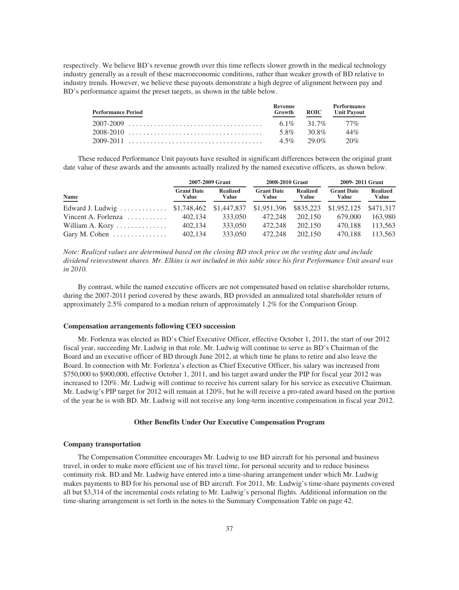respectively. We believe BD's revenue growth over this time reflects slower growth in the medical technology industry generally as a result of these macroeconomic conditions, rather than weaker growth of BD relative to industry trends. However, we believe these payouts demonstrate a high degree of alignment between pay and BD's performance against the preset targets, as shown in the table below.

| <b>Performance Period</b> | Revenue<br>Growth |            | <b>Performance</b><br><b>ROIC</b> Unit Payout |
|---------------------------|-------------------|------------|-----------------------------------------------|
|                           |                   |            | $61\%$ 31.7% 77%                              |
| 2008-2010                 |                   | 5.8% 30.8% | 44%                                           |
|                           |                   |            | $4.5\%$ 29.0\% 20\%                           |

These reduced Performance Unit payouts have resulted in significant differences between the original grant date value of these awards and the amounts actually realized by the named executive officers, as shown below.

|                                                                            |                            | 2007-2009 Grant          | 2008-2010 Grant            |                          | 2009-2011 Grant            |                          |  |
|----------------------------------------------------------------------------|----------------------------|--------------------------|----------------------------|--------------------------|----------------------------|--------------------------|--|
| Name                                                                       | <b>Grant Date</b><br>Value | <b>Realized</b><br>Value | <b>Grant Date</b><br>Value | <b>Realized</b><br>Value | <b>Grant Date</b><br>Value | <b>Realized</b><br>Value |  |
| Edward J. Ludwig \$1,748,462 \$1,447,837 \$1,951,396 \$835,223 \$1,952,125 |                            |                          |                            |                          |                            | \$471.317                |  |
| Vincent A. Forlenza $\ldots \ldots \ldots$                                 | 402.134                    | 333,050                  | 472,248                    | 202,150                  | 679,000                    | 163,980                  |  |
| William A. Kozy                                                            | 402.134                    | 333,050                  | 472,248                    | 202,150                  | 470.188                    | 113,563                  |  |
| Gary M. Cohen $\dots \dots \dots \dots$                                    | 402,134                    | 333,050                  | 472,248                    | 202,150                  | 470.188                    | 113.563                  |  |

*Note: Realized values are determined based on the closing BD stock price on the vesting date and include dividend reinvestment shares. Mr. Elkins is not included in this table since his first Performance Unit award was in 2010.*

By contrast, while the named executive officers are not compensated based on relative shareholder returns, during the 2007-2011 period covered by these awards, BD provided an annualized total shareholder return of approximately 2.5% compared to a median return of approximately 1.2% for the Comparison Group.

## **Compensation arrangements following CEO succession**

Mr. Forlenza was elected as BD's Chief Executive Officer, effective October 1, 2011, the start of our 2012 fiscal year, succeeding Mr. Ludwig in that role. Mr. Ludwig will continue to serve as BD's Chairman of the Board and an executive officer of BD through June 2012, at which time he plans to retire and also leave the Board. In connection with Mr. Forlenza's election as Chief Executive Officer, his salary was increased from \$750,000 to \$900,000, effective October 1, 2011, and his target award under the PIP for fiscal year 2012 was increased to 120%. Mr. Ludwig will continue to receive his current salary for his service as executive Chairman. Mr. Ludwig's PIP target for 2012 will remain at 120%, but he will receive a pro-rated award based on the portion of the year he is with BD. Mr. Ludwig will not receive any long-term incentive compensation in fiscal year 2012.

### **Other Benefits Under Our Executive Compensation Program**

#### **Company transportation**

The Compensation Committee encourages Mr. Ludwig to use BD aircraft for his personal and business travel, in order to make more efficient use of his travel time, for personal security and to reduce business continuity risk. BD and Mr. Ludwig have entered into a time-sharing arrangement under which Mr. Ludwig makes payments to BD for his personal use of BD aircraft. For 2011, Mr. Ludwig's time-share payments covered all but \$3,314 of the incremental costs relating to Mr. Ludwig's personal flights. Additional information on the time-sharing arrangement is set forth in the notes to the Summary Compensation Table on page 42.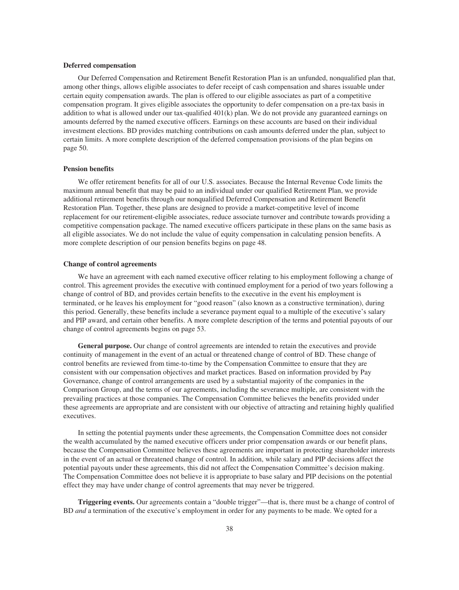### **Deferred compensation**

Our Deferred Compensation and Retirement Benefit Restoration Plan is an unfunded, nonqualified plan that, among other things, allows eligible associates to defer receipt of cash compensation and shares issuable under certain equity compensation awards. The plan is offered to our eligible associates as part of a competitive compensation program. It gives eligible associates the opportunity to defer compensation on a pre-tax basis in addition to what is allowed under our tax-qualified 401(k) plan. We do not provide any guaranteed earnings on amounts deferred by the named executive officers. Earnings on these accounts are based on their individual investment elections. BD provides matching contributions on cash amounts deferred under the plan, subject to certain limits. A more complete description of the deferred compensation provisions of the plan begins on page 50.

### **Pension benefits**

We offer retirement benefits for all of our U.S. associates. Because the Internal Revenue Code limits the maximum annual benefit that may be paid to an individual under our qualified Retirement Plan, we provide additional retirement benefits through our nonqualified Deferred Compensation and Retirement Benefit Restoration Plan. Together, these plans are designed to provide a market-competitive level of income replacement for our retirement-eligible associates, reduce associate turnover and contribute towards providing a competitive compensation package. The named executive officers participate in these plans on the same basis as all eligible associates. We do not include the value of equity compensation in calculating pension benefits. A more complete description of our pension benefits begins on page 48.

### **Change of control agreements**

We have an agreement with each named executive officer relating to his employment following a change of control. This agreement provides the executive with continued employment for a period of two years following a change of control of BD, and provides certain benefits to the executive in the event his employment is terminated, or he leaves his employment for "good reason" (also known as a constructive termination), during this period. Generally, these benefits include a severance payment equal to a multiple of the executive's salary and PIP award, and certain other benefits. A more complete description of the terms and potential payouts of our change of control agreements begins on page 53.

**General purpose.** Our change of control agreements are intended to retain the executives and provide continuity of management in the event of an actual or threatened change of control of BD. These change of control benefits are reviewed from time-to-time by the Compensation Committee to ensure that they are consistent with our compensation objectives and market practices. Based on information provided by Pay Governance, change of control arrangements are used by a substantial majority of the companies in the Comparison Group, and the terms of our agreements, including the severance multiple, are consistent with the prevailing practices at those companies. The Compensation Committee believes the benefits provided under these agreements are appropriate and are consistent with our objective of attracting and retaining highly qualified executives.

In setting the potential payments under these agreements, the Compensation Committee does not consider the wealth accumulated by the named executive officers under prior compensation awards or our benefit plans, because the Compensation Committee believes these agreements are important in protecting shareholder interests in the event of an actual or threatened change of control. In addition, while salary and PIP decisions affect the potential payouts under these agreements, this did not affect the Compensation Committee's decision making. The Compensation Committee does not believe it is appropriate to base salary and PIP decisions on the potential effect they may have under change of control agreements that may never be triggered.

**Triggering events.** Our agreements contain a "double trigger"—that is, there must be a change of control of BD *and* a termination of the executive's employment in order for any payments to be made. We opted for a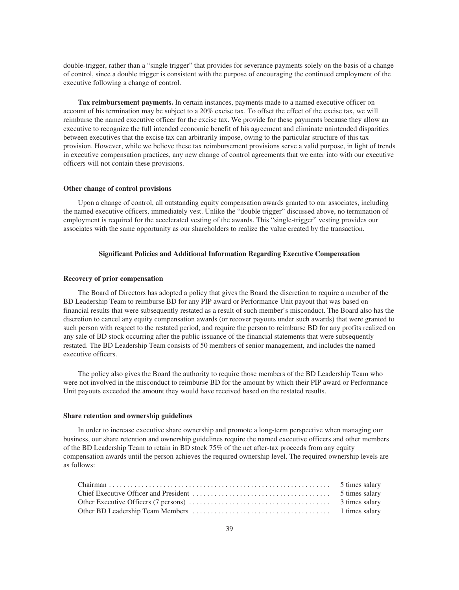double-trigger, rather than a "single trigger" that provides for severance payments solely on the basis of a change of control, since a double trigger is consistent with the purpose of encouraging the continued employment of the executive following a change of control.

**Tax reimbursement payments.** In certain instances, payments made to a named executive officer on account of his termination may be subject to a 20% excise tax. To offset the effect of the excise tax, we will reimburse the named executive officer for the excise tax. We provide for these payments because they allow an executive to recognize the full intended economic benefit of his agreement and eliminate unintended disparities between executives that the excise tax can arbitrarily impose, owing to the particular structure of this tax provision. However, while we believe these tax reimbursement provisions serve a valid purpose, in light of trends in executive compensation practices, any new change of control agreements that we enter into with our executive officers will not contain these provisions.

### **Other change of control provisions**

Upon a change of control, all outstanding equity compensation awards granted to our associates, including the named executive officers, immediately vest. Unlike the "double trigger" discussed above, no termination of employment is required for the accelerated vesting of the awards. This "single-trigger" vesting provides our associates with the same opportunity as our shareholders to realize the value created by the transaction.

### **Significant Policies and Additional Information Regarding Executive Compensation**

### **Recovery of prior compensation**

The Board of Directors has adopted a policy that gives the Board the discretion to require a member of the BD Leadership Team to reimburse BD for any PIP award or Performance Unit payout that was based on financial results that were subsequently restated as a result of such member's misconduct. The Board also has the discretion to cancel any equity compensation awards (or recover payouts under such awards) that were granted to such person with respect to the restated period, and require the person to reimburse BD for any profits realized on any sale of BD stock occurring after the public issuance of the financial statements that were subsequently restated. The BD Leadership Team consists of 50 members of senior management, and includes the named executive officers.

The policy also gives the Board the authority to require those members of the BD Leadership Team who were not involved in the misconduct to reimburse BD for the amount by which their PIP award or Performance Unit payouts exceeded the amount they would have received based on the restated results.

#### **Share retention and ownership guidelines**

In order to increase executive share ownership and promote a long-term perspective when managing our business, our share retention and ownership guidelines require the named executive officers and other members of the BD Leadership Team to retain in BD stock 75% of the net after-tax proceeds from any equity compensation awards until the person achieves the required ownership level. The required ownership levels are as follows: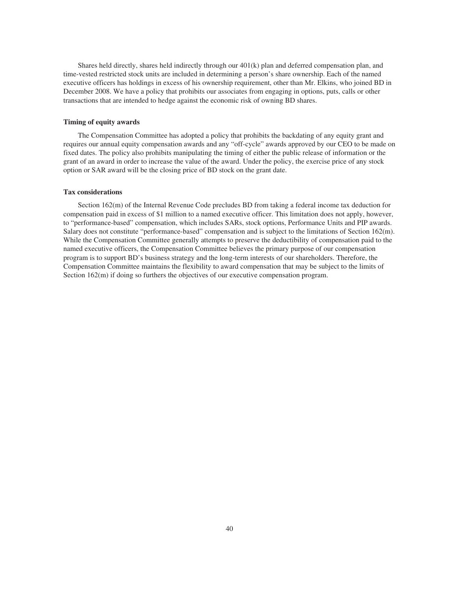Shares held directly, shares held indirectly through our 401(k) plan and deferred compensation plan, and time-vested restricted stock units are included in determining a person's share ownership. Each of the named executive officers has holdings in excess of his ownership requirement, other than Mr. Elkins, who joined BD in December 2008. We have a policy that prohibits our associates from engaging in options, puts, calls or other transactions that are intended to hedge against the economic risk of owning BD shares.

### **Timing of equity awards**

The Compensation Committee has adopted a policy that prohibits the backdating of any equity grant and requires our annual equity compensation awards and any "off-cycle" awards approved by our CEO to be made on fixed dates. The policy also prohibits manipulating the timing of either the public release of information or the grant of an award in order to increase the value of the award. Under the policy, the exercise price of any stock option or SAR award will be the closing price of BD stock on the grant date.

### **Tax considerations**

Section 162(m) of the Internal Revenue Code precludes BD from taking a federal income tax deduction for compensation paid in excess of \$1 million to a named executive officer. This limitation does not apply, however, to "performance-based" compensation, which includes SARs, stock options, Performance Units and PIP awards. Salary does not constitute "performance-based" compensation and is subject to the limitations of Section 162(m). While the Compensation Committee generally attempts to preserve the deductibility of compensation paid to the named executive officers, the Compensation Committee believes the primary purpose of our compensation program is to support BD's business strategy and the long-term interests of our shareholders. Therefore, the Compensation Committee maintains the flexibility to award compensation that may be subject to the limits of Section  $162(m)$  if doing so furthers the objectives of our executive compensation program.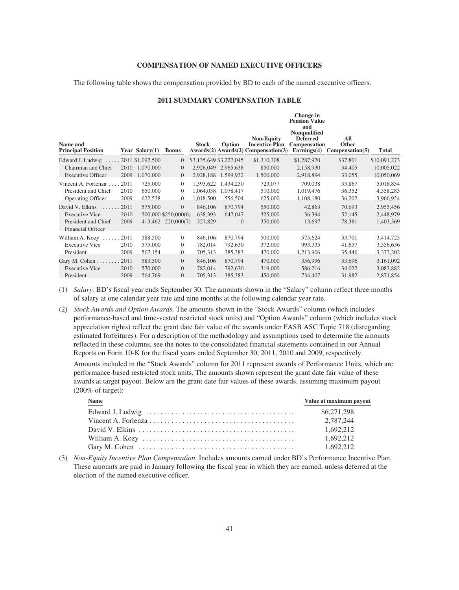### **COMPENSATION OF NAMED EXECUTIVE OFFICERS**

The following table shows the compensation provided by BD to each of the named executive officers.

# **2011 SUMMARY COMPENSATION TABLE**

**Change in**

| Name and<br><b>Principal Position</b>           |      | Year Salary $(1)$ | <b>Bonus</b>         | <b>Stock</b> | Option                  | <b>Non-Equity</b><br><b>Incentive Plan</b><br>Awards(2) Awards(2) Compensation(3) | <b>Pension Value</b><br>and<br><b>Nonqualified</b><br><b>Deferred</b><br>Compensation<br>Earnings $(4)$ | All<br>Other<br>Comparison(5) | <b>Total</b> |
|-------------------------------------------------|------|-------------------|----------------------|--------------|-------------------------|-----------------------------------------------------------------------------------|---------------------------------------------------------------------------------------------------------|-------------------------------|--------------|
| Edward J. Ludwig                                |      | 2011 \$1,092,500  | $\overline{0}$       |              | \$3,135,649 \$3,227,045 | \$1,310,308                                                                       | \$1,287,970                                                                                             | \$37,801                      | \$10,091,273 |
| Chairman and Chief                              | 2010 | 1,070,000         | $\overline{0}$       |              | 2,926,049 2,965,638     | 850,000                                                                           | 2,158,930                                                                                               | 34,405                        | 10,005,022   |
| <b>Executive Officer</b>                        | 2009 | 1,070,000         | $\overline{0}$       | 2,928,188    | 1,599,932               | 1,500,000                                                                         | 2,918,894                                                                                               | 33,055                        | 10,050,069   |
| Vincent A. Forlenza                             | 2011 | 725,000           | $\overline{0}$       | 1,393,622    | 1,434,250               | 723,077                                                                           | 709,038                                                                                                 | 33,867                        | 5,018,854    |
| President and Chief                             | 2010 | 650,000           | $\overline{0}$       | 1.064.038    | 1,078,417               | 510,000                                                                           | 1,019,476                                                                                               | 36,352                        | 4,358,283    |
| <b>Operating Officer</b>                        | 2009 | 622,538           | $\overline{0}$       | 1,018,500    | 556,504                 | 625,000                                                                           | 1,108,180                                                                                               | 36,202                        | 3,966,924    |
| David V. Elkins                                 | 2011 | 575,000           | $\overline{0}$       | 846,106      | 870,794                 | 550,000                                                                           | 42,863                                                                                                  | 70,693                        | 2,955,456    |
| <b>Executive Vice</b>                           | 2010 |                   | 500,000 \$250,000(6) | 638,393      | 647,047                 | 325,000                                                                           | 36,394                                                                                                  | 52,145                        | 2,448,979    |
| President and Chief<br><b>Financial Officer</b> | 2009 |                   | 413,462 220,000(7)   | 327,829      | $\mathbf{0}$            | 350,000                                                                           | 13,697                                                                                                  | 78,381                        | 1,403,369    |
| William A. Kozy                                 | 2011 | 588,500           | $\overline{0}$       | 846,106      | 870,794                 | 500,000                                                                           | 575,624                                                                                                 | 33,701                        | 3,414,725    |
| <b>Executive Vice</b>                           | 2010 | 575,000           | $\overline{0}$       | 782,014      | 792,630                 | 372,000                                                                           | 993,335                                                                                                 | 41,657                        | 3,556,636    |
| President                                       | 2009 | 567,154           | $\mathbf{0}$         | 705,313      | 385,383                 | 470,000                                                                           | 1,213,906                                                                                               | 35,446                        | 3,377,202    |
| Gary M. Cohen                                   | 2011 | 583,500           | $\overline{0}$       | 846,106      | 870,794                 | 470,000                                                                           | 356,996                                                                                                 | 33,696                        | 3,161,092    |
| <b>Executive Vice</b>                           | 2010 | 570,000           | $\Omega$             | 782,014      | 792,630                 | 319,000                                                                           | 586,216                                                                                                 | 34,022                        | 3,083,882    |
| President                                       | 2009 | 564,769           | $\overline{0}$       | 705,313      | 385,383                 | 450,000                                                                           | 734,407                                                                                                 | 31,982                        | 2,871,854    |

(1) *Salary.* BD's fiscal year ends September 30. The amounts shown in the "Salary" column reflect three months of salary at one calendar year rate and nine months at the following calendar year rate.

(2) *Stock Awards and Option Awards.* The amounts shown in the "Stock Awards" column (which includes performance-based and time-vested restricted stock units) and "Option Awards" column (which includes stock appreciation rights) reflect the grant date fair value of the awards under FASB ASC Topic 718 (disregarding estimated forfeitures). For a description of the methodology and assumptions used to determine the amounts reflected in these columns, see the notes to the consolidated financial statements contained in our Annual Reports on Form 10-K for the fiscal years ended September 30, 2011, 2010 and 2009, respectively.

Amounts included in the "Stock Awards" column for 2011 represent awards of Performance Units, which are performance-based restricted stock units. The amounts shown represent the grant date fair value of these awards at target payout. Below are the grant date fair values of these awards, assuming maximum payout  $(200\% \text{ of target})$ :

| <b>Name</b> | Value at maximum payout |
|-------------|-------------------------|
|             | \$6,271,298             |
|             | 2,787,244               |
|             | 1.692.212               |
|             | 1.692.212               |
|             | 1.692.212               |

(3) *Non-Equity Incentive Plan Compensation.* Includes amounts earned under BD's Performance Incentive Plan. These amounts are paid in January following the fiscal year in which they are earned, unless deferred at the election of the named executive officer.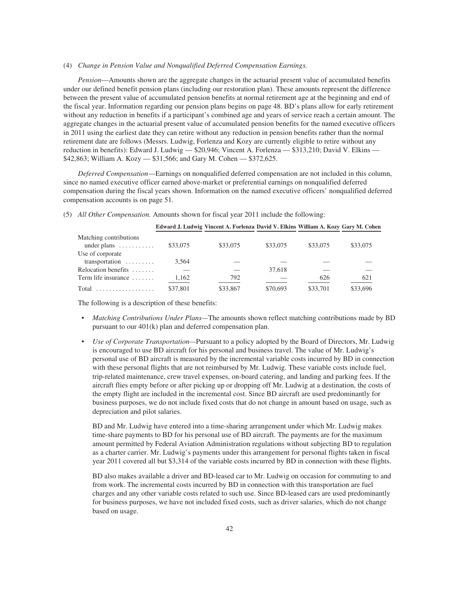#### (4) *Change in Pension Value and Nonqualified Deferred Compensation Earnings.*

*Pension*—Amounts shown are the aggregate changes in the actuarial present value of accumulated benefits under our defined benefit pension plans (including our restoration plan). These amounts represent the difference between the present value of accumulated pension benefits at normal retirement age at the beginning and end of the fiscal year. Information regarding our pension plans begins on page 48. BD's plans allow for early retirement without any reduction in benefits if a participant's combined age and years of service reach a certain amount. The aggregate changes in the actuarial present value of accumulated pension benefits for the named executive officers in 2011 using the earliest date they can retire without any reduction in pension benefits rather than the normal retirement date are follows (Messrs. Ludwig, Forlenza and Kozy are currently eligible to retire without any reduction in benefits): Edward J. Ludwig — \$20,946; Vincent A. Forlenza — \$313,210; David V. Elkins — \$42,863; William A. Kozy — \$31,566; and Gary M. Cohen — \$372,625.

*Deferred Compensation*—Earnings on nonqualified deferred compensation are not included in this column, since no named executive officer earned above-market or preferential earnings on nonqualified deferred compensation during the fiscal years shown. Information on the named executive officers' nonqualified deferred compensation accounts is on page 51.

|                           |          | Edward J. Ludwig Vincent A. Forlenza David V. Elkins William A. Kozy Gary M. Cohen |          |          |          |
|---------------------------|----------|------------------------------------------------------------------------------------|----------|----------|----------|
| Matching contributions    |          |                                                                                    |          |          |          |
| under plans $\dots \dots$ | \$33,075 | \$33,075                                                                           | \$33,075 | \$33,075 | \$33,075 |
| Use of corporate          |          |                                                                                    |          |          |          |
| transportation            | 3,564    |                                                                                    |          |          |          |
| Relocation benefits       |          |                                                                                    | 37,618   |          |          |
| Term life insurance       | 1,162    | 792                                                                                |          | 626      | 621      |
|                           | \$37,801 | \$33,867                                                                           | \$70,693 | \$33,701 | \$33,696 |

(5) *All Other Compensation.* Amounts shown for fiscal year 2011 include the following:

The following is a description of these benefits:

- *Matching Contributions Under Plans—*The amounts shown reflect matching contributions made by BD pursuant to our 401(k) plan and deferred compensation plan.
- *Use of Corporate Transportation—*Pursuant to a policy adopted by the Board of Directors, Mr. Ludwig is encouraged to use BD aircraft for his personal and business travel. The value of Mr. Ludwig's personal use of BD aircraft is measured by the incremental variable costs incurred by BD in connection with these personal flights that are not reimbursed by Mr. Ludwig. These variable costs include fuel, trip-related maintenance, crew travel expenses, on-board catering, and landing and parking fees. If the aircraft flies empty before or after picking up or dropping off Mr. Ludwig at a destination, the costs of the empty flight are included in the incremental cost. Since BD aircraft are used predominantly for business purposes, we do not include fixed costs that do not change in amount based on usage, such as depreciation and pilot salaries.

BD and Mr. Ludwig have entered into a time-sharing arrangement under which Mr. Ludwig makes time-share payments to BD for his personal use of BD aircraft. The payments are for the maximum amount permitted by Federal Aviation Administration regulations without subjecting BD to regulation as a charter carrier. Mr. Ludwig's payments under this arrangement for personal flights taken in fiscal year 2011 covered all but \$3,314 of the variable costs incurred by BD in connection with these flights.

BD also makes available a driver and BD-leased car to Mr. Ludwig on occasion for commuting to and from work. The incremental costs incurred by BD in connection with this transportation are fuel charges and any other variable costs related to such use. Since BD-leased cars are used predominantly for business purposes, we have not included fixed costs, such as driver salaries, which do not change based on usage.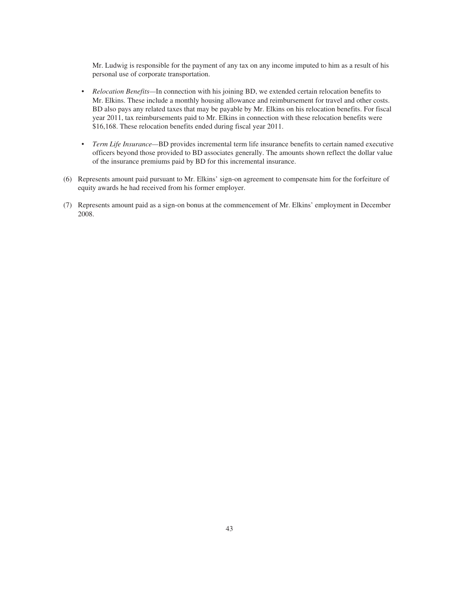Mr. Ludwig is responsible for the payment of any tax on any income imputed to him as a result of his personal use of corporate transportation.

- *Relocation Benefits—*In connection with his joining BD, we extended certain relocation benefits to Mr. Elkins. These include a monthly housing allowance and reimbursement for travel and other costs. BD also pays any related taxes that may be payable by Mr. Elkins on his relocation benefits. For fiscal year 2011, tax reimbursements paid to Mr. Elkins in connection with these relocation benefits were \$16,168. These relocation benefits ended during fiscal year 2011.
- *Term Life Insurance—*BD provides incremental term life insurance benefits to certain named executive officers beyond those provided to BD associates generally. The amounts shown reflect the dollar value of the insurance premiums paid by BD for this incremental insurance.
- (6) Represents amount paid pursuant to Mr. Elkins' sign-on agreement to compensate him for the forfeiture of equity awards he had received from his former employer.
- (7) Represents amount paid as a sign-on bonus at the commencement of Mr. Elkins' employment in December 2008.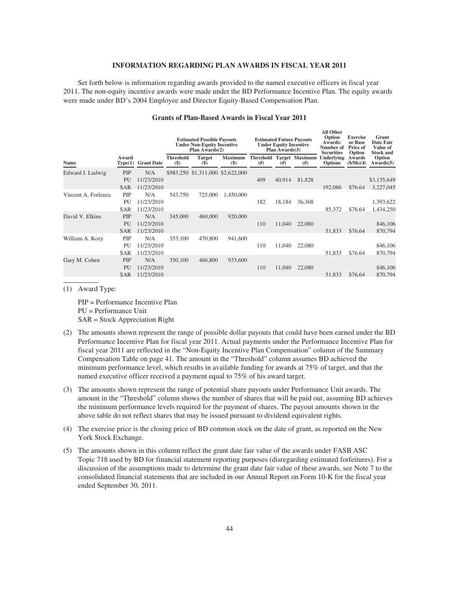### **INFORMATION REGARDING PLAN AWARDS IN FISCAL YEAR 2011**

Set forth below is information regarding awards provided to the named executive officers in fiscal year 2011. The non-equity incentive awards were made under the BD Performance Incentive Plan. The equity awards were made under BD's 2004 Employee and Director Equity-Based Compensation Plan.

|                     |                                |                                 | <b>Estimated Possible Payouts</b><br><b>Under Non-Equity Incentive</b><br>Plan Awards(2) |                                              |                         | <b>Estimated Future Payouts</b><br><b>Under Equity Incentive</b><br>Plan $Awards(3)$ |        |                                       | Ан өнег<br>Option<br>Awards:<br>Number of<br><b>Securities</b> | <b>Exercise</b><br>or Base<br><b>Price of</b><br>Option | Grant<br><b>Date Fair</b><br>Value of<br><b>Stock and</b> |
|---------------------|--------------------------------|---------------------------------|------------------------------------------------------------------------------------------|----------------------------------------------|-------------------------|--------------------------------------------------------------------------------------|--------|---------------------------------------|----------------------------------------------------------------|---------------------------------------------------------|-----------------------------------------------------------|
| <b>Name</b>         | Award<br>Type(1)               | <b>Grant Date</b>               | <b>Threshold</b><br>$(\$)$                                                               | <b>Target</b><br>$\left( \mathbf{\$}\right)$ | <b>Maximum</b><br>$($)$ | #)                                                                                   | #)     | <b>Threshold Target Maximum</b><br>#) | <b>Underlying</b><br><b>Options</b>                            | Awards<br>(\$/Sh)(4)                                    | Option<br>Awards(5)                                       |
| Edward J. Ludwig    | PIP<br>PU<br><b>SAR</b>        | N/A<br>11/23/2010<br>11/23/2010 |                                                                                          | \$983,250 \$1,311,000 \$2,622,000            |                         | 409                                                                                  | 40,914 | 81,828                                | 192,086                                                        | \$76.64                                                 | \$3,135,649<br>3,227,045                                  |
| Vincent A. Forlenza | PIP<br>PU<br><b>SAR</b>        | N/A<br>11/23/2010<br>11/23/2010 | 543,750                                                                                  | 725,000                                      | 1,450,000               | 182                                                                                  | 18,184 | 36,368                                | 85,372                                                         | \$76.64                                                 | 1,393,622<br>1,434,250                                    |
| David V. Elkins     | PIP<br>PU<br><b>SAR</b>        | N/A<br>11/23/2010<br>11/23/2010 | 345,000                                                                                  | 460,000                                      | 920,000                 | 110                                                                                  | 11,040 | 22,080                                | 51,833                                                         | \$76.64                                                 | 846,106<br>870,794                                        |
| William A. Kozy     | <b>PIP</b><br>PU<br><b>SAR</b> | N/A<br>11/23/2010<br>11/23/2010 | 353,100                                                                                  | 470,800                                      | 941,600                 | 110                                                                                  | 11,040 | 22,080                                | 51,833                                                         | \$76.64                                                 | 846,106<br>870,794                                        |
| Gary M. Cohen       | PIP<br>PU<br><b>SAR</b>        | N/A<br>11/23/2010<br>11/23/2010 | 350,100                                                                                  | 466,800                                      | 933,600                 | 110                                                                                  | 11,040 | 22,080                                | 51,833                                                         | \$76.64                                                 | 846,106<br>870,794                                        |

### **Grants of Plan-Based Awards in Fiscal Year 2011**

**All Other**

(1) Award Type:

PIP = Performance Incentive Plan PU = Performance Unit SAR = Stock Appreciation Right

- (2) The amounts shown represent the range of possible dollar payouts that could have been earned under the BD Performance Incentive Plan for fiscal year 2011. Actual payments under the Performance Incentive Plan for fiscal year 2011 are reflected in the "Non-Equity Incentive Plan Compensation" column of the Summary Compensation Table on page 41. The amount in the "Threshold" column assumes BD achieved the minimum performance level, which results in available funding for awards at 75% of target, and that the named executive officer received a payment equal to 75% of his award target.
- (3) The amounts shown represent the range of potential share payouts under Performance Unit awards. The amount in the "Threshold" column shows the number of shares that will be paid out, assuming BD achieves the minimum performance levels required for the payment of shares. The payout amounts shown in the above table do not reflect shares that may be issued pursuant to dividend equivalent rights.
- (4) The exercise price is the closing price of BD common stock on the date of grant, as reported on the New York Stock Exchange.
- (5) The amounts shown in this column reflect the grant date fair value of the awards under FASB ASC Topic 718 used by BD for financial statement reporting purposes (disregarding estimated forfeitures). For a discussion of the assumptions made to determine the grant date fair value of these awards, see Note 7 to the consolidated financial statements that are included in our Annual Report on Form 10-K for the fiscal year ended September 30, 2011.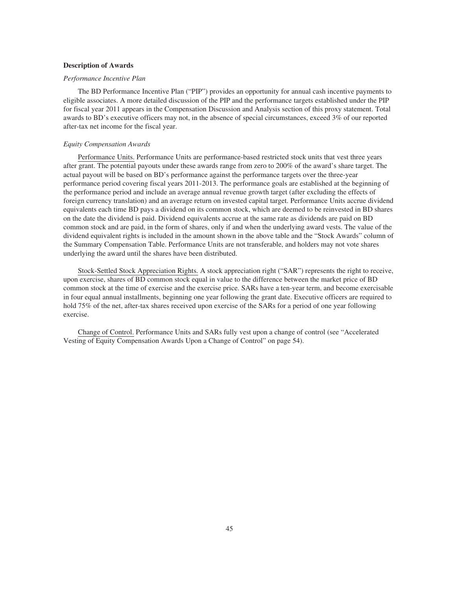### **Description of Awards**

### *Performance Incentive Plan*

The BD Performance Incentive Plan ("PIP") provides an opportunity for annual cash incentive payments to eligible associates. A more detailed discussion of the PIP and the performance targets established under the PIP for fiscal year 2011 appears in the Compensation Discussion and Analysis section of this proxy statement. Total awards to BD's executive officers may not, in the absence of special circumstances, exceed 3% of our reported after-tax net income for the fiscal year.

# *Equity Compensation Awards*

Performance Units. Performance Units are performance-based restricted stock units that vest three years after grant. The potential payouts under these awards range from zero to 200% of the award's share target. The actual payout will be based on BD's performance against the performance targets over the three-year performance period covering fiscal years 2011-2013. The performance goals are established at the beginning of the performance period and include an average annual revenue growth target (after excluding the effects of foreign currency translation) and an average return on invested capital target. Performance Units accrue dividend equivalents each time BD pays a dividend on its common stock, which are deemed to be reinvested in BD shares on the date the dividend is paid. Dividend equivalents accrue at the same rate as dividends are paid on BD common stock and are paid, in the form of shares, only if and when the underlying award vests. The value of the dividend equivalent rights is included in the amount shown in the above table and the "Stock Awards" column of the Summary Compensation Table. Performance Units are not transferable, and holders may not vote shares underlying the award until the shares have been distributed.

Stock-Settled Stock Appreciation Rights. A stock appreciation right ("SAR") represents the right to receive, upon exercise, shares of BD common stock equal in value to the difference between the market price of BD common stock at the time of exercise and the exercise price. SARs have a ten-year term, and become exercisable in four equal annual installments, beginning one year following the grant date. Executive officers are required to hold 75% of the net, after-tax shares received upon exercise of the SARs for a period of one year following exercise.

Change of Control. Performance Units and SARs fully vest upon a change of control (see "Accelerated Vesting of Equity Compensation Awards Upon a Change of Control" on page 54).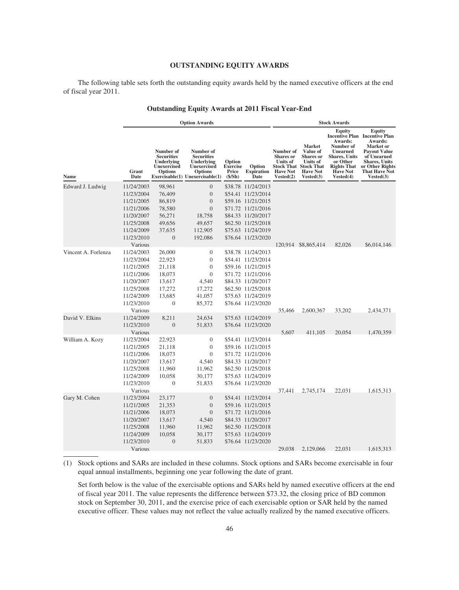## **OUTSTANDING EQUITY AWARDS**

The following table sets forth the outstanding equity awards held by the named executive officers at the end of fiscal year 2011.

|                     | <b>Option Awards</b>  |                                                                                      |                                                                                                                               |                                              |                                     | <b>Stock Awards</b>                                                              |                                                                                                                                  |                                                                                                                                                     |                                                                                                                                                                                                            |
|---------------------|-----------------------|--------------------------------------------------------------------------------------|-------------------------------------------------------------------------------------------------------------------------------|----------------------------------------------|-------------------------------------|----------------------------------------------------------------------------------|----------------------------------------------------------------------------------------------------------------------------------|-----------------------------------------------------------------------------------------------------------------------------------------------------|------------------------------------------------------------------------------------------------------------------------------------------------------------------------------------------------------------|
| Name                | Grant<br>Date         | Number of<br><b>Securities</b><br>Underlying<br><b>Unexercised</b><br><b>Options</b> | Number of<br><b>Securities</b><br>Underlying<br><b>Unexercised</b><br><b>Options</b><br>$Exerciseable(1)$ Unexercisable $(1)$ | Option<br><b>Exercise</b><br>Price<br>(S/Sh) | Option<br><b>Expiration</b><br>Date | Number of<br><b>Shares</b> or<br><b>Units of</b><br><b>Have Not</b><br>Vested(2) | <b>Market</b><br>Value of<br><b>Shares</b> or<br><b>Units of</b><br><b>Stock That Stock That</b><br><b>Have Not</b><br>Vested(3) | <b>Equity</b><br>Awards:<br>Number of<br><b>Unearned</b><br><b>Shares</b> , Units<br>or Other<br><b>Rights That</b><br><b>Have Not</b><br>Vested(4) | <b>Equity</b><br><b>Incentive Plan</b> Incentive Plan<br>Awards:<br><b>Market</b> or<br><b>Payout Value</b><br>of Unearned<br><b>Shares, Units</b><br>or Other Rights<br><b>That Have Not</b><br>Vested(3) |
| Edward J. Ludwig    | 11/24/2003            | 98,961                                                                               | $\overline{0}$                                                                                                                | \$38.78                                      | 11/24/2013                          |                                                                                  |                                                                                                                                  |                                                                                                                                                     |                                                                                                                                                                                                            |
|                     | 11/23/2004            | 76,409                                                                               | $\mathbf{0}$                                                                                                                  |                                              | \$54.41 11/23/2014                  |                                                                                  |                                                                                                                                  |                                                                                                                                                     |                                                                                                                                                                                                            |
|                     | 11/21/2005            | 86,819                                                                               | $\theta$                                                                                                                      |                                              | \$59.16 11/21/2015                  |                                                                                  |                                                                                                                                  |                                                                                                                                                     |                                                                                                                                                                                                            |
|                     | 11/21/2006            | 78,580                                                                               | $\mathbf{0}$                                                                                                                  |                                              | \$71.72 11/21/2016                  |                                                                                  |                                                                                                                                  |                                                                                                                                                     |                                                                                                                                                                                                            |
|                     | 11/20/2007            | 56,271                                                                               | 18,758                                                                                                                        |                                              | \$84.33 11/20/2017                  |                                                                                  |                                                                                                                                  |                                                                                                                                                     |                                                                                                                                                                                                            |
|                     | 11/25/2008            | 49,656                                                                               | 49,657                                                                                                                        |                                              | \$62.50 11/25/2018                  |                                                                                  |                                                                                                                                  |                                                                                                                                                     |                                                                                                                                                                                                            |
|                     | 11/24/2009            | 37,635                                                                               | 112,905                                                                                                                       |                                              | \$75.63 11/24/2019                  |                                                                                  |                                                                                                                                  |                                                                                                                                                     |                                                                                                                                                                                                            |
|                     | 11/23/2010            | $\mathbf{0}$                                                                         | 192,086                                                                                                                       |                                              | \$76.64 11/23/2020                  |                                                                                  |                                                                                                                                  |                                                                                                                                                     |                                                                                                                                                                                                            |
|                     | Various               |                                                                                      |                                                                                                                               |                                              |                                     |                                                                                  | 120,914 \$8,865,414                                                                                                              | 82,026                                                                                                                                              | \$6,014,146                                                                                                                                                                                                |
| Vincent A. Forlenza | 11/24/2003            | 26,000                                                                               | $\mathbf{0}$                                                                                                                  |                                              | \$38.78 11/24/2013                  |                                                                                  |                                                                                                                                  |                                                                                                                                                     |                                                                                                                                                                                                            |
|                     | 11/23/2004            | 22,923                                                                               | $\mathbf{0}$                                                                                                                  |                                              | \$54.41 11/23/2014                  |                                                                                  |                                                                                                                                  |                                                                                                                                                     |                                                                                                                                                                                                            |
|                     | 11/21/2005            | 21,118                                                                               | $\mathbf{0}$                                                                                                                  |                                              | \$59.16 11/21/2015                  |                                                                                  |                                                                                                                                  |                                                                                                                                                     |                                                                                                                                                                                                            |
|                     | 11/21/2006            | 18,073                                                                               | $\overline{0}$                                                                                                                |                                              | \$71.72 11/21/2016                  |                                                                                  |                                                                                                                                  |                                                                                                                                                     |                                                                                                                                                                                                            |
|                     | 11/20/2007            | 13,617                                                                               | 4,540                                                                                                                         |                                              | \$84.33 11/20/2017                  |                                                                                  |                                                                                                                                  |                                                                                                                                                     |                                                                                                                                                                                                            |
|                     | 11/25/2008            | 17,272                                                                               | 17,272                                                                                                                        |                                              | \$62.50 11/25/2018                  |                                                                                  |                                                                                                                                  |                                                                                                                                                     |                                                                                                                                                                                                            |
|                     | 11/24/2009            | 13,685                                                                               | 41,057                                                                                                                        |                                              | \$75.63 11/24/2019                  |                                                                                  |                                                                                                                                  |                                                                                                                                                     |                                                                                                                                                                                                            |
|                     | 11/23/2010<br>Various | $\overline{0}$                                                                       | 85,372                                                                                                                        |                                              | \$76.64 11/23/2020                  | 35,466                                                                           | 2,600,367                                                                                                                        | 33,202                                                                                                                                              | 2,434,371                                                                                                                                                                                                  |
| David V. Elkins     | 11/24/2009            | 8,211                                                                                | 24,634                                                                                                                        |                                              | \$75.63 11/24/2019                  |                                                                                  |                                                                                                                                  |                                                                                                                                                     |                                                                                                                                                                                                            |
|                     | 11/23/2010            | $\overline{0}$                                                                       | 51,833                                                                                                                        |                                              | \$76.64 11/23/2020                  |                                                                                  |                                                                                                                                  |                                                                                                                                                     |                                                                                                                                                                                                            |
|                     | Various               |                                                                                      |                                                                                                                               |                                              |                                     | 5,607                                                                            | 411,105                                                                                                                          | 20,054                                                                                                                                              | 1,470,359                                                                                                                                                                                                  |
| William A. Kozy     | 11/23/2004            | 22,923                                                                               | $\boldsymbol{0}$                                                                                                              |                                              | \$54.41 11/23/2014                  |                                                                                  |                                                                                                                                  |                                                                                                                                                     |                                                                                                                                                                                                            |
|                     | 11/21/2005            | 21,118                                                                               | $\boldsymbol{0}$                                                                                                              |                                              | \$59.16 11/21/2015                  |                                                                                  |                                                                                                                                  |                                                                                                                                                     |                                                                                                                                                                                                            |
|                     | 11/21/2006            | 18,073                                                                               | $\overline{0}$                                                                                                                |                                              | \$71.72 11/21/2016                  |                                                                                  |                                                                                                                                  |                                                                                                                                                     |                                                                                                                                                                                                            |
|                     | 11/20/2007            | 13,617                                                                               | 4,540                                                                                                                         |                                              | \$84.33 11/20/2017                  |                                                                                  |                                                                                                                                  |                                                                                                                                                     |                                                                                                                                                                                                            |
|                     | 11/25/2008            | 11,960                                                                               | 11,962                                                                                                                        |                                              | \$62.50 11/25/2018                  |                                                                                  |                                                                                                                                  |                                                                                                                                                     |                                                                                                                                                                                                            |
|                     | 11/24/2009            | 10,058                                                                               | 30,177                                                                                                                        |                                              | \$75.63 11/24/2019                  |                                                                                  |                                                                                                                                  |                                                                                                                                                     |                                                                                                                                                                                                            |
|                     | 11/23/2010            | $\theta$                                                                             | 51,833                                                                                                                        |                                              | \$76.64 11/23/2020                  |                                                                                  |                                                                                                                                  |                                                                                                                                                     |                                                                                                                                                                                                            |
|                     | Various               |                                                                                      |                                                                                                                               |                                              |                                     | 37,441                                                                           | 2,745,174                                                                                                                        | 22,031                                                                                                                                              | 1,615,313                                                                                                                                                                                                  |
| Gary M. Cohen       | 11/23/2004            | 23,177                                                                               | $\mathbf{0}$                                                                                                                  |                                              | \$54.41 11/23/2014                  |                                                                                  |                                                                                                                                  |                                                                                                                                                     |                                                                                                                                                                                                            |
|                     | 11/21/2005            | 21,353                                                                               | $\mathbf{0}$                                                                                                                  |                                              | \$59.16 11/21/2015                  |                                                                                  |                                                                                                                                  |                                                                                                                                                     |                                                                                                                                                                                                            |
|                     | 11/21/2006            | 18,073                                                                               | $\theta$                                                                                                                      |                                              | \$71.72 11/21/2016                  |                                                                                  |                                                                                                                                  |                                                                                                                                                     |                                                                                                                                                                                                            |
|                     | 11/20/2007            | 13,617                                                                               | 4,540                                                                                                                         |                                              | \$84.33 11/20/2017                  |                                                                                  |                                                                                                                                  |                                                                                                                                                     |                                                                                                                                                                                                            |
|                     | 11/25/2008            | 11,960                                                                               | 11,962                                                                                                                        |                                              | \$62.50 11/25/2018                  |                                                                                  |                                                                                                                                  |                                                                                                                                                     |                                                                                                                                                                                                            |
|                     | 11/24/2009            | 10,058                                                                               | 30,177                                                                                                                        |                                              | \$75.63 11/24/2019                  |                                                                                  |                                                                                                                                  |                                                                                                                                                     |                                                                                                                                                                                                            |
|                     | 11/23/2010            | $\overline{0}$                                                                       | 51,833                                                                                                                        |                                              | \$76.64 11/23/2020                  |                                                                                  |                                                                                                                                  |                                                                                                                                                     |                                                                                                                                                                                                            |
|                     | Various               |                                                                                      |                                                                                                                               |                                              |                                     | 29,038                                                                           | 2,129,066                                                                                                                        | 22,031                                                                                                                                              | 1.615.313                                                                                                                                                                                                  |

## **Outstanding Equity Awards at 2011 Fiscal Year-End**

(1) Stock options and SARs are included in these columns. Stock options and SARs become exercisable in four equal annual installments, beginning one year following the date of grant.

Set forth below is the value of the exercisable options and SARs held by named executive officers at the end of fiscal year 2011. The value represents the difference between \$73.32, the closing price of BD common stock on September 30, 2011, and the exercise price of each exercisable option or SAR held by the named executive officer. These values may not reflect the value actually realized by the named executive officers.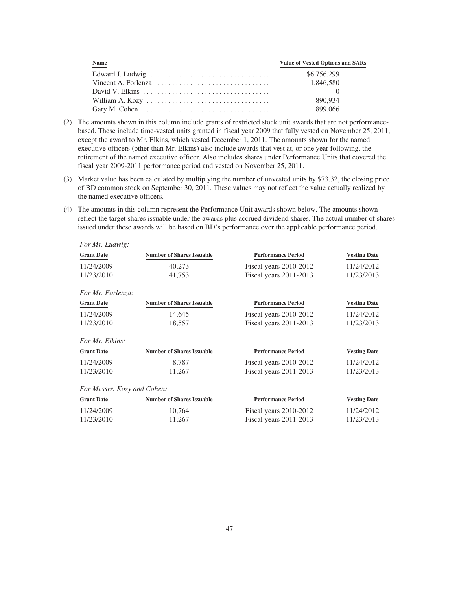| <b>Name</b>                                                                       | <b>Value of Vested Options and SARs</b> |
|-----------------------------------------------------------------------------------|-----------------------------------------|
|                                                                                   | \$6,756,299                             |
|                                                                                   | 1,846,580                               |
|                                                                                   |                                         |
|                                                                                   | 890.934                                 |
| Gary M. Cohen $\dots \dots \dots \dots \dots \dots \dots \dots \dots \dots \dots$ | 899.066                                 |

- (2) The amounts shown in this column include grants of restricted stock unit awards that are not performancebased. These include time-vested units granted in fiscal year 2009 that fully vested on November 25, 2011, except the award to Mr. Elkins, which vested December 1, 2011. The amounts shown for the named executive officers (other than Mr. Elkins) also include awards that vest at, or one year following, the retirement of the named executive officer. Also includes shares under Performance Units that covered the fiscal year 2009-2011 performance period and vested on November 25, 2011.
- (3) Market value has been calculated by multiplying the number of unvested units by \$73.32, the closing price of BD common stock on September 30, 2011. These values may not reflect the value actually realized by the named executive officers.
- (4) The amounts in this column represent the Performance Unit awards shown below. The amounts shown reflect the target shares issuable under the awards plus accrued dividend shares. The actual number of shares issued under these awards will be based on BD's performance over the applicable performance period.

| <b>Number of Shares Issuable</b> | <b>Performance Period</b> | <b>Vesting Date</b> |
|----------------------------------|---------------------------|---------------------|
| 40,273                           | Fiscal years 2010-2012    | 11/24/2012          |
| 41,753                           | Fiscal years 2011-2013    | 11/23/2013          |
|                                  |                           |                     |
| <b>Number of Shares Issuable</b> | <b>Performance Period</b> | <b>Vesting Date</b> |
| 14,645                           | Fiscal years 2010-2012    | 11/24/2012          |
| 18,557                           | Fiscal years 2011-2013    | 11/23/2013          |
|                                  |                           |                     |
| <b>Number of Shares Issuable</b> | <b>Performance Period</b> | <b>Vesting Date</b> |
| 8,787                            | Fiscal years 2010-2012    | 11/24/2012          |
| 11,267                           | Fiscal years 2011-2013    | 11/23/2013          |
| For Messrs. Kozy and Cohen:      |                           |                     |
| <b>Number of Shares Issuable</b> | <b>Performance Period</b> | <b>Vesting Date</b> |
| 10,764                           | Fiscal years 2010-2012    | 11/24/2012          |
| 11,267                           | Fiscal years 2011-2013    | 11/23/2013          |
|                                  |                           |                     |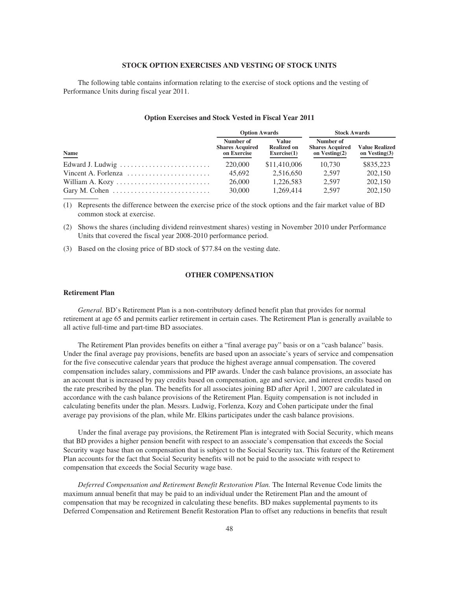## **STOCK OPTION EXERCISES AND VESTING OF STOCK UNITS**

The following table contains information relating to the exercise of stock options and the vesting of Performance Units during fiscal year 2011.

### **Option Exercises and Stock Vested in Fiscal Year 2011**

|                                                                    | <b>Option Awards</b>                               |                                            | <b>Stock Awards</b>                                     |                                           |  |
|--------------------------------------------------------------------|----------------------------------------------------|--------------------------------------------|---------------------------------------------------------|-------------------------------------------|--|
| <b>Name</b>                                                        | Number of<br><b>Shares Acquired</b><br>on Exercise | Value<br><b>Realized on</b><br>Exercise(1) | Number of<br><b>Shares Acquired</b><br>on Vesting $(2)$ | <b>Value Realized</b><br>on Vesting $(3)$ |  |
|                                                                    | 220,000                                            | \$11,410,006                               | 10.730                                                  | \$835,223                                 |  |
| Vincent A. Forlenza $\ldots \ldots \ldots \ldots \ldots \ldots$    | 45.692                                             | 2.516.650                                  | 2.597                                                   | 202,150                                   |  |
|                                                                    | 26,000                                             | 1,226,583                                  | 2.597                                                   | 202,150                                   |  |
| Gary M. Cohen $\dots\dots\dots\dots\dots\dots\dots\dots\dots\dots$ | 30,000                                             | 1.269.414                                  | 2.597                                                   | 202,150                                   |  |

(1) Represents the difference between the exercise price of the stock options and the fair market value of BD common stock at exercise.

(2) Shows the shares (including dividend reinvestment shares) vesting in November 2010 under Performance Units that covered the fiscal year 2008-2010 performance period.

(3) Based on the closing price of BD stock of \$77.84 on the vesting date.

# **OTHER COMPENSATION**

### **Retirement Plan**

*General.* BD's Retirement Plan is a non-contributory defined benefit plan that provides for normal retirement at age 65 and permits earlier retirement in certain cases. The Retirement Plan is generally available to all active full-time and part-time BD associates.

The Retirement Plan provides benefits on either a "final average pay" basis or on a "cash balance" basis. Under the final average pay provisions, benefits are based upon an associate's years of service and compensation for the five consecutive calendar years that produce the highest average annual compensation. The covered compensation includes salary, commissions and PIP awards. Under the cash balance provisions, an associate has an account that is increased by pay credits based on compensation, age and service, and interest credits based on the rate prescribed by the plan. The benefits for all associates joining BD after April 1, 2007 are calculated in accordance with the cash balance provisions of the Retirement Plan. Equity compensation is not included in calculating benefits under the plan. Messrs. Ludwig, Forlenza, Kozy and Cohen participate under the final average pay provisions of the plan, while Mr. Elkins participates under the cash balance provisions.

Under the final average pay provisions, the Retirement Plan is integrated with Social Security, which means that BD provides a higher pension benefit with respect to an associate's compensation that exceeds the Social Security wage base than on compensation that is subject to the Social Security tax. This feature of the Retirement Plan accounts for the fact that Social Security benefits will not be paid to the associate with respect to compensation that exceeds the Social Security wage base.

*Deferred Compensation and Retirement Benefit Restoration Plan.* The Internal Revenue Code limits the maximum annual benefit that may be paid to an individual under the Retirement Plan and the amount of compensation that may be recognized in calculating these benefits. BD makes supplemental payments to its Deferred Compensation and Retirement Benefit Restoration Plan to offset any reductions in benefits that result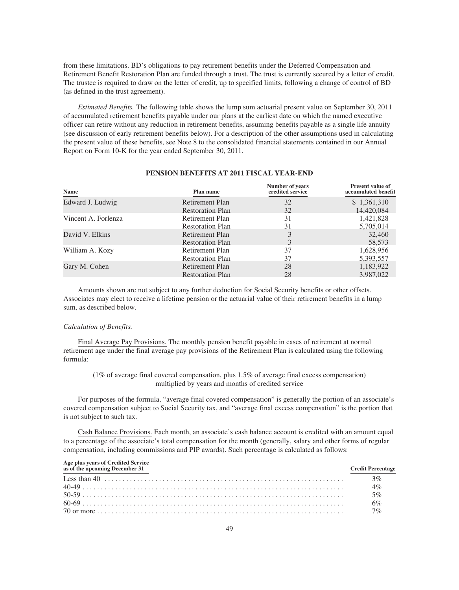from these limitations. BD's obligations to pay retirement benefits under the Deferred Compensation and Retirement Benefit Restoration Plan are funded through a trust. The trust is currently secured by a letter of credit. The trustee is required to draw on the letter of credit, up to specified limits, following a change of control of BD (as defined in the trust agreement).

*Estimated Benefits.* The following table shows the lump sum actuarial present value on September 30, 2011 of accumulated retirement benefits payable under our plans at the earliest date on which the named executive officer can retire without any reduction in retirement benefits, assuming benefits payable as a single life annuity (see discussion of early retirement benefits below). For a description of the other assumptions used in calculating the present value of these benefits, see Note 8 to the consolidated financial statements contained in our Annual Report on Form 10-K for the year ended September 30, 2011.

| Name                | Plan name               | Number of years<br>credited service | <b>Present value of</b><br>accumulated benefit |
|---------------------|-------------------------|-------------------------------------|------------------------------------------------|
| Edward J. Ludwig    | Retirement Plan         | 32                                  | \$1,361,310                                    |
|                     | <b>Restoration Plan</b> | 32                                  | 14,420,084                                     |
| Vincent A. Forlenza | Retirement Plan         | 31                                  | 1,421,828                                      |
|                     | <b>Restoration Plan</b> | 31                                  | 5,705,014                                      |
| David V. Elkins     | Retirement Plan         |                                     | 32,460                                         |
|                     | <b>Restoration Plan</b> |                                     | 58,573                                         |
| William A. Kozy     | Retirement Plan         | 37                                  | 1,628,956                                      |
|                     | <b>Restoration Plan</b> | 37                                  | 5,393,557                                      |
| Gary M. Cohen       | Retirement Plan         | 28                                  | 1,183,922                                      |
|                     | <b>Restoration Plan</b> | 28                                  | 3,987,022                                      |

### **PENSION BENEFITS AT 2011 FISCAL YEAR-END**

Amounts shown are not subject to any further deduction for Social Security benefits or other offsets. Associates may elect to receive a lifetime pension or the actuarial value of their retirement benefits in a lump sum, as described below.

### *Calculation of Benefits.*

**Age plus years of Credited Service**

Final Average Pay Provisions. The monthly pension benefit payable in cases of retirement at normal retirement age under the final average pay provisions of the Retirement Plan is calculated using the following formula:

# (1% of average final covered compensation, plus 1.5% of average final excess compensation) multiplied by years and months of credited service

For purposes of the formula, "average final covered compensation" is generally the portion of an associate's covered compensation subject to Social Security tax, and "average final excess compensation" is the portion that is not subject to such tax.

Cash Balance Provisions. Each month, an associate's cash balance account is credited with an amount equal to a percentage of the associate's total compensation for the month (generally, salary and other forms of regular compensation, including commissions and PIP awards). Such percentage is calculated as follows:

| Age plus years of Credited Service<br>as of the upcoming December 31 | <b>Credit Percentage</b> |
|----------------------------------------------------------------------|--------------------------|
|                                                                      | $3\%$                    |
|                                                                      | 4%                       |
|                                                                      | 5%                       |
|                                                                      | 6%                       |
|                                                                      | $7\%$                    |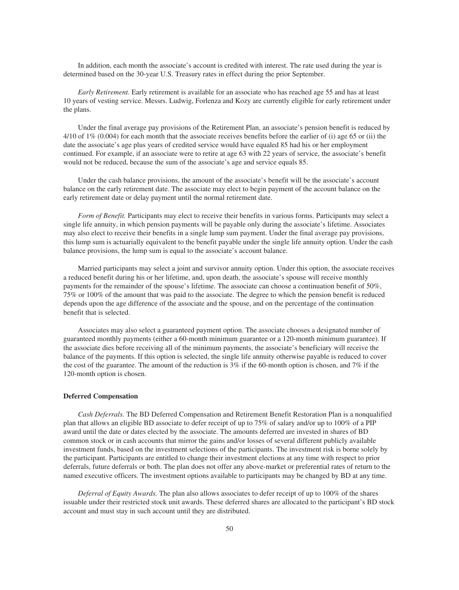In addition, each month the associate's account is credited with interest. The rate used during the year is determined based on the 30-year U.S. Treasury rates in effect during the prior September.

*Early Retirement.* Early retirement is available for an associate who has reached age 55 and has at least 10 years of vesting service. Messrs. Ludwig, Forlenza and Kozy are currently eligible for early retirement under the plans.

Under the final average pay provisions of the Retirement Plan, an associate's pension benefit is reduced by 4/10 of 1% (0.004) for each month that the associate receives benefits before the earlier of (i) age 65 or (ii) the date the associate's age plus years of credited service would have equaled 85 had his or her employment continued. For example, if an associate were to retire at age 63 with 22 years of service, the associate's benefit would not be reduced, because the sum of the associate's age and service equals 85.

Under the cash balance provisions, the amount of the associate's benefit will be the associate's account balance on the early retirement date. The associate may elect to begin payment of the account balance on the early retirement date or delay payment until the normal retirement date.

*Form of Benefit.* Participants may elect to receive their benefits in various forms. Participants may select a single life annuity, in which pension payments will be payable only during the associate's lifetime. Associates may also elect to receive their benefits in a single lump sum payment. Under the final average pay provisions, this lump sum is actuarially equivalent to the benefit payable under the single life annuity option. Under the cash balance provisions, the lump sum is equal to the associate's account balance.

Married participants may select a joint and survivor annuity option. Under this option, the associate receives a reduced benefit during his or her lifetime, and, upon death, the associate's spouse will receive monthly payments for the remainder of the spouse's lifetime. The associate can choose a continuation benefit of 50%, 75% or 100% of the amount that was paid to the associate. The degree to which the pension benefit is reduced depends upon the age difference of the associate and the spouse, and on the percentage of the continuation benefit that is selected.

Associates may also select a guaranteed payment option. The associate chooses a designated number of guaranteed monthly payments (either a 60-month minimum guarantee or a 120-month minimum guarantee). If the associate dies before receiving all of the minimum payments, the associate's beneficiary will receive the balance of the payments. If this option is selected, the single life annuity otherwise payable is reduced to cover the cost of the guarantee. The amount of the reduction is  $3\%$  if the 60-month option is chosen, and 7% if the 120-month option is chosen.

### **Deferred Compensation**

*Cash Deferrals.* The BD Deferred Compensation and Retirement Benefit Restoration Plan is a nonqualified plan that allows an eligible BD associate to defer receipt of up to 75% of salary and/or up to 100% of a PIP award until the date or dates elected by the associate. The amounts deferred are invested in shares of BD common stock or in cash accounts that mirror the gains and/or losses of several different publicly available investment funds, based on the investment selections of the participants. The investment risk is borne solely by the participant. Participants are entitled to change their investment elections at any time with respect to prior deferrals, future deferrals or both. The plan does not offer any above-market or preferential rates of return to the named executive officers. The investment options available to participants may be changed by BD at any time.

*Deferral of Equity Awards.* The plan also allows associates to defer receipt of up to 100% of the shares issuable under their restricted stock unit awards. These deferred shares are allocated to the participant's BD stock account and must stay in such account until they are distributed.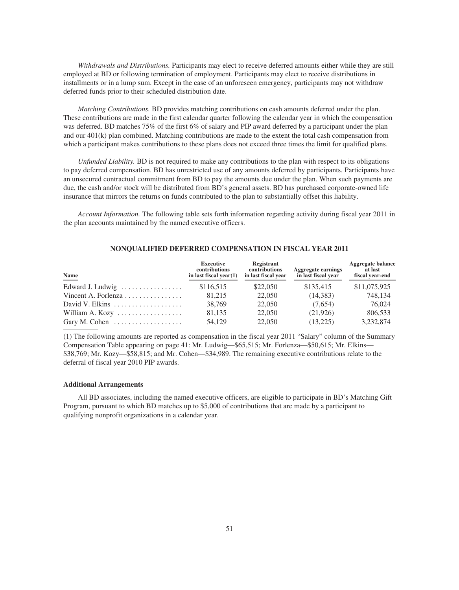*Withdrawals and Distributions.* Participants may elect to receive deferred amounts either while they are still employed at BD or following termination of employment. Participants may elect to receive distributions in installments or in a lump sum. Except in the case of an unforeseen emergency, participants may not withdraw deferred funds prior to their scheduled distribution date.

*Matching Contributions.* BD provides matching contributions on cash amounts deferred under the plan. These contributions are made in the first calendar quarter following the calendar year in which the compensation was deferred. BD matches 75% of the first 6% of salary and PIP award deferred by a participant under the plan and our 401(k) plan combined. Matching contributions are made to the extent the total cash compensation from which a participant makes contributions to these plans does not exceed three times the limit for qualified plans.

*Unfunded Liability.* BD is not required to make any contributions to the plan with respect to its obligations to pay deferred compensation. BD has unrestricted use of any amounts deferred by participants. Participants have an unsecured contractual commitment from BD to pay the amounts due under the plan. When such payments are due, the cash and/or stock will be distributed from BD's general assets. BD has purchased corporate-owned life insurance that mirrors the returns on funds contributed to the plan to substantially offset this liability.

*Account Information.* The following table sets forth information regarding activity during fiscal year 2011 in the plan accounts maintained by the named executive officers.

| Name                                              | <b>Executive</b><br>contributions<br>in last fiscal year $(1)$ | Registrant<br>contributions<br>in last fiscal year | <b>Aggregate earnings</b><br>in last fiscal year | <b>Aggregate balance</b><br>at last<br>fiscal year-end |
|---------------------------------------------------|----------------------------------------------------------------|----------------------------------------------------|--------------------------------------------------|--------------------------------------------------------|
| Edward J. Ludwig                                  | \$116,515                                                      | \$22,050                                           | \$135,415                                        | \$11,075,925                                           |
| Vincent A. Forlenza $\ldots \ldots \ldots \ldots$ | 81.215                                                         | 22,050                                             | (14,383)                                         | 748.134                                                |
| David V. Elkins                                   | 38,769                                                         | 22,050                                             | (7.654)                                          | 76,024                                                 |
| William A. Kozy                                   | 81,135                                                         | 22,050                                             | (21,926)                                         | 806,533                                                |
| Gary M. Cohen                                     | 54,129                                                         | 22,050                                             | (13,225)                                         | 3,232,874                                              |

### **NONQUALIFIED DEFERRED COMPENSATION IN FISCAL YEAR 2011**

(1) The following amounts are reported as compensation in the fiscal year 2011 "Salary" column of the Summary Compensation Table appearing on page 41: Mr. Ludwig—\$65,515; Mr. Forlenza—\$50,615; Mr. Elkins— \$38,769; Mr. Kozy—\$58,815; and Mr. Cohen—\$34,989. The remaining executive contributions relate to the deferral of fiscal year 2010 PIP awards.

### **Additional Arrangements**

All BD associates, including the named executive officers, are eligible to participate in BD's Matching Gift Program, pursuant to which BD matches up to \$5,000 of contributions that are made by a participant to qualifying nonprofit organizations in a calendar year.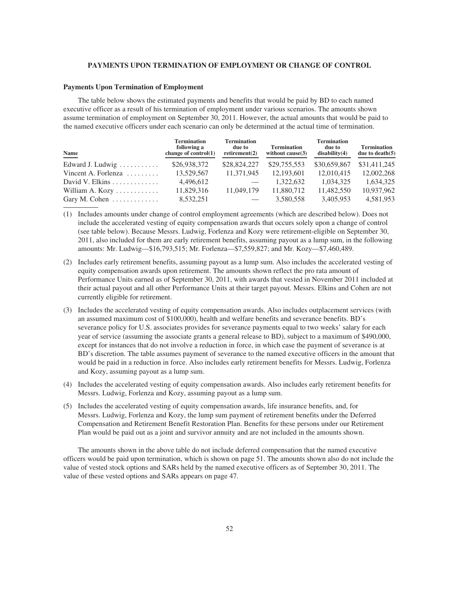### **PAYMENTS UPON TERMINATION OF EMPLOYMENT OR CHANGE OF CONTROL**

## **Payments Upon Termination of Employment**

The table below shows the estimated payments and benefits that would be paid by BD to each named executive officer as a result of his termination of employment under various scenarios. The amounts shown assume termination of employment on September 30, 2011. However, the actual amounts that would be paid to the named executive officers under each scenario can only be determined at the actual time of termination.

| Name                                 | <b>Termination</b><br>following a<br>change of $control(1)$ | <b>Termination</b><br>due to<br>retirement(2) | <b>Termination</b><br>without $cause(3)$ | <b>Termination</b><br>due to<br>disability(4) | <b>Termination</b><br>due to $death(5)$ |
|--------------------------------------|-------------------------------------------------------------|-----------------------------------------------|------------------------------------------|-----------------------------------------------|-----------------------------------------|
| Edward J. Ludwig $\dots \dots \dots$ | \$26,938,372                                                | \$28,824,227                                  | \$29,755,553                             | \$30,659,867                                  | \$31,411,245                            |
| Vincent A. Forlenza $\ldots \ldots$  | 13,529,567                                                  | 11,371,945                                    | 12,193,601                               | 12,010,415                                    | 12,002,268                              |
|                                      | 4,496,612                                                   |                                               | 1.322.632                                | 1.034.325                                     | 1,634,325                               |
| William A. Kozy $\dots \dots \dots$  | 11,829,316                                                  | 11,049,179                                    | 11,880,712                               | 11,482,550                                    | 10,937,962                              |
| Gary M. Cohen $\dots \dots \dots$    | 8,532,251                                                   |                                               | 3,580,558                                | 3,405,953                                     | 4,581,953                               |

(1) Includes amounts under change of control employment agreements (which are described below). Does not include the accelerated vesting of equity compensation awards that occurs solely upon a change of control (see table below). Because Messrs. Ludwig, Forlenza and Kozy were retirement-eligible on September 30, 2011, also included for them are early retirement benefits, assuming payout as a lump sum, in the following amounts: Mr. Ludwig—\$16,793,515; Mr. Forlenza—\$7,559,827; and Mr. Kozy—\$7,460,489.

- (2) Includes early retirement benefits, assuming payout as a lump sum. Also includes the accelerated vesting of equity compensation awards upon retirement. The amounts shown reflect the pro rata amount of Performance Units earned as of September 30, 2011, with awards that vested in November 2011 included at their actual payout and all other Performance Units at their target payout. Messrs. Elkins and Cohen are not currently eligible for retirement.
- (3) Includes the accelerated vesting of equity compensation awards. Also includes outplacement services (with an assumed maximum cost of \$100,000), health and welfare benefits and severance benefits. BD's severance policy for U.S. associates provides for severance payments equal to two weeks' salary for each year of service (assuming the associate grants a general release to BD), subject to a maximum of \$490,000, except for instances that do not involve a reduction in force, in which case the payment of severance is at BD's discretion. The table assumes payment of severance to the named executive officers in the amount that would be paid in a reduction in force. Also includes early retirement benefits for Messrs. Ludwig, Forlenza and Kozy, assuming payout as a lump sum.
- (4) Includes the accelerated vesting of equity compensation awards. Also includes early retirement benefits for Messrs. Ludwig, Forlenza and Kozy, assuming payout as a lump sum.
- (5) Includes the accelerated vesting of equity compensation awards, life insurance benefits, and, for Messrs. Ludwig, Forlenza and Kozy, the lump sum payment of retirement benefits under the Deferred Compensation and Retirement Benefit Restoration Plan. Benefits for these persons under our Retirement Plan would be paid out as a joint and survivor annuity and are not included in the amounts shown.

The amounts shown in the above table do not include deferred compensation that the named executive officers would be paid upon termination, which is shown on page 51. The amounts shown also do not include the value of vested stock options and SARs held by the named executive officers as of September 30, 2011. The value of these vested options and SARs appears on page 47.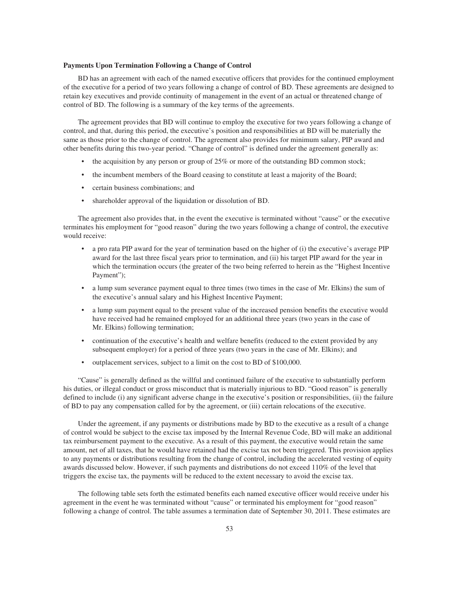### **Payments Upon Termination Following a Change of Control**

BD has an agreement with each of the named executive officers that provides for the continued employment of the executive for a period of two years following a change of control of BD. These agreements are designed to retain key executives and provide continuity of management in the event of an actual or threatened change of control of BD. The following is a summary of the key terms of the agreements.

The agreement provides that BD will continue to employ the executive for two years following a change of control, and that, during this period, the executive's position and responsibilities at BD will be materially the same as those prior to the change of control. The agreement also provides for minimum salary, PIP award and other benefits during this two-year period. "Change of control" is defined under the agreement generally as:

- the acquisition by any person or group of 25% or more of the outstanding BD common stock;
- the incumbent members of the Board ceasing to constitute at least a majority of the Board;
- certain business combinations; and
- shareholder approval of the liquidation or dissolution of BD.

The agreement also provides that, in the event the executive is terminated without "cause" or the executive terminates his employment for "good reason" during the two years following a change of control, the executive would receive:

- a pro rata PIP award for the year of termination based on the higher of (i) the executive's average PIP award for the last three fiscal years prior to termination, and (ii) his target PIP award for the year in which the termination occurs (the greater of the two being referred to herein as the "Highest Incentive Payment");
- a lump sum severance payment equal to three times (two times in the case of Mr. Elkins) the sum of the executive's annual salary and his Highest Incentive Payment;
- a lump sum payment equal to the present value of the increased pension benefits the executive would have received had he remained employed for an additional three years (two years in the case of Mr. Elkins) following termination;
- continuation of the executive's health and welfare benefits (reduced to the extent provided by any subsequent employer) for a period of three years (two years in the case of Mr. Elkins); and
- outplacement services, subject to a limit on the cost to BD of \$100,000.

"Cause" is generally defined as the willful and continued failure of the executive to substantially perform his duties, or illegal conduct or gross misconduct that is materially injurious to BD. "Good reason" is generally defined to include (i) any significant adverse change in the executive's position or responsibilities, (ii) the failure of BD to pay any compensation called for by the agreement, or (iii) certain relocations of the executive.

Under the agreement, if any payments or distributions made by BD to the executive as a result of a change of control would be subject to the excise tax imposed by the Internal Revenue Code, BD will make an additional tax reimbursement payment to the executive. As a result of this payment, the executive would retain the same amount, net of all taxes, that he would have retained had the excise tax not been triggered. This provision applies to any payments or distributions resulting from the change of control, including the accelerated vesting of equity awards discussed below. However, if such payments and distributions do not exceed 110% of the level that triggers the excise tax, the payments will be reduced to the extent necessary to avoid the excise tax.

The following table sets forth the estimated benefits each named executive officer would receive under his agreement in the event he was terminated without "cause" or terminated his employment for "good reason" following a change of control. The table assumes a termination date of September 30, 2011. These estimates are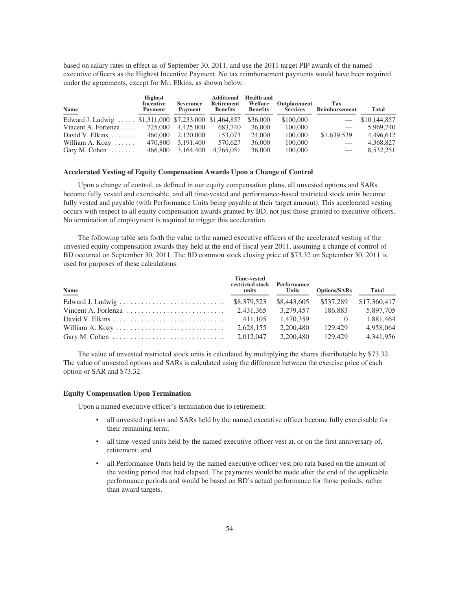based on salary rates in effect as of September 30, 2011, and use the 2011 target PIP awards of the named executive officers as the Highest Incentive Payment. No tax reimbursement payments would have been required under the agreements, except for Mr. Elkins, as shown below.

| Name<br>$\equiv$                                      | <b>Highest</b><br><b>Incentive</b><br>Payment | <b>Severance</b><br>Payment | <b>Additional</b><br><b>Retirement</b><br><b>Benefits</b> | <b>Health and</b><br>Welfare<br><b>Benefits</b> | Outplacement<br><b>Services</b> | Tax<br>Reimbursement | <b>Total</b> |
|-------------------------------------------------------|-----------------------------------------------|-----------------------------|-----------------------------------------------------------|-------------------------------------------------|---------------------------------|----------------------|--------------|
| Edward J. Ludwig  \$1,311,000 \$7,233,000 \$1,464,857 |                                               |                             |                                                           | \$36,000                                        | \$100,000                       |                      | \$10,144,857 |
| Vincent A. Forlenza $\dots$                           | 725,000                                       | 4,425,000                   | 683,740                                                   | 36,000                                          | 100,000                         |                      | 5,969,740    |
| David V. Elkins $\ldots$                              | 460,000                                       | 2.120,000                   | 153,073                                                   | 24,000                                          | 100,000                         | \$1,639,539          | 4,496,612    |
| William A. Kozy $\dots$                               | 470,800                                       | 3,191,400                   | 570,627                                                   | 36,000                                          | 100,000                         |                      | 4,368,827    |
| Gary M. Cohen $\dots\dots$                            | 466,800                                       | 3,164,400                   | 4,765,051                                                 | 36,000                                          | 100,000                         |                      | 8,532,251    |

### **Accelerated Vesting of Equity Compensation Awards Upon a Change of Control**

Upon a change of control, as defined in our equity compensation plans, all unvested options and SARs become fully vested and exercisable, and all time-vested and performance-based restricted stock units become fully vested and payable (with Performance Units being payable at their target amount). This accelerated vesting occurs with respect to all equity compensation awards granted by BD, not just those granted to executive officers. No termination of employment is required to trigger this acceleration.

The following table sets forth the value to the named executive officers of the accelerated vesting of the unvested equity compensation awards they held at the end of fiscal year 2011, assuming a change of control of BD occurred on September 30, 2011. The BD common stock closing price of \$73.32 on September 30, 2011 is used for purposes of these calculations.

| Name                                                                        | <b>Time-vested</b><br>restricted stock Performance<br>units | <b>Units</b> | <b>Options/SARs</b> | <b>Total</b> |
|-----------------------------------------------------------------------------|-------------------------------------------------------------|--------------|---------------------|--------------|
|                                                                             | \$8,379,523                                                 | \$8,443,605  | \$537.289           | \$17,360,417 |
| Vincent A. Forlenza $\ldots \ldots \ldots \ldots \ldots \ldots \ldots$      | 2.431.365                                                   | 3.279.457    | 186,883             | 5.897.705    |
|                                                                             | 411.105                                                     | 1.470.359    |                     | 1.881.464    |
|                                                                             | 2.628.155                                                   | 2.200.480    | 129.429             | 4.958.064    |
| Gary M. Cohen $\dots \dots \dots \dots \dots \dots \dots \dots \dots \dots$ | 2.012.047                                                   | 2.200.480    | 129.429             | 4,341,956    |

The value of unvested restricted stock units is calculated by multiplying the shares distributable by \$73.32. The value of unvested options and SARs is calculated using the difference between the exercise price of each option or SAR and \$73.32.

# **Equity Compensation Upon Termination**

Upon a named executive officer's termination due to retirement:

- all unvested options and SARs held by the named executive officer become fully exercisable for their remaining term;
- all time-vested units held by the named executive officer vest at, or on the first anniversary of, retirement; and
- all Performance Units held by the named executive officer vest pro rata based on the amount of the vesting period that had elapsed. The payments would be made after the end of the applicable performance periods and would be based on BD's actual performance for those periods, rather than award targets.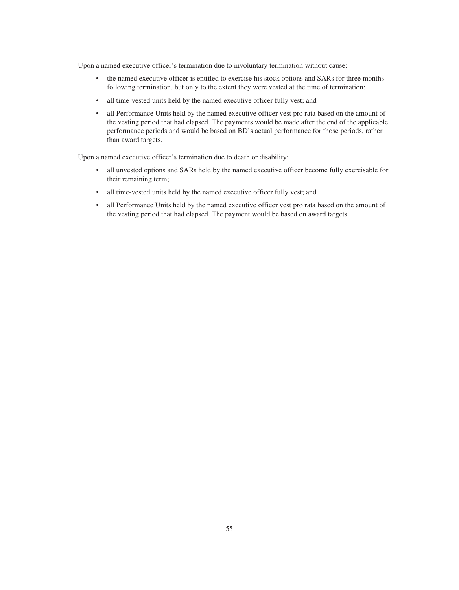Upon a named executive officer's termination due to involuntary termination without cause:

- the named executive officer is entitled to exercise his stock options and SARs for three months following termination, but only to the extent they were vested at the time of termination;
- all time-vested units held by the named executive officer fully vest; and
- all Performance Units held by the named executive officer vest pro rata based on the amount of the vesting period that had elapsed. The payments would be made after the end of the applicable performance periods and would be based on BD's actual performance for those periods, rather than award targets.

Upon a named executive officer's termination due to death or disability:

- all unvested options and SARs held by the named executive officer become fully exercisable for their remaining term;
- all time-vested units held by the named executive officer fully vest; and
- all Performance Units held by the named executive officer vest pro rata based on the amount of the vesting period that had elapsed. The payment would be based on award targets.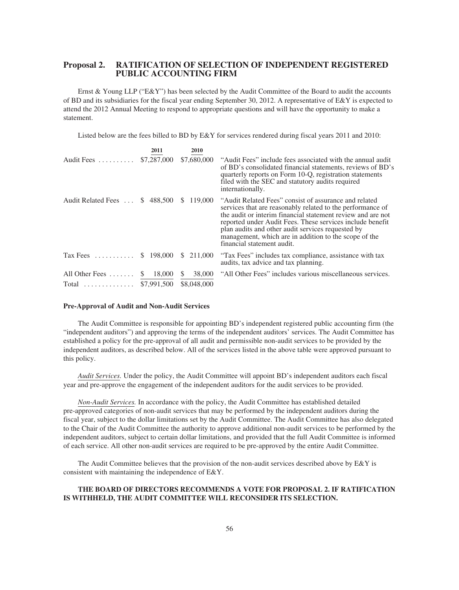# **Proposal 2. RATIFICATION OF SELECTION OF INDEPENDENT REGISTERED PUBLIC ACCOUNTING FIRM**

Ernst & Young LLP (" $E\&Y$ ") has been selected by the Audit Committee of the Board to audit the accounts of BD and its subsidiaries for the fiscal year ending September 30, 2012. A representative of  $E\&Y$  is expected to attend the 2012 Annual Meeting to respond to appropriate questions and will have the opportunity to make a statement.

Listed below are the fees billed to BD by E&Y for services rendered during fiscal years 2011 and 2010:

|                                                    | 2011                   | 2010                                  |                                                                                                                                                                                                                                                                                                                                                                                             |
|----------------------------------------------------|------------------------|---------------------------------------|---------------------------------------------------------------------------------------------------------------------------------------------------------------------------------------------------------------------------------------------------------------------------------------------------------------------------------------------------------------------------------------------|
| Audit Fees                                         | \$7,287,000            | \$7,680,000                           | "Audit Fees" include fees associated with the annual audit<br>of BD's consolidated financial statements, reviews of BD's<br>quarterly reports on Form 10-Q, registration statements<br>filed with the SEC and statutory audits required<br>internationally.                                                                                                                                 |
| Audit Related Fees                                 | \$488,500              | \$119,000                             | "Audit Related Fees" consist of assurance and related<br>services that are reasonably related to the performance of<br>the audit or interim financial statement review and are not<br>reported under Audit Fees. These services include benefit<br>plan audits and other audit services requested by<br>management, which are in addition to the scope of the<br>financial statement audit. |
| Tax Fees $\dots\dots\dots$                         | \$198,000              | \$ 211,000                            | "Tax Fees" includes tax compliance, assistance with tax<br>audits, tax advice and tax planning.                                                                                                                                                                                                                                                                                             |
| All Other Fees $\dots \dots$<br>Total  \$7,991,500 | 18,000<br><sup>S</sup> | 38,000<br><sup>S</sup><br>\$8,048,000 | "All Other Fees" includes various miscellaneous services.                                                                                                                                                                                                                                                                                                                                   |

### **Pre-Approval of Audit and Non-Audit Services**

The Audit Committee is responsible for appointing BD's independent registered public accounting firm (the "independent auditors") and approving the terms of the independent auditors' services. The Audit Committee has established a policy for the pre-approval of all audit and permissible non-audit services to be provided by the independent auditors, as described below. All of the services listed in the above table were approved pursuant to this policy.

*Audit Services.* Under the policy, the Audit Committee will appoint BD's independent auditors each fiscal year and pre-approve the engagement of the independent auditors for the audit services to be provided.

*Non-Audit Services.* In accordance with the policy, the Audit Committee has established detailed pre-approved categories of non-audit services that may be performed by the independent auditors during the fiscal year, subject to the dollar limitations set by the Audit Committee. The Audit Committee has also delegated to the Chair of the Audit Committee the authority to approve additional non-audit services to be performed by the independent auditors, subject to certain dollar limitations, and provided that the full Audit Committee is informed of each service. All other non-audit services are required to be pre-approved by the entire Audit Committee.

The Audit Committee believes that the provision of the non-audit services described above by  $E\&Y$  is consistent with maintaining the independence of E&Y.

# **THE BOARD OF DIRECTORS RECOMMENDS A VOTE FOR PROPOSAL 2. IF RATIFICATION IS WITHHELD, THE AUDIT COMMITTEE WILL RECONSIDER ITS SELECTION.**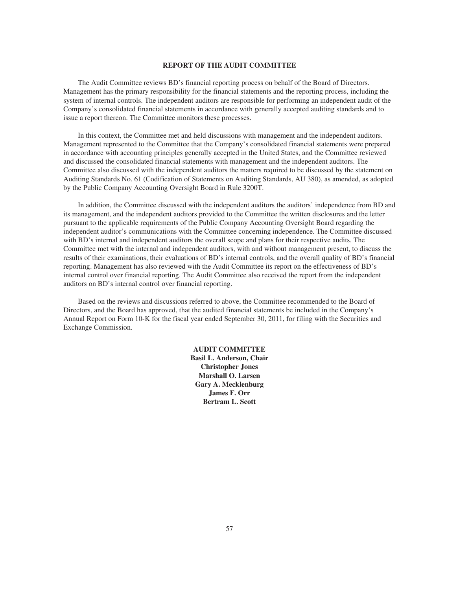### **REPORT OF THE AUDIT COMMITTEE**

The Audit Committee reviews BD's financial reporting process on behalf of the Board of Directors. Management has the primary responsibility for the financial statements and the reporting process, including the system of internal controls. The independent auditors are responsible for performing an independent audit of the Company's consolidated financial statements in accordance with generally accepted auditing standards and to issue a report thereon. The Committee monitors these processes.

In this context, the Committee met and held discussions with management and the independent auditors. Management represented to the Committee that the Company's consolidated financial statements were prepared in accordance with accounting principles generally accepted in the United States, and the Committee reviewed and discussed the consolidated financial statements with management and the independent auditors. The Committee also discussed with the independent auditors the matters required to be discussed by the statement on Auditing Standards No. 61 (Codification of Statements on Auditing Standards, AU 380), as amended, as adopted by the Public Company Accounting Oversight Board in Rule 3200T.

In addition, the Committee discussed with the independent auditors the auditors' independence from BD and its management, and the independent auditors provided to the Committee the written disclosures and the letter pursuant to the applicable requirements of the Public Company Accounting Oversight Board regarding the independent auditor's communications with the Committee concerning independence. The Committee discussed with BD's internal and independent auditors the overall scope and plans for their respective audits. The Committee met with the internal and independent auditors, with and without management present, to discuss the results of their examinations, their evaluations of BD's internal controls, and the overall quality of BD's financial reporting. Management has also reviewed with the Audit Committee its report on the effectiveness of BD's internal control over financial reporting. The Audit Committee also received the report from the independent auditors on BD's internal control over financial reporting.

Based on the reviews and discussions referred to above, the Committee recommended to the Board of Directors, and the Board has approved, that the audited financial statements be included in the Company's Annual Report on Form 10-K for the fiscal year ended September 30, 2011, for filing with the Securities and Exchange Commission.

> **AUDIT COMMITTEE Basil L. Anderson, Chair Christopher Jones Marshall O. Larsen Gary A. Mecklenburg James F. Orr Bertram L. Scott**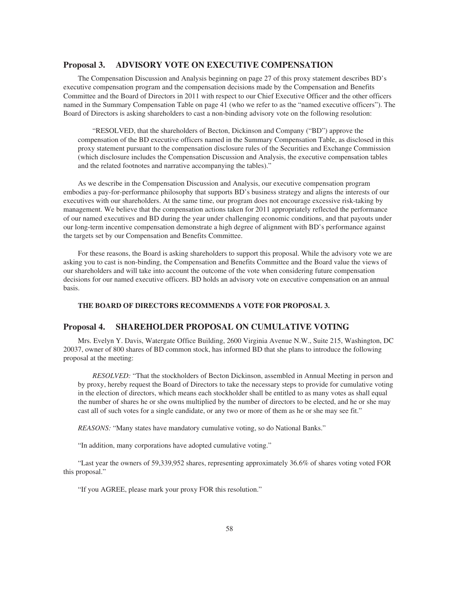# **Proposal 3. ADVISORY VOTE ON EXECUTIVE COMPENSATION**

The Compensation Discussion and Analysis beginning on page 27 of this proxy statement describes BD's executive compensation program and the compensation decisions made by the Compensation and Benefits Committee and the Board of Directors in 2011 with respect to our Chief Executive Officer and the other officers named in the Summary Compensation Table on page 41 (who we refer to as the "named executive officers"). The Board of Directors is asking shareholders to cast a non-binding advisory vote on the following resolution:

"RESOLVED, that the shareholders of Becton, Dickinson and Company ("BD") approve the compensation of the BD executive officers named in the Summary Compensation Table, as disclosed in this proxy statement pursuant to the compensation disclosure rules of the Securities and Exchange Commission (which disclosure includes the Compensation Discussion and Analysis, the executive compensation tables and the related footnotes and narrative accompanying the tables)."

As we describe in the Compensation Discussion and Analysis, our executive compensation program embodies a pay-for-performance philosophy that supports BD's business strategy and aligns the interests of our executives with our shareholders. At the same time, our program does not encourage excessive risk-taking by management. We believe that the compensation actions taken for 2011 appropriately reflected the performance of our named executives and BD during the year under challenging economic conditions, and that payouts under our long-term incentive compensation demonstrate a high degree of alignment with BD's performance against the targets set by our Compensation and Benefits Committee.

For these reasons, the Board is asking shareholders to support this proposal. While the advisory vote we are asking you to cast is non-binding, the Compensation and Benefits Committee and the Board value the views of our shareholders and will take into account the outcome of the vote when considering future compensation decisions for our named executive officers. BD holds an advisory vote on executive compensation on an annual basis.

## **THE BOARD OF DIRECTORS RECOMMENDS A VOTE FOR PROPOSAL 3.**

# **Proposal 4. SHAREHOLDER PROPOSAL ON CUMULATIVE VOTING**

Mrs. Evelyn Y. Davis, Watergate Office Building, 2600 Virginia Avenue N.W., Suite 215, Washington, DC 20037, owner of 800 shares of BD common stock, has informed BD that she plans to introduce the following proposal at the meeting:

*RESOLVED:* "That the stockholders of Becton Dickinson, assembled in Annual Meeting in person and by proxy, hereby request the Board of Directors to take the necessary steps to provide for cumulative voting in the election of directors, which means each stockholder shall be entitled to as many votes as shall equal the number of shares he or she owns multiplied by the number of directors to be elected, and he or she may cast all of such votes for a single candidate, or any two or more of them as he or she may see fit."

*REASONS:* "Many states have mandatory cumulative voting, so do National Banks."

"In addition, many corporations have adopted cumulative voting."

"Last year the owners of 59,339,952 shares, representing approximately 36.6% of shares voting voted FOR this proposal."

"If you AGREE, please mark your proxy FOR this resolution."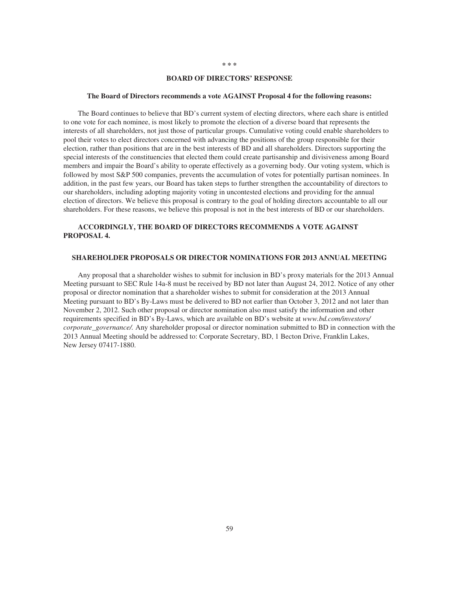#### **BOARD OF DIRECTORS' RESPONSE**

#### **The Board of Directors recommends a vote AGAINST Proposal 4 for the following reasons:**

The Board continues to believe that BD's current system of electing directors, where each share is entitled to one vote for each nominee, is most likely to promote the election of a diverse board that represents the interests of all shareholders, not just those of particular groups. Cumulative voting could enable shareholders to pool their votes to elect directors concerned with advancing the positions of the group responsible for their election, rather than positions that are in the best interests of BD and all shareholders. Directors supporting the special interests of the constituencies that elected them could create partisanship and divisiveness among Board members and impair the Board's ability to operate effectively as a governing body. Our voting system, which is followed by most S&P 500 companies, prevents the accumulation of votes for potentially partisan nominees. In addition, in the past few years, our Board has taken steps to further strengthen the accountability of directors to our shareholders, including adopting majority voting in uncontested elections and providing for the annual election of directors. We believe this proposal is contrary to the goal of holding directors accountable to all our shareholders. For these reasons, we believe this proposal is not in the best interests of BD or our shareholders.

# **ACCORDINGLY, THE BOARD OF DIRECTORS RECOMMENDS A VOTE AGAINST PROPOSAL 4.**

### **SHAREHOLDER PROPOSALS OR DIRECTOR NOMINATIONS FOR 2013 ANNUAL MEETING**

Any proposal that a shareholder wishes to submit for inclusion in BD's proxy materials for the 2013 Annual Meeting pursuant to SEC Rule 14a-8 must be received by BD not later than August 24, 2012. Notice of any other proposal or director nomination that a shareholder wishes to submit for consideration at the 2013 Annual Meeting pursuant to BD's By-Laws must be delivered to BD not earlier than October 3, 2012 and not later than November 2, 2012. Such other proposal or director nomination also must satisfy the information and other requirements specified in BD's By-Laws, which are available on BD's website at *www.bd.com/investors/ corporate\_governance/.* Any shareholder proposal or director nomination submitted to BD in connection with the 2013 Annual Meeting should be addressed to: Corporate Secretary, BD, 1 Becton Drive, Franklin Lakes, New Jersey 07417-1880.